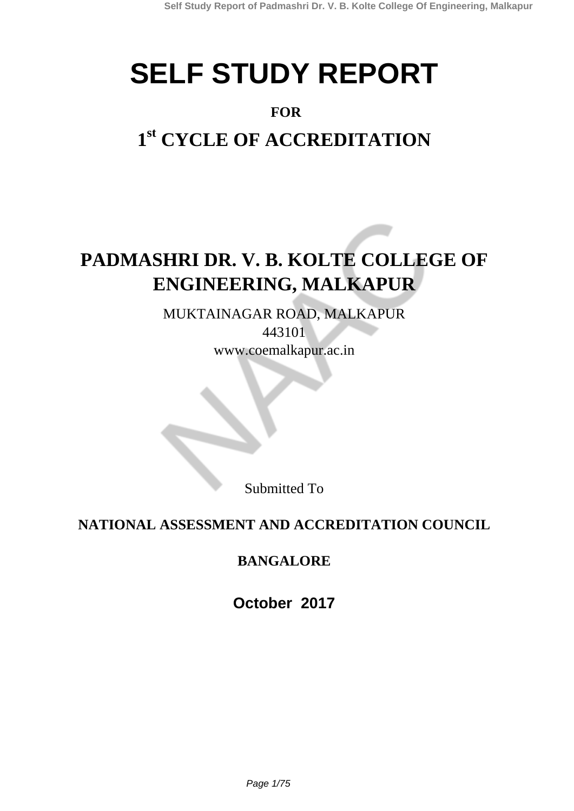# **SELF STUDY REPORT**

## **FOR**

## **1 st CYCLE OF ACCREDITATION**

## **PADMASHRI DR. V. B. KOLTE COLLEGE OF ENGINEERING, MALKAPUR**

MUKTAINAGAR ROAD, MALKAPUR 443101 www.coemalkapur.ac.in

Submitted To

## **NATIONAL ASSESSMENT AND ACCREDITATION COUNCIL**

**BANGALORE**

**October 2017**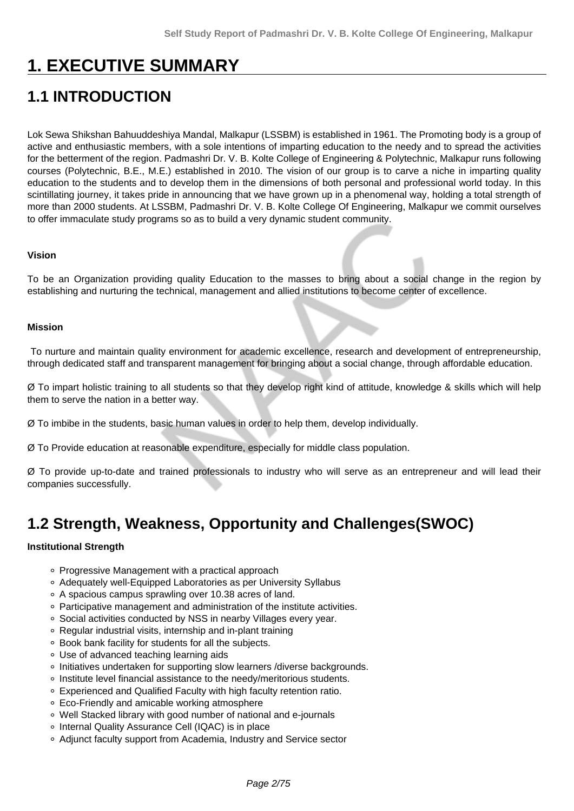## **1. EXECUTIVE SUMMARY**

## **1.1 INTRODUCTION**

Lok Sewa Shikshan Bahuuddeshiya Mandal, Malkapur (LSSBM) is established in 1961. The Promoting body is a group of active and enthusiastic members, with a sole intentions of imparting education to the needy and to spread the activities for the betterment of the region. Padmashri Dr. V. B. Kolte College of Engineering & Polytechnic, Malkapur runs following courses (Polytechnic, B.E., M.E.) established in 2010. The vision of our group is to carve a niche in imparting quality education to the students and to develop them in the dimensions of both personal and professional world today. In this scintillating journey, it takes pride in announcing that we have grown up in a phenomenal way, holding a total strength of more than 2000 students. At LSSBM, Padmashri Dr. V. B. Kolte College Of Engineering, Malkapur we commit ourselves to offer immaculate study programs so as to build a very dynamic student community.

## **Vision**

To be an Organization providing quality Education to the masses to bring about a social change in the region by establishing and nurturing the technical, management and allied institutions to become center of excellence.

### **Mission**

 To nurture and maintain quality environment for academic excellence, research and development of entrepreneurship, through dedicated staff and transparent management for bringing about a social change, through affordable education.

Ø To impart holistic training to all students so that they develop right kind of attitude, knowledge & skills which will help them to serve the nation in a better way.

Ø To imbibe in the students, basic human values in order to help them, develop individually.

Ø To Provide education at reasonable expenditure, especially for middle class population.

Ø To provide up-to-date and trained professionals to industry who will serve as an entrepreneur and will lead their companies successfully.

## **1.2 Strength, Weakness, Opportunity and Challenges(SWOC)**

### **Institutional Strength**

- Progressive Management with a practical approach
- Adequately well-Equipped Laboratories as per University Syllabus
- A spacious campus sprawling over 10.38 acres of land.
- Participative management and administration of the institute activities.
- Social activities conducted by NSS in nearby Villages every year.
- Regular industrial visits, internship and in-plant training
- Book bank facility for students for all the subjects.
- Use of advanced teaching learning aids
- o Initiatives undertaken for supporting slow learners /diverse backgrounds.
- o Institute level financial assistance to the needy/meritorious students.
- Experienced and Qualified Faculty with high faculty retention ratio.
- Eco-Friendly and amicable working atmosphere
- Well Stacked library with good number of national and e-journals
- o Internal Quality Assurance Cell (IQAC) is in place
- Adjunct faculty support from Academia, Industry and Service sector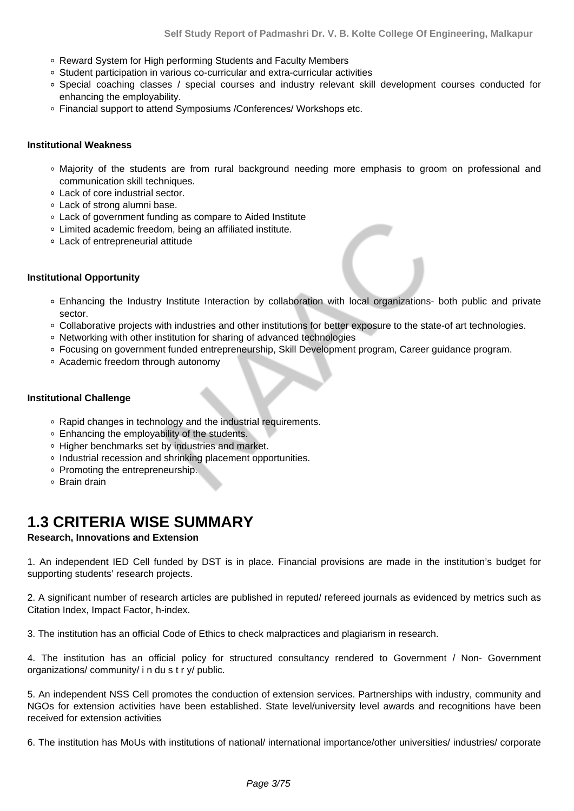- Reward System for High performing Students and Faculty Members
- Student participation in various co-curricular and extra-curricular activities
- Special coaching classes / special courses and industry relevant skill development courses conducted for enhancing the employability.
- Financial support to attend Symposiums /Conferences/ Workshops etc.

#### **Institutional Weakness**

- Majority of the students are from rural background needing more emphasis to groom on professional and communication skill techniques.
- Lack of core industrial sector.
- Lack of strong alumni base.
- Lack of government funding as compare to Aided Institute
- Limited academic freedom, being an affiliated institute.
- Lack of entrepreneurial attitude

#### **Institutional Opportunity**

- Enhancing the Industry Institute Interaction by collaboration with local organizations- both public and private sector.
- Collaborative projects with industries and other institutions for better exposure to the state-of art technologies.
- Networking with other institution for sharing of advanced technologies
- Focusing on government funded entrepreneurship, Skill Development program, Career guidance program.
- Academic freedom through autonomy

#### **Institutional Challenge**

- Rapid changes in technology and the industrial requirements.
- Enhancing the employability of the students.
- Higher benchmarks set by industries and market.
- o Industrial recession and shrinking placement opportunities.
- Promoting the entrepreneurship.
- Brain drain

## **1.3 CRITERIA WISE SUMMARY**

#### **Research, Innovations and Extension**

1. An independent IED Cell funded by DST is in place. Financial provisions are made in the institution's budget for supporting students' research projects.

2. A significant number of research articles are published in reputed/ refereed journals as evidenced by metrics such as Citation Index, Impact Factor, h-index.

3. The institution has an official Code of Ethics to check malpractices and plagiarism in research.

4. The institution has an official policy for structured consultancy rendered to Government / Non- Government organizations/ community/ i n du s t r y/ public.

5. An independent NSS Cell promotes the conduction of extension services. Partnerships with industry, community and NGOs for extension activities have been established. State level/university level awards and recognitions have been received for extension activities

6. The institution has MoUs with institutions of national/ international importance/other universities/ industries/ corporate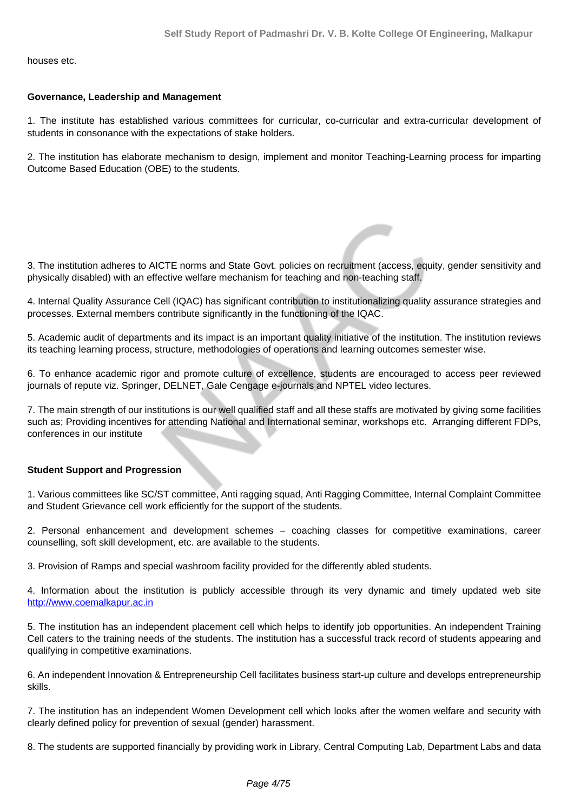houses etc.

### **Governance, Leadership and Management**

1. The institute has established various committees for curricular, co-curricular and extra-curricular development of students in consonance with the expectations of stake holders.

2. The institution has elaborate mechanism to design, implement and monitor Teaching-Learning process for imparting Outcome Based Education (OBE) to the students.

3. The institution adheres to AICTE norms and State Govt. policies on recruitment (access, equity, gender sensitivity and physically disabled) with an effective welfare mechanism for teaching and non-teaching staff.

4. Internal Quality Assurance Cell (IQAC) has significant contribution to institutionalizing quality assurance strategies and processes. External members contribute significantly in the functioning of the IQAC.

5. Academic audit of departments and its impact is an important quality initiative of the institution. The institution reviews its teaching learning process, structure, methodologies of operations and learning outcomes semester wise.

6. To enhance academic rigor and promote culture of excellence, students are encouraged to access peer reviewed journals of repute viz. Springer, DELNET, Gale Cengage e-journals and NPTEL video lectures.

7. The main strength of our institutions is our well qualified staff and all these staffs are motivated by giving some facilities such as; Providing incentives for attending National and International seminar, workshops etc. Arranging different FDPs, conferences in our institute

### **Student Support and Progression**

1. Various committees like SC/ST committee, Anti ragging squad, Anti Ragging Committee, Internal Complaint Committee and Student Grievance cell work efficiently for the support of the students.

2. Personal enhancement and development schemes – coaching classes for competitive examinations, career counselling, soft skill development, etc. are available to the students.

3. Provision of Ramps and special washroom facility provided for the differently abled students.

4. Information about the institution is publicly accessible through its very dynamic and timely updated web site http://www.coemalkapur.ac.in

5. The institution has an independent placement cell which helps to identify job opportunities. An independent Training Cell caters to the training needs of the students. The institution has a successful track record of students appearing and qualifying in competitive examinations.

6. An independent Innovation & Entrepreneurship Cell facilitates business start-up culture and develops entrepreneurship skills.

7. The institution has an independent Women Development cell which looks after the women welfare and security with clearly defined policy for prevention of sexual (gender) harassment.

8. The students are supported financially by providing work in Library, Central Computing Lab, Department Labs and data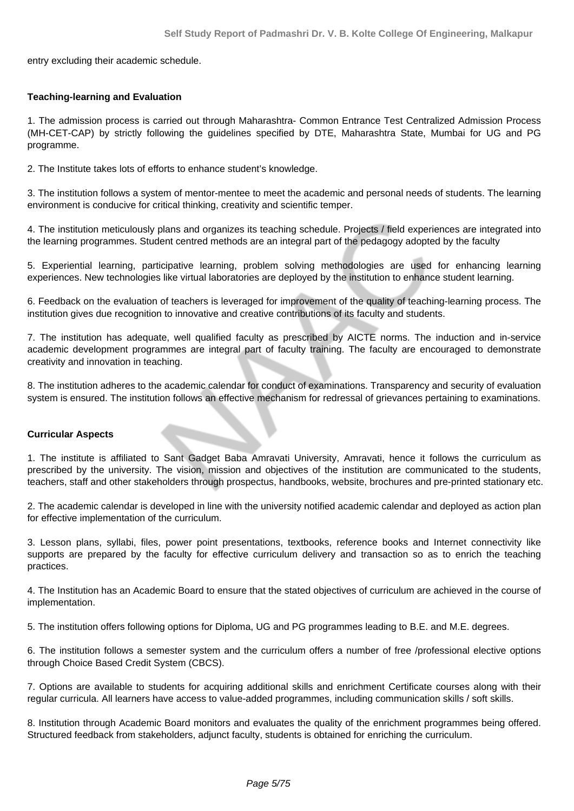entry excluding their academic schedule.

#### **Teaching-learning and Evaluation**

1. The admission process is carried out through Maharashtra- Common Entrance Test Centralized Admission Process (MH-CET-CAP) by strictly following the guidelines specified by DTE, Maharashtra State, Mumbai for UG and PG programme.

2. The Institute takes lots of efforts to enhance student's knowledge.

3. The institution follows a system of mentor-mentee to meet the academic and personal needs of students. The learning environment is conducive for critical thinking, creativity and scientific temper.

4. The institution meticulously plans and organizes its teaching schedule. Projects / field experiences are integrated into the learning programmes. Student centred methods are an integral part of the pedagogy adopted by the faculty

5. Experiential learning, participative learning, problem solving methodologies are used for enhancing learning experiences. New technologies like virtual laboratories are deployed by the institution to enhance student learning.

6. Feedback on the evaluation of teachers is leveraged for improvement of the quality of teaching-learning process. The institution gives due recognition to innovative and creative contributions of its faculty and students.

7. The institution has adequate, well qualified faculty as prescribed by AICTE norms. The induction and in-service academic development programmes are integral part of faculty training. The faculty are encouraged to demonstrate creativity and innovation in teaching.

8. The institution adheres to the academic calendar for conduct of examinations. Transparency and security of evaluation system is ensured. The institution follows an effective mechanism for redressal of grievances pertaining to examinations.

#### **Curricular Aspects**

1. The institute is affiliated to Sant Gadget Baba Amravati University, Amravati, hence it follows the curriculum as prescribed by the university. The vision, mission and objectives of the institution are communicated to the students, teachers, staff and other stakeholders through prospectus, handbooks, website, brochures and pre-printed stationary etc.

2. The academic calendar is developed in line with the university notified academic calendar and deployed as action plan for effective implementation of the curriculum.

3. Lesson plans, syllabi, files, power point presentations, textbooks, reference books and Internet connectivity like supports are prepared by the faculty for effective curriculum delivery and transaction so as to enrich the teaching practices.

4. The Institution has an Academic Board to ensure that the stated objectives of curriculum are achieved in the course of implementation.

5. The institution offers following options for Diploma, UG and PG programmes leading to B.E. and M.E. degrees.

6. The institution follows a semester system and the curriculum offers a number of free /professional elective options through Choice Based Credit System (CBCS).

7. Options are available to students for acquiring additional skills and enrichment Certificate courses along with their regular curricula. All learners have access to value-added programmes, including communication skills / soft skills.

8. Institution through Academic Board monitors and evaluates the quality of the enrichment programmes being offered. Structured feedback from stakeholders, adjunct faculty, students is obtained for enriching the curriculum.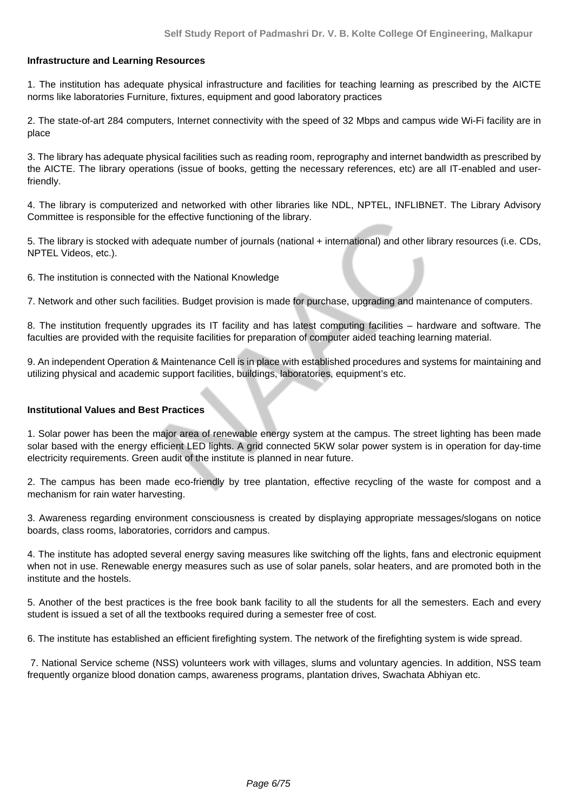#### **Infrastructure and Learning Resources**

1. The institution has adequate physical infrastructure and facilities for teaching learning as prescribed by the AICTE norms like laboratories Furniture, fixtures, equipment and good laboratory practices

2. The state-of-art 284 computers, Internet connectivity with the speed of 32 Mbps and campus wide Wi-Fi facility are in place

3. The library has adequate physical facilities such as reading room, reprography and internet bandwidth as prescribed by the AICTE. The library operations (issue of books, getting the necessary references, etc) are all IT-enabled and userfriendly.

4. The library is computerized and networked with other libraries like NDL, NPTEL, INFLIBNET. The Library Advisory Committee is responsible for the effective functioning of the library.

5. The library is stocked with adequate number of journals (national + international) and other library resources (i.e. CDs, NPTEL Videos, etc.).

6. The institution is connected with the National Knowledge

7. Network and other such facilities. Budget provision is made for purchase, upgrading and maintenance of computers.

8. The institution frequently upgrades its IT facility and has latest computing facilities – hardware and software. The faculties are provided with the requisite facilities for preparation of computer aided teaching learning material.

9. An independent Operation & Maintenance Cell is in place with established procedures and systems for maintaining and utilizing physical and academic support facilities, buildings, laboratories, equipment's etc.

#### **Institutional Values and Best Practices**

1. Solar power has been the major area of renewable energy system at the campus. The street lighting has been made solar based with the energy efficient LED lights. A grid connected 5KW solar power system is in operation for day-time electricity requirements. Green audit of the institute is planned in near future.

2. The campus has been made eco-friendly by tree plantation, effective recycling of the waste for compost and a mechanism for rain water harvesting.

3. Awareness regarding environment consciousness is created by displaying appropriate messages/slogans on notice boards, class rooms, laboratories, corridors and campus.

4. The institute has adopted several energy saving measures like switching off the lights, fans and electronic equipment when not in use. Renewable energy measures such as use of solar panels, solar heaters, and are promoted both in the institute and the hostels.

5. Another of the best practices is the free book bank facility to all the students for all the semesters. Each and every student is issued a set of all the textbooks required during a semester free of cost.

6. The institute has established an efficient firefighting system. The network of the firefighting system is wide spread.

 7. National Service scheme (NSS) volunteers work with villages, slums and voluntary agencies. In addition, NSS team frequently organize blood donation camps, awareness programs, plantation drives, Swachata Abhiyan etc.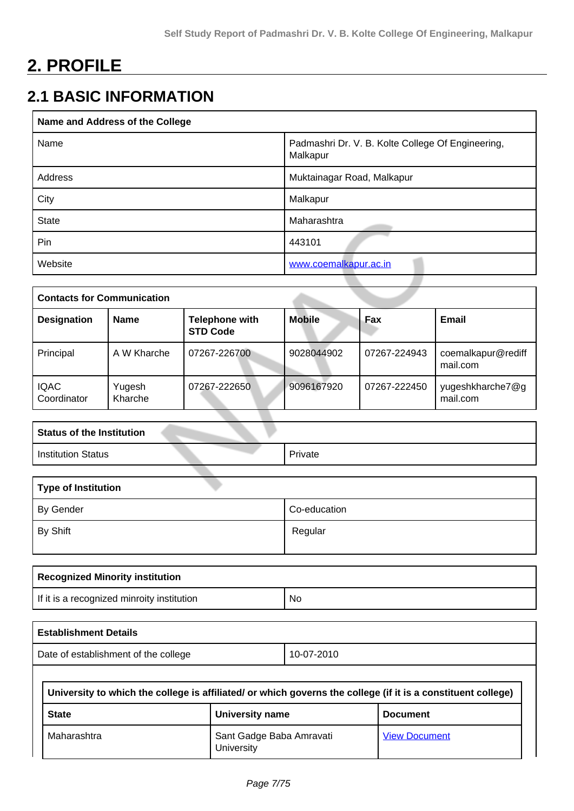## **2. PROFILE**

## **2.1 BASIC INFORMATION**

| Name and Address of the College |                                                               |  |  |  |
|---------------------------------|---------------------------------------------------------------|--|--|--|
| Name                            | Padmashri Dr. V. B. Kolte College Of Engineering,<br>Malkapur |  |  |  |
| Address                         | Muktainagar Road, Malkapur                                    |  |  |  |
| City                            | Malkapur                                                      |  |  |  |
| <b>State</b>                    | Maharashtra                                                   |  |  |  |
| Pin                             | 443101                                                        |  |  |  |
| Website                         | www.coemalkapur.ac.in                                         |  |  |  |

| <b>Contacts for Communication</b>                                             |                   |               |              |                                |                              |  |
|-------------------------------------------------------------------------------|-------------------|---------------|--------------|--------------------------------|------------------------------|--|
| <b>Designation</b><br><b>Telephone with</b><br><b>Name</b><br><b>STD Code</b> |                   | <b>Mobile</b> | Fax          | Email                          |                              |  |
| Principal<br>07267-226700<br>A W Kharche                                      |                   | 9028044902    | 07267-224943 | coemalkapur@rediff<br>mail.com |                              |  |
| <b>IQAC</b><br>Coordinator                                                    | Yugesh<br>Kharche | 07267-222650  | 9096167920   | 07267-222450                   | yugeshkharche7@g<br>mail.com |  |

| Status of the Institution |         |  |
|---------------------------|---------|--|
| <b>Institution Status</b> | Private |  |

| Type of Institution   |              |  |
|-----------------------|--------------|--|
| By Gender             | Co-education |  |
| <sup>I</sup> By Shift | Regular      |  |

| <b>Recognized Minority institution</b>     |    |  |
|--------------------------------------------|----|--|
| If it is a recognized minroity institution | No |  |

| <b>Establishment Details</b>                                                                                 |                                        |                      |  |  |  |
|--------------------------------------------------------------------------------------------------------------|----------------------------------------|----------------------|--|--|--|
| Date of establishment of the college<br>10-07-2010                                                           |                                        |                      |  |  |  |
| University to which the college is affiliated/ or which governs the college (if it is a constituent college) |                                        |                      |  |  |  |
| <b>State</b><br>University name<br><b>Document</b>                                                           |                                        |                      |  |  |  |
| Maharashtra                                                                                                  | Sant Gadge Baba Amravati<br>University | <b>View Document</b> |  |  |  |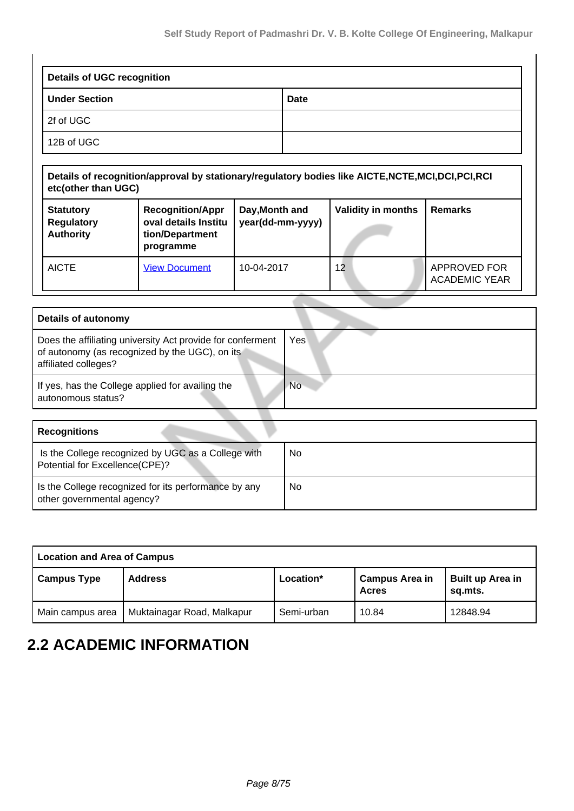| Details of UGC recognition |             |  |
|----------------------------|-------------|--|
| <b>Under Section</b>       | <b>Date</b> |  |
| 2f of UGC                  |             |  |
| 12B of UGC                 |             |  |

## **Details of recognition/approval by stationary/regulatory bodies like AICTE,NCTE,MCI,DCI,PCI,RCI etc(other than UGC)**

| <b>Statutory</b><br><b>Regulatory</b><br><b>Authority</b> | <b>Recognition/Appr</b><br>oval details Institu<br>tion/Department<br>programme | Day, Month and<br>year(dd-mm-yyyy) | <b>Validity in months</b> | <b>Remarks</b>                       |
|-----------------------------------------------------------|---------------------------------------------------------------------------------|------------------------------------|---------------------------|--------------------------------------|
| <b>AICTE</b>                                              | <b>View Document</b>                                                            | 10-04-2017                         | 12                        | APPROVED FOR<br><b>ACADEMIC YEAR</b> |

| Details of autonomy                                                                                                                  |           |  |  |  |
|--------------------------------------------------------------------------------------------------------------------------------------|-----------|--|--|--|
| Does the affiliating university Act provide for conferment<br>of autonomy (as recognized by the UGC), on its<br>affiliated colleges? | Yes       |  |  |  |
| If yes, has the College applied for availing the<br>autonomous status?                                                               | <b>No</b> |  |  |  |

| <b>Recognitions</b>                                                                  |    |  |  |
|--------------------------------------------------------------------------------------|----|--|--|
| Is the College recognized by UGC as a College with<br>Potential for Excellence(CPE)? | No |  |  |
| Is the College recognized for its performance by any<br>other governmental agency?   | No |  |  |

| <b>Location and Area of Campus</b>                                                                                               |                            |            |       |          |  |  |
|----------------------------------------------------------------------------------------------------------------------------------|----------------------------|------------|-------|----------|--|--|
| <b>Campus Area in</b><br><b>Built up Area in</b><br>Location*<br><b>Campus Type</b><br><b>Address</b><br><b>Acres</b><br>sq.mts. |                            |            |       |          |  |  |
| Main campus area                                                                                                                 | Muktainagar Road, Malkapur | Semi-urban | 10.84 | 12848.94 |  |  |

## **2.2 ACADEMIC INFORMATION**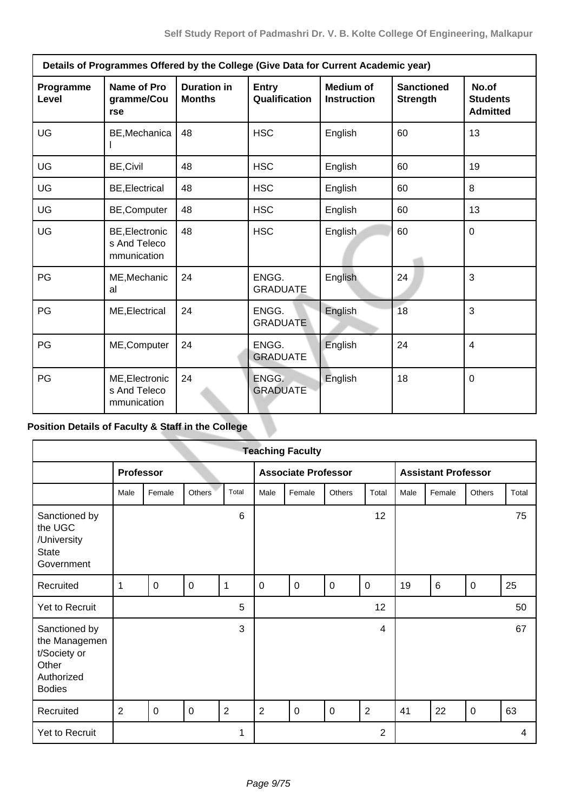| Details of Programmes Offered by the College (Give Data for Current Academic year) |                                                      |                                     |                               |                                        |                                      |                                             |
|------------------------------------------------------------------------------------|------------------------------------------------------|-------------------------------------|-------------------------------|----------------------------------------|--------------------------------------|---------------------------------------------|
| Programme<br>Level                                                                 | Name of Pro<br>gramme/Cou<br>rse                     | <b>Duration in</b><br><b>Months</b> | <b>Entry</b><br>Qualification | <b>Medium of</b><br><b>Instruction</b> | <b>Sanctioned</b><br><b>Strength</b> | No.of<br><b>Students</b><br><b>Admitted</b> |
| UG                                                                                 | BE, Mechanica                                        | 48                                  | <b>HSC</b>                    | English                                | 60                                   | 13                                          |
| UG                                                                                 | <b>BE,Civil</b>                                      | 48                                  | <b>HSC</b>                    | English                                | 60                                   | 19                                          |
| UG                                                                                 | <b>BE, Electrical</b>                                | 48                                  | <b>HSC</b>                    | English                                | 60                                   | 8                                           |
| UG                                                                                 | BE, Computer                                         | 48                                  | <b>HSC</b>                    | English                                | 60                                   | 13                                          |
| UG                                                                                 | <b>BE, Electronic</b><br>s And Teleco<br>mmunication | 48                                  | <b>HSC</b>                    | English                                | 60                                   | $\overline{0}$                              |
| PG                                                                                 | ME, Mechanic<br>al                                   | 24                                  | ENGG.<br><b>GRADUATE</b>      | English                                | 24                                   | 3                                           |
| PG                                                                                 | ME, Electrical                                       | 24                                  | ENGG.<br><b>GRADUATE</b>      | English                                | 18                                   | 3                                           |
| PG                                                                                 | ME, Computer                                         | 24                                  | ENGG.<br><b>GRADUATE</b>      | English                                | 24                                   | 4                                           |
| PG                                                                                 | ME, Electronic<br>s And Teleco<br>mmunication        | 24                                  | ENGG.<br><b>GRADUATE</b>      | English                                | 18                                   | $\mathbf 0$                                 |

## **Position Details of Faculty & Staff in the College**

|                                                                                        | <b>Teaching Faculty</b> |             |               |                |                            |                |               |                            |      |                |             |       |
|----------------------------------------------------------------------------------------|-------------------------|-------------|---------------|----------------|----------------------------|----------------|---------------|----------------------------|------|----------------|-------------|-------|
|                                                                                        | <b>Professor</b>        |             |               |                | <b>Associate Professor</b> |                |               | <b>Assistant Professor</b> |      |                |             |       |
|                                                                                        | Male                    | Female      | <b>Others</b> | Total          | Male                       | Female         | <b>Others</b> | Total                      | Male | Female         | Others      | Total |
| Sanctioned by<br>the UGC<br>/University<br><b>State</b><br>Government                  |                         |             |               | $6\phantom{1}$ |                            |                |               | 12                         |      |                |             | 75    |
| Recruited                                                                              | $\mathbf{1}$            | $\mathbf 0$ | $\mathbf 0$   | $\mathbf{1}$   | $\overline{0}$             | $\overline{0}$ | $\mathbf 0$   | $\mathbf 0$                | 19   | $6\phantom{1}$ | $\mathbf 0$ | 25    |
| Yet to Recruit                                                                         |                         |             |               | 5              |                            |                |               | 12                         |      |                |             | 50    |
| Sanctioned by<br>the Managemen<br>t/Society or<br>Other<br>Authorized<br><b>Bodies</b> |                         |             |               | 3              |                            |                |               | 4                          |      |                |             | 67    |
| Recruited                                                                              | $\overline{2}$          | $\mathbf 0$ | $\mathbf 0$   | $\overline{2}$ | $\overline{2}$             | $\mathbf 0$    | $\mathbf 0$   | $\overline{2}$             | 41   | 22             | $\mathbf 0$ | 63    |
| Yet to Recruit                                                                         |                         |             |               | 1              |                            |                |               | $\overline{2}$             |      |                |             | 4     |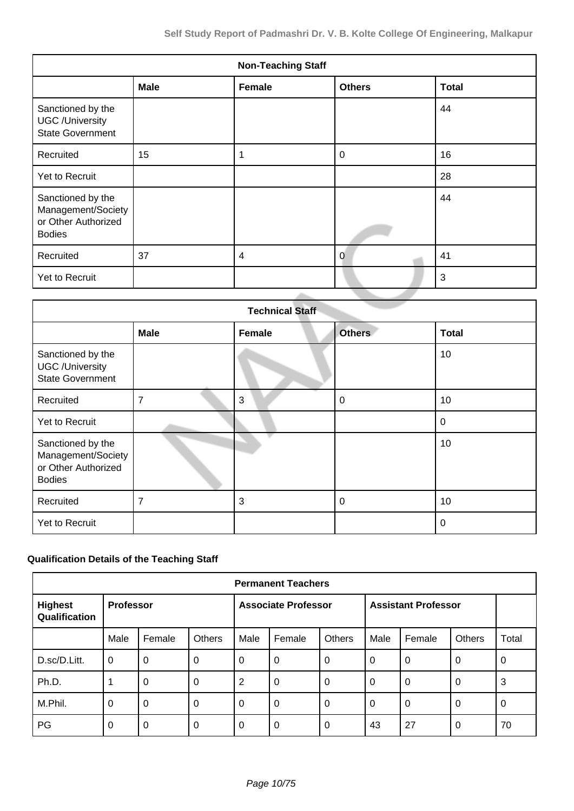|                                                                                 | <b>Non-Teaching Staff</b> |               |               |              |  |  |  |  |  |  |
|---------------------------------------------------------------------------------|---------------------------|---------------|---------------|--------------|--|--|--|--|--|--|
|                                                                                 | <b>Male</b>               | <b>Female</b> | <b>Others</b> | <b>Total</b> |  |  |  |  |  |  |
| Sanctioned by the<br><b>UGC</b> /University<br><b>State Government</b>          |                           |               |               | 44           |  |  |  |  |  |  |
| Recruited                                                                       | 15                        |               | 0             | 16           |  |  |  |  |  |  |
| Yet to Recruit                                                                  |                           |               |               | 28           |  |  |  |  |  |  |
| Sanctioned by the<br>Management/Society<br>or Other Authorized<br><b>Bodies</b> |                           |               |               | 44           |  |  |  |  |  |  |
| Recruited                                                                       | 37                        | 4             | 0             | 41           |  |  |  |  |  |  |
| Yet to Recruit                                                                  |                           |               |               | 3            |  |  |  |  |  |  |

|                                                                                 | <b>Technical Staff</b> |               |               |              |  |  |  |  |  |  |
|---------------------------------------------------------------------------------|------------------------|---------------|---------------|--------------|--|--|--|--|--|--|
|                                                                                 | <b>Male</b>            | <b>Female</b> | <b>Others</b> | <b>Total</b> |  |  |  |  |  |  |
| Sanctioned by the<br><b>UGC</b> /University<br><b>State Government</b>          |                        |               |               | 10           |  |  |  |  |  |  |
| Recruited                                                                       | $\overline{7}$         | 3             | $\mathbf 0$   | 10           |  |  |  |  |  |  |
| Yet to Recruit                                                                  |                        |               |               | 0            |  |  |  |  |  |  |
| Sanctioned by the<br>Management/Society<br>or Other Authorized<br><b>Bodies</b> |                        |               |               | 10           |  |  |  |  |  |  |
| Recruited                                                                       | $\overline{7}$         | 3             | 0             | 10           |  |  |  |  |  |  |
| Yet to Recruit                                                                  |                        |               |               | 0            |  |  |  |  |  |  |

## **Qualification Details of the Teaching Staff**

|                                 | <b>Permanent Teachers</b> |        |        |             |                            |               |          |                            |        |       |  |
|---------------------------------|---------------------------|--------|--------|-------------|----------------------------|---------------|----------|----------------------------|--------|-------|--|
| <b>Highest</b><br>Qualification | <b>Professor</b>          |        |        |             | <b>Associate Professor</b> |               |          | <b>Assistant Professor</b> |        |       |  |
|                                 | Male                      | Female | Others | Male        | Female                     | <b>Others</b> | Male     | Female                     | Others | Total |  |
| D.sc/D.Litt.                    | 0                         | 0      | 0      | $\Omega$    | 0                          | $\Omega$      | $\Omega$ | $\Omega$                   | 0      | 0     |  |
| Ph.D.                           |                           | 0      | 0      | 2           | 0                          | $\Omega$      | $\Omega$ | $\Omega$                   | 0      | 3     |  |
| M.Phil.                         | $\Omega$                  | 0      | 0      | $\mathbf 0$ | 0                          | 0             | $\Omega$ | $\Omega$                   | 0      | 0     |  |
| PG                              | 0                         | 0      | 0      | $\mathbf 0$ | 0                          | $\Omega$      | 43       | 27                         | 0      | 70    |  |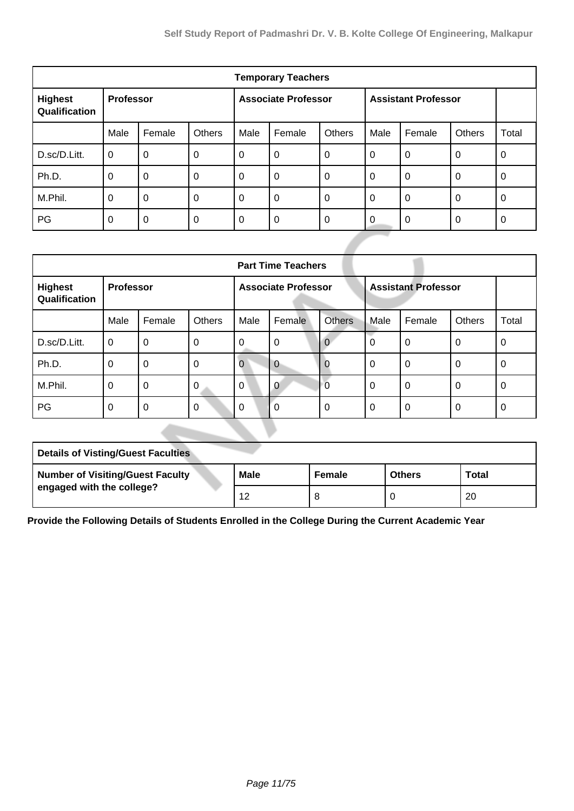| <b>Temporary Teachers</b>       |                  |        |               |                            |        |               |                            |          |        |          |
|---------------------------------|------------------|--------|---------------|----------------------------|--------|---------------|----------------------------|----------|--------|----------|
| <b>Highest</b><br>Qualification | <b>Professor</b> |        |               | <b>Associate Professor</b> |        |               | <b>Assistant Professor</b> |          |        |          |
|                                 | Male             | Female | <b>Others</b> | Male                       | Female | <b>Others</b> | Male                       | Female   | Others | Total    |
| D.sc/D.Litt.                    | $\mathbf 0$      | 0      | 0             | $\Omega$                   | 0      | $\Omega$      | $\Omega$                   | $\Omega$ | 0      | 0        |
| Ph.D.                           | 0                | 0      | 0             | $\mathbf 0$                | 0      | $\Omega$      | $\Omega$                   | $\Omega$ | 0      | $\Omega$ |
| M.Phil.                         | $\mathbf 0$      | 0      | 0             | 0                          | 0      | 0             | 0                          | 0        | 0      | 0        |
| PG                              | 0                | 0      | 0             | $\mathbf 0$                | 0      | 0             | 0                          | 0        | 0      | 0        |

|                                 | <b>Part Time Teachers</b> |        |        |                            |                |               |                            |          |        |       |  |
|---------------------------------|---------------------------|--------|--------|----------------------------|----------------|---------------|----------------------------|----------|--------|-------|--|
| <b>Highest</b><br>Qualification | <b>Professor</b>          |        |        | <b>Associate Professor</b> |                |               | <b>Assistant Professor</b> |          |        |       |  |
|                                 | Male                      | Female | Others | Male                       | Female         | <b>Others</b> | Male                       | Female   | Others | Total |  |
| D.sc/D.Litt.                    | $\mathbf 0$               | 0      | 0      | $\Omega$                   | 0              |               | $\Omega$                   | $\Omega$ | 0      | 0     |  |
| Ph.D.                           | 0                         | 0      | 0      | $\Omega$                   | $\overline{0}$ |               | $\Omega$                   | 0        | 0      | 0     |  |
| M.Phil.                         | 0                         | 0      | 0      | $\overline{0}$             | 0              | 0             | 0                          | 0        | 0      | 0     |  |
| PG                              | 0                         | 0      | 0      | $\Omega$                   | 0              | $\Omega$      | 0                          | $\Omega$ | 0      | 0     |  |

| <b>Details of Visting/Guest Faculties</b> |             |               |               |       |  |  |  |
|-------------------------------------------|-------------|---------------|---------------|-------|--|--|--|
| <b>Number of Visiting/Guest Faculty</b>   | <b>Male</b> | <b>Female</b> | <b>Others</b> | Total |  |  |  |
| engaged with the college?                 | 12          |               |               | 20    |  |  |  |

**Provide the Following Details of Students Enrolled in the College During the Current Academic Year**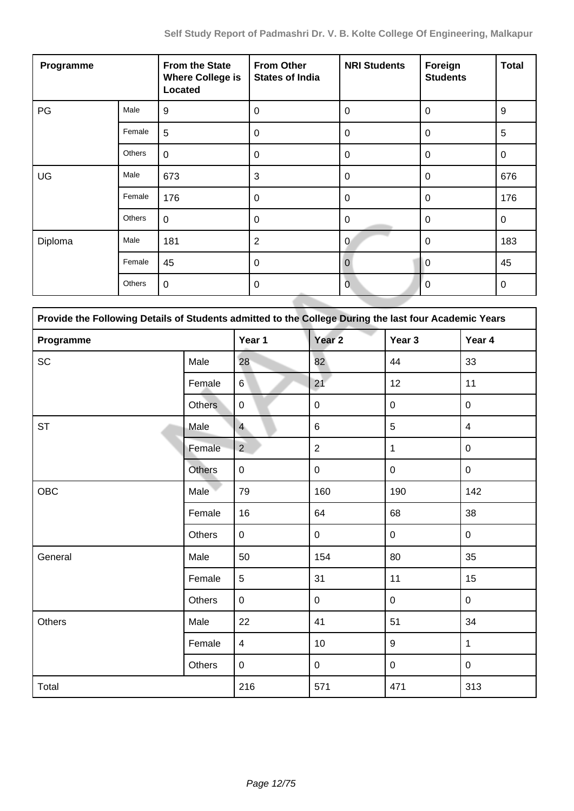| Programme |        | <b>From the State</b><br><b>Where College is</b><br>Located | <b>From Other</b><br><b>States of India</b> | <b>NRI Students</b> | Foreign<br><b>Students</b> | <b>Total</b> |
|-----------|--------|-------------------------------------------------------------|---------------------------------------------|---------------------|----------------------------|--------------|
| PG        | Male   | 9                                                           | 0                                           | 0                   | 0                          | 9            |
|           | Female | 5                                                           | 0                                           | 0                   | 0                          | 5            |
|           | Others | $\mathbf 0$                                                 | 0                                           | $\mathbf 0$         | $\overline{0}$             | $\mathbf 0$  |
| UG        | Male   | 673                                                         | 3                                           | 0                   | 0                          | 676          |
|           | Female | 176                                                         | 0                                           | 0                   | $\Omega$                   | 176          |
|           | Others | $\mathbf 0$                                                 | 0                                           | 0                   | $\mathbf 0$                | 0            |
| Diploma   | Male   | 181                                                         | $\overline{2}$                              | $\mathbf 0$         | 0                          | 183          |
|           | Female | 45                                                          | 0                                           | $\Omega$            | 0                          | 45           |
|           | Others | $\mathbf 0$                                                 | 0                                           | 0                   | 0                          | 0            |

| Provide the Following Details of Students admitted to the College During the last four Academic Years |               |                 |                   |                |                  |
|-------------------------------------------------------------------------------------------------------|---------------|-----------------|-------------------|----------------|------------------|
| Programme                                                                                             |               | Year 1          | Year <sub>2</sub> | Year 3         | Year 4           |
| $\operatorname{\textsf{SC}}$                                                                          | Male          | 28              | 82                | 44             | 33               |
|                                                                                                       | Female        | 6 <sup>1</sup>  | 21                | 12             | 11               |
|                                                                                                       | <b>Others</b> | $\pmb{0}$       | $\pmb{0}$         | $\mathbf 0$    | $\mathbf 0$      |
| <b>ST</b>                                                                                             | Male          | $\overline{4}$  | 6                 | $\overline{5}$ | $\overline{4}$   |
|                                                                                                       | Female        | $\overline{2}$  | $\overline{2}$    | 1              | $\mathbf 0$      |
|                                                                                                       | <b>Others</b> | $\mathbf 0$     | $\mathbf 0$       | $\mathbf 0$    | $\mathbf 0$      |
| <b>OBC</b>                                                                                            | Male          | 79              | 160               | 190            | 142              |
|                                                                                                       | Female        | 16              | 64                | 68             | 38               |
|                                                                                                       | Others        | $\mathbf 0$     | $\pmb{0}$         | $\mathbf 0$    | $\boldsymbol{0}$ |
| General                                                                                               | Male          | 50              | 154               | 80             | 35               |
|                                                                                                       | Female        | $5\phantom{.0}$ | 31                | 11             | 15               |
|                                                                                                       | Others        | $\mathbf 0$     | $\pmb{0}$         | $\mathbf 0$    | $\mathbf 0$      |
| <b>Others</b>                                                                                         | Male          | 22              | 41                | 51             | 34               |
|                                                                                                       | Female        | $\overline{4}$  | 10                | 9              | $\mathbf{1}$     |
|                                                                                                       | Others        | $\mathbf 0$     | $\mathbf 0$       | $\mathbf 0$    | $\mathbf 0$      |
| Total                                                                                                 |               | 216             | 571               | 471            | 313              |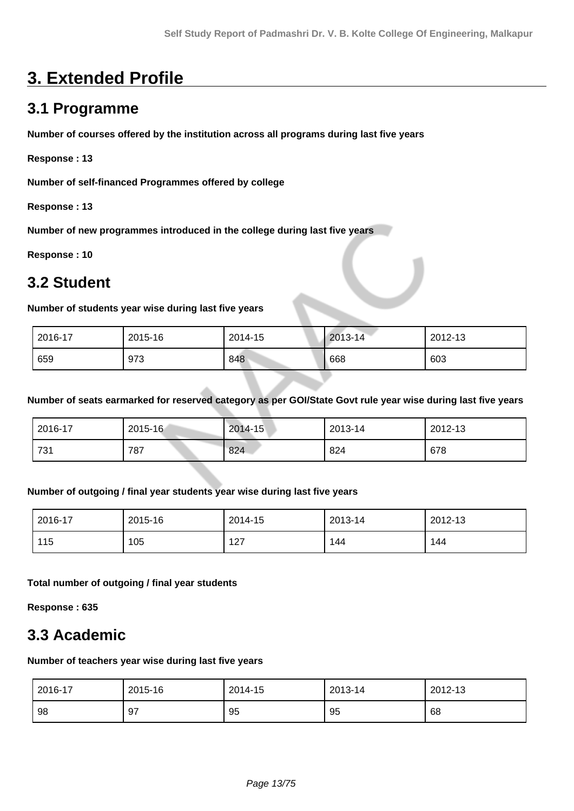## **3. Extended Profile**

## **3.1 Programme**

**Number of courses offered by the institution across all programs during last five years**

**Response : 13**

**Number of self-financed Programmes offered by college**

**Response : 13**

**Number of new programmes introduced in the college during last five years**

**Response : 10**

## **3.2 Student**

**Number of students year wise during last five years**

| 2016-17 | 2015-16 | 2014-15 | 2013-14 | 2012-13 |
|---------|---------|---------|---------|---------|
| 659     | 973     | 848     | 668     | 603     |

**Number of seats earmarked for reserved category as per GOI/State Govt rule year wise during last five years**

| 2016-17 | 2015-16 | 2014-15 | 2013-14 | 2012-13 |
|---------|---------|---------|---------|---------|
| 731     | 787     | 824     | 824     | 678     |

**Number of outgoing / final year students year wise during last five years**

| 2016-17 | 2015-16 | 2014-15 | 2013-14 | 2012-13 |
|---------|---------|---------|---------|---------|
| 115     | 105     | 127     | 144     | 144     |

**Total number of outgoing / final year students**

**Response : 635**

## **3.3 Academic**

**Number of teachers year wise during last five years**

| 2016-17 | 2015-16 | 2014-15 | 2013-14 | 2012-13 |
|---------|---------|---------|---------|---------|
| 98      | 97      | 95      | 95      | 68      |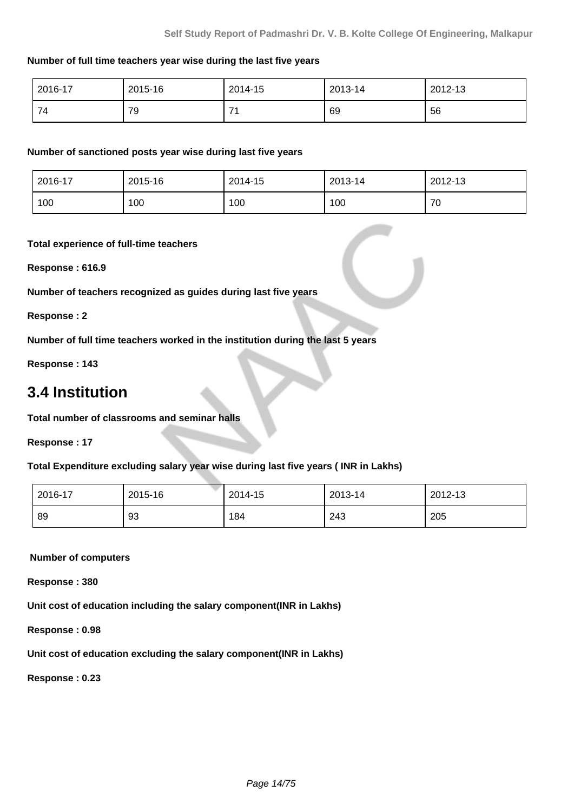### **Number of full time teachers year wise during the last five years**

| 2016-17 | 2015-16 | 2014-15 | 2013-14 | 2012-13 |
|---------|---------|---------|---------|---------|
| 74      | 79      | 74      | 69      | 56      |

### **Number of sanctioned posts year wise during last five years**

| 2016-17 | 2015-16 | 2014-15 | 2013-14 | 2012-13 |
|---------|---------|---------|---------|---------|
| 100     | 100     | 100     | 100     | 70      |

#### **Total experience of full-time teachers**

**Response : 616.9**

**Number of teachers recognized as guides during last five years**

**Response : 2**

**Number of full time teachers worked in the institution during the last 5 years**

**Response : 143**

## **3.4 Institution**

**Total number of classrooms and seminar halls**

**Response : 17**

**Total Expenditure excluding salary year wise during last five years ( INR in Lakhs)**

| 2016-17 | 2015-16 | 2014-15 | 2013-14 | 2012-13 |
|---------|---------|---------|---------|---------|
| 89      | 93      | 184     | 243     | 205     |

 **Number of computers**

**Response : 380**

**Unit cost of education including the salary component(INR in Lakhs)**

**Response : 0.98**

**Unit cost of education excluding the salary component(INR in Lakhs)**

**Response : 0.23**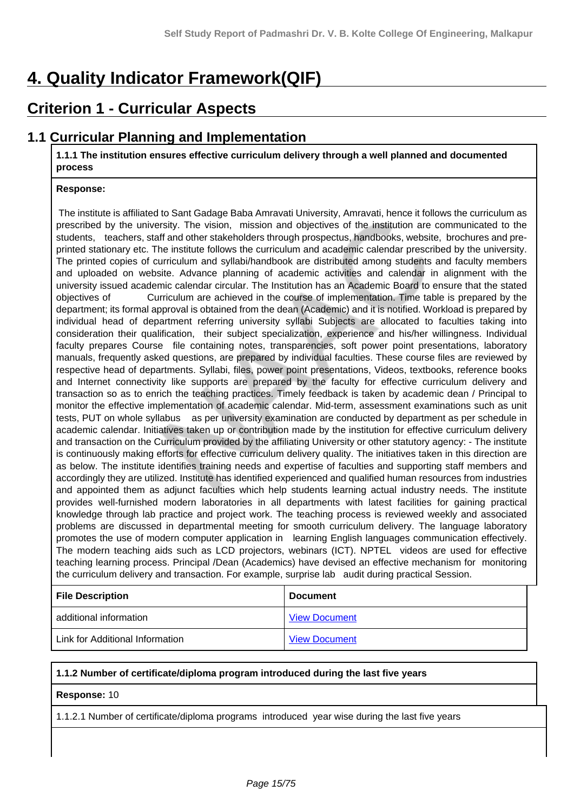## **4. Quality Indicator Framework(QIF)**

## **Criterion 1 - Curricular Aspects**

## **1.1 Curricular Planning and Implementation**

 **1.1.1 The institution ensures effective curriculum delivery through a well planned and documented process** 

## **Response:**

 The institute is affiliated to Sant Gadage Baba Amravati University, Amravati, hence it follows the curriculum as prescribed by the university. The vision, mission and objectives of the institution are communicated to the students, teachers, staff and other stakeholders through prospectus, handbooks, website, brochures and preprinted stationary etc. The institute follows the curriculum and academic calendar prescribed by the university. The printed copies of curriculum and syllabi/handbook are distributed among students and faculty members and uploaded on website. Advance planning of academic activities and calendar in alignment with the university issued academic calendar circular. The Institution has an Academic Board to ensure that the stated objectives of Curriculum are achieved in the course of implementation. Time table is prepared by the department; its formal approval is obtained from the dean (Academic) and it is notified. Workload is prepared by individual head of department referring university syllabi Subjects are allocated to faculties taking into consideration their qualification, their subject specialization, experience and his/her willingness. Individual faculty prepares Course file containing notes, transparencies, soft power point presentations, laboratory manuals, frequently asked questions, are prepared by individual faculties. These course files are reviewed by respective head of departments. Syllabi, files, power point presentations, Videos, textbooks, reference books and Internet connectivity like supports are prepared by the faculty for effective curriculum delivery and transaction so as to enrich the teaching practices. Timely feedback is taken by academic dean / Principal to monitor the effective implementation of academic calendar. Mid-term, assessment examinations such as unit tests, PUT on whole syllabus as per university examination are conducted by department as per schedule in academic calendar. Initiatives taken up or contribution made by the institution for effective curriculum delivery and transaction on the Curriculum provided by the affiliating University or other statutory agency: - The institute is continuously making efforts for effective curriculum delivery quality. The initiatives taken in this direction are as below. The institute identifies training needs and expertise of faculties and supporting staff members and accordingly they are utilized. Institute has identified experienced and qualified human resources from industries and appointed them as adjunct faculties which help students learning actual industry needs. The institute provides well-furnished modern laboratories in all departments with latest facilities for gaining practical knowledge through lab practice and project work. The teaching process is reviewed weekly and associated problems are discussed in departmental meeting for smooth curriculum delivery. The language laboratory promotes the use of modern computer application in learning English languages communication effectively. The modern teaching aids such as LCD projectors, webinars (ICT). NPTEL videos are used for effective teaching learning process. Principal /Dean (Academics) have devised an effective mechanism for monitoring the curriculum delivery and transaction. For example, surprise lab audit during practical Session.

| <b>File Description</b>         | <b>Document</b>      |
|---------------------------------|----------------------|
| additional information          | <b>View Document</b> |
| Link for Additional Information | <b>View Document</b> |

## **1.1.2 Number of certificate/diploma program introduced during the last five years**

## **Response:** 10

1.1.2.1 Number of certificate/diploma programs introduced year wise during the last five years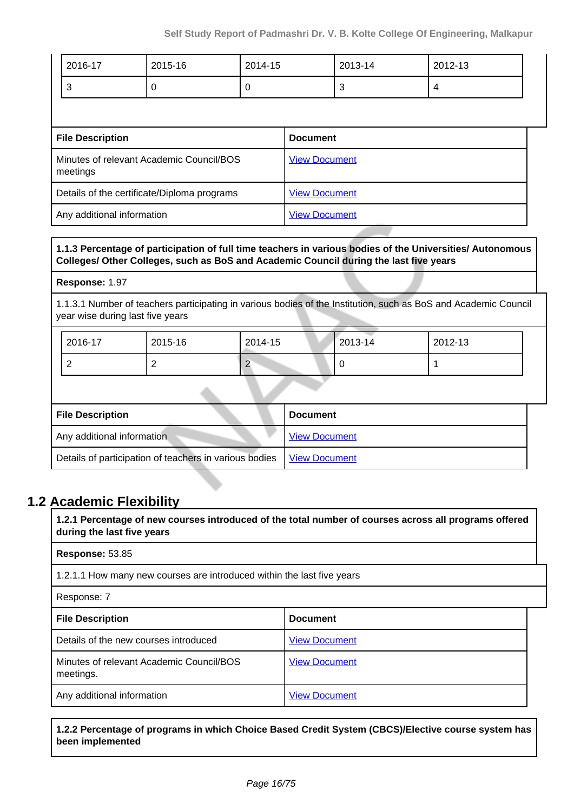|                         | 2016-17                                              | 2015-16 | 2014-15         |                      | 2013-14 | 2012-13 |
|-------------------------|------------------------------------------------------|---------|-----------------|----------------------|---------|---------|
|                         | 3                                                    | 0       | 0               |                      | 3       | 4       |
|                         |                                                      |         |                 |                      |         |         |
| <b>File Description</b> |                                                      |         | <b>Document</b> |                      |         |         |
|                         | Minutes of relevant Academic Council/BOS<br>meetings |         |                 | <b>View Document</b> |         |         |
|                         | Details of the certificate/Diploma programs          |         |                 | <b>View Document</b> |         |         |
|                         |                                                      |         |                 |                      |         |         |

 **1.1.3 Percentage of participation of full time teachers in various bodies of the Universities/ Autonomous Colleges/ Other Colleges, such as BoS and Academic Council during the last five years**

Any additional information View Document

**Response:** 1.97

1.1.3.1 Number of teachers participating in various bodies of the Institution, such as BoS and Academic Council year wise during last five years

| 2016-17 | 2015-16 | 2014-15 | 2013-14 | 2012-13 |
|---------|---------|---------|---------|---------|
|         |         |         | v       |         |

| File Description                                       | <b>Document</b>      |
|--------------------------------------------------------|----------------------|
| Any additional information                             | <b>View Document</b> |
| Details of participation of teachers in various bodies | <b>View Document</b> |

## **1.2 Academic Flexibility**

 **1.2.1 Percentage of new courses introduced of the total number of courses across all programs offered during the last five years**

| <b>UUITILY LIIG IQOL IIVG YGAIO</b>                                    |                      |  |  |  |
|------------------------------------------------------------------------|----------------------|--|--|--|
| Response: 53.85                                                        |                      |  |  |  |
| 1.2.1.1 How many new courses are introduced within the last five years |                      |  |  |  |
| Response: 7                                                            |                      |  |  |  |
| <b>File Description</b>                                                | <b>Document</b>      |  |  |  |
| Details of the new courses introduced                                  | <b>View Document</b> |  |  |  |
| Minutes of relevant Academic Council/BOS<br>meetings.                  | <b>View Document</b> |  |  |  |
| Any additional information                                             | <b>View Document</b> |  |  |  |

 **1.2.2 Percentage of programs in which Choice Based Credit System (CBCS)/Elective course system has been implemented**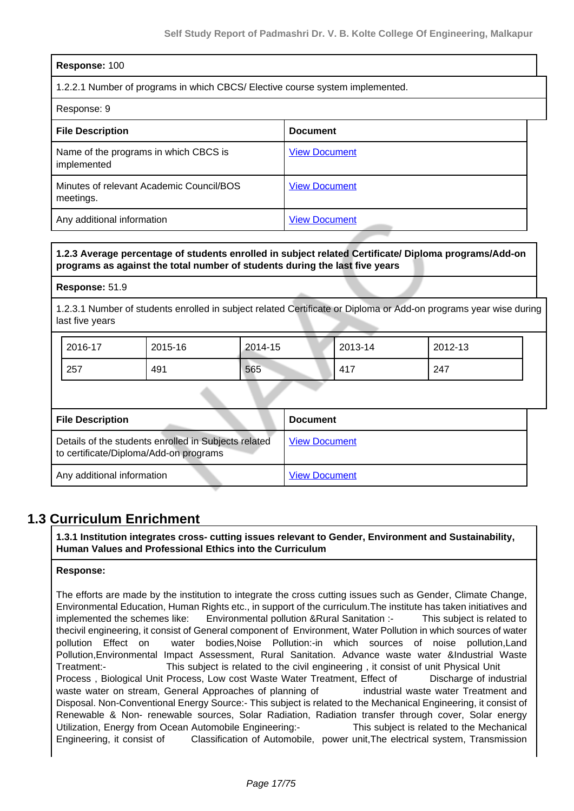| Response: 100                                                                 |                      |  |  |  |
|-------------------------------------------------------------------------------|----------------------|--|--|--|
| 1.2.2.1 Number of programs in which CBCS/ Elective course system implemented. |                      |  |  |  |
| Response: 9                                                                   |                      |  |  |  |
| <b>File Description</b>                                                       | <b>Document</b>      |  |  |  |
| Name of the programs in which CBCS is<br>implemented                          | <b>View Document</b> |  |  |  |
| Minutes of relevant Academic Council/BOS<br>meetings.                         | <b>View Document</b> |  |  |  |
| Any additional information                                                    | <b>View Document</b> |  |  |  |

#### **1.2.3 Average percentage of students enrolled in subject related Certificate/ Diploma programs/Add-on programs as against the total number of students during the last five years**

### **Response:** 51.9

1.2.3.1 Number of students enrolled in subject related Certificate or Diploma or Add-on programs year wise during last five years

| 2016-17 | 2015-16 | 2014-15 | 2013-14 | 2012-13 |
|---------|---------|---------|---------|---------|
| 257     | 491     | 565     | 417     | 247     |

| <b>File Description</b>                                                                        | <b>Document</b>      |
|------------------------------------------------------------------------------------------------|----------------------|
| Details of the students enrolled in Subjects related<br>to certificate/Diploma/Add-on programs | <b>View Document</b> |
| Any additional information                                                                     | <b>View Document</b> |

## **1.3 Curriculum Enrichment**

 **1.3.1 Institution integrates cross- cutting issues relevant to Gender, Environment and Sustainability, Human Values and Professional Ethics into the Curriculum**

### **Response:**

The efforts are made by the institution to integrate the cross cutting issues such as Gender, Climate Change, Environmental Education, Human Rights etc., in support of the curriculum.The institute has taken initiatives and implemented the schemes like: Environmental pollution &Rural Sanitation :- This subject is related to thecivil engineering, it consist of General component of Environment, Water Pollution in which sources of water pollution Effect on water bodies,Noise Pollution:-in which sources of noise pollution,Land Pollution,Environmental Impact Assessment, Rural Sanitation. Advance waste water &Industrial Waste Treatment:- This subject is related to the civil engineering , it consist of unit Physical Unit Process, Biological Unit Process, Low cost Waste Water Treatment, Effect of Discharge of industrial waste water on stream, General Approaches of planning of industrial waste water Treatment and Disposal. Non-Conventional Energy Source:- This subject is related to the Mechanical Engineering, it consist of Renewable & Non- renewable sources, Solar Radiation, Radiation transfer through cover, Solar energy Utilization, Energy from Ocean Automobile Engineering:- This subject is related to the Mechanical Engineering, it consist of Classification of Automobile, power unit,The electrical system, Transmission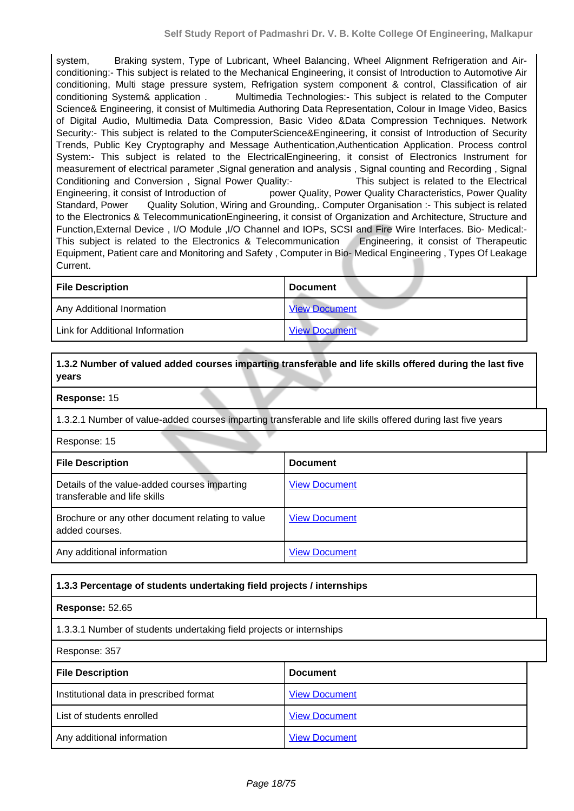system, Braking system, Type of Lubricant, Wheel Balancing, Wheel Alignment Refrigeration and Airconditioning:- This subject is related to the Mechanical Engineering, it consist of Introduction to Automotive Air conditioning, Multi stage pressure system, Refrigation system component & control, Classification of air conditioning System& application . Multimedia Technologies:- This subject is related to the Computer Science& Engineering, it consist of Multimedia Authoring Data Representation, Colour in Image Video, Basics of Digital Audio, Multimedia Data Compression, Basic Video &Data Compression Techniques. Network Security:- This subject is related to the ComputerScience&Engineering, it consist of Introduction of Security Trends, Public Key Cryptography and Message Authentication,Authentication Application. Process control System:- This subject is related to the ElectricalEngineering, it consist of Electronics Instrument for measurement of electrical parameter ,Signal generation and analysis , Signal counting and Recording , Signal Conditioning and Conversion , Signal Power Quality:- This subject is related to the Electrical Engineering, it consist of Introduction of power Quality, Power Quality Characteristics, Power Quality Standard, Power Quality Solution, Wiring and Grounding,. Computer Organisation :- This subject is related to the Electronics & TelecommunicationEngineering, it consist of Organization and Architecture, Structure and Function,External Device , I/O Module ,I/O Channel and IOPs, SCSI and Fire Wire Interfaces. Bio- Medical:- This subject is related to the Electronics & Telecommunication Engineering, it consist of Therapeutic Equipment, Patient care and Monitoring and Safety , Computer in Bio- Medical Engineering , Types Of Leakage Current.

| <b>File Description</b>         | <b>Document</b>      |
|---------------------------------|----------------------|
| Any Additional Inormation       | <b>View Document</b> |
| Link for Additional Information | <b>View Document</b> |

## **1.3.2 Number of valued added courses imparting transferable and life skills offered during the last five years**

**Response:** 15

1.3.2.1 Number of value-added courses imparting transferable and life skills offered during last five years

Response: 15

| <b>File Description</b>                                                      | <b>Document</b>      |  |
|------------------------------------------------------------------------------|----------------------|--|
| Details of the value-added courses imparting<br>transferable and life skills | <b>View Document</b> |  |
| Brochure or any other document relating to value<br>added courses.           | <b>View Document</b> |  |
| Any additional information                                                   | <b>View Document</b> |  |

| 1.3.3 Percentage of students undertaking field projects / internships |                      |  |
|-----------------------------------------------------------------------|----------------------|--|
| <b>Response: 52.65</b>                                                |                      |  |
| 1.3.3.1 Number of students undertaking field projects or internships  |                      |  |
| Response: 357                                                         |                      |  |
| <b>File Description</b>                                               | <b>Document</b>      |  |
| Institutional data in prescribed format                               | <b>View Document</b> |  |
| List of students enrolled                                             | <b>View Document</b> |  |
| Any additional information                                            | <b>View Document</b> |  |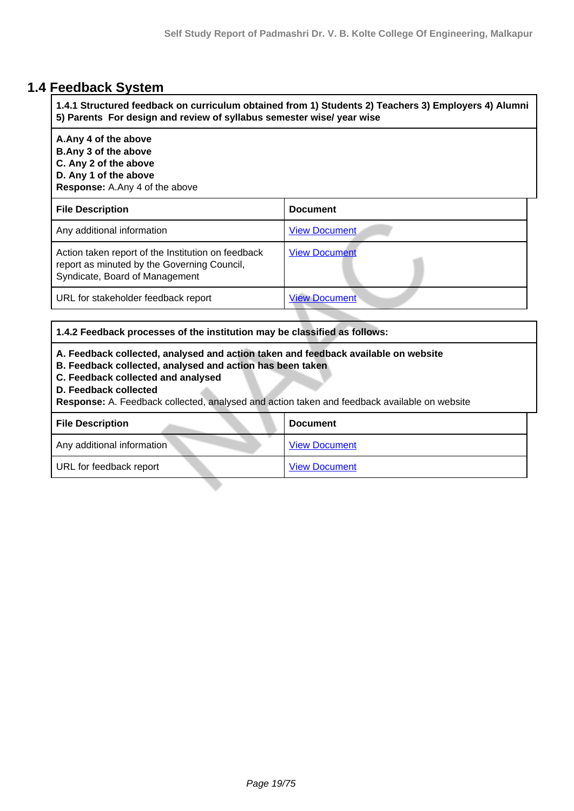## **1.4 Feedback System**

 **1.4.1 Structured feedback on curriculum obtained from 1) Students 2) Teachers 3) Employers 4) Alumni 5) Parents For design and review of syllabus semester wise/ year wise** 

| A.Any 4 of the above<br>B.Any 3 of the above<br>C. Any 2 of the above<br>D. Any 1 of the above<br>Response: A.Any 4 of the above    |                      |
|-------------------------------------------------------------------------------------------------------------------------------------|----------------------|
| <b>File Description</b>                                                                                                             | <b>Document</b>      |
| Any additional information                                                                                                          | <b>View Document</b> |
| Action taken report of the Institution on feedback<br>report as minuted by the Governing Council,<br>Syndicate, Board of Management | <b>View Document</b> |
| URL for stakeholder feedback report                                                                                                 | <b>View Document</b> |

**A. Feedback collected, analysed and action taken and feedback available on website**

- **B. Feedback collected, analysed and action has been taken**
- **C. Feedback collected and analysed**

**D. Feedback collected**

**Response:** A. Feedback collected, analysed and action taken and feedback available on website

| <b>File Description</b>    | <b>Document</b>      |
|----------------------------|----------------------|
| Any additional information | <b>View Document</b> |
| URL for feedback report    | <b>View Document</b> |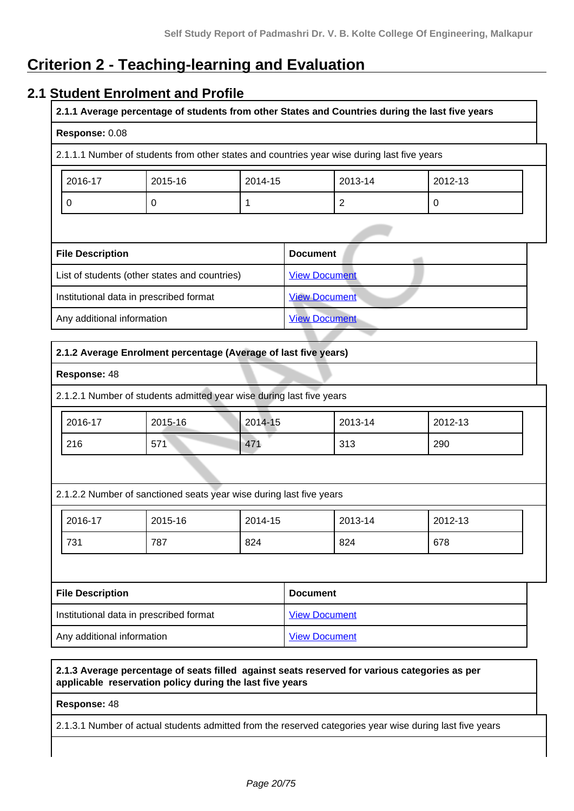٦

## **Criterion 2 - Teaching-learning and Evaluation**

## **2.1 Student Enrolment and Profile**

**2.1.1 Average percentage of students from other States and Countries during the last five years**

|                                         | Response: 0.08                                                       |         |              |                                                                                             |         |  |
|-----------------------------------------|----------------------------------------------------------------------|---------|--------------|---------------------------------------------------------------------------------------------|---------|--|
|                                         |                                                                      |         |              | 2.1.1.1 Number of students from other states and countries year wise during last five years |         |  |
|                                         | 2016-17                                                              | 2015-16 | 2014-15      | 2013-14                                                                                     | 2012-13 |  |
|                                         | $\pmb{0}$                                                            | 0       | $\mathbf{1}$ | $\overline{2}$                                                                              | 0       |  |
|                                         |                                                                      |         |              |                                                                                             |         |  |
|                                         | <b>File Description</b>                                              |         |              | <b>Document</b>                                                                             |         |  |
|                                         | List of students (other states and countries)                        |         |              | <b>View Document</b>                                                                        |         |  |
|                                         | Institutional data in prescribed format                              |         |              | <b>View Document</b>                                                                        |         |  |
|                                         | Any additional information                                           |         |              | <b>View Document</b>                                                                        |         |  |
|                                         |                                                                      |         |              |                                                                                             |         |  |
|                                         | 2.1.2 Average Enrolment percentage (Average of last five years)      |         |              |                                                                                             |         |  |
|                                         | Response: 48                                                         |         |              |                                                                                             |         |  |
|                                         | 2.1.2.1 Number of students admitted year wise during last five years |         |              |                                                                                             |         |  |
|                                         | 2016-17                                                              | 2015-16 | 2014-15      | 2013-14                                                                                     | 2012-13 |  |
|                                         | 216                                                                  | 571     | 471          | 313                                                                                         | 290     |  |
|                                         |                                                                      |         |              |                                                                                             |         |  |
|                                         | 2.1.2.2 Number of sanctioned seats year wise during last five years  |         |              |                                                                                             |         |  |
|                                         | 2016-17                                                              | 2015-16 | 2014-15      | 2013-14                                                                                     | 2012-13 |  |
|                                         | 731                                                                  | 787     | 824          | 824                                                                                         | 678     |  |
|                                         |                                                                      |         |              |                                                                                             |         |  |
|                                         |                                                                      |         |              |                                                                                             |         |  |
|                                         | <b>File Description</b>                                              |         |              | <b>Document</b>                                                                             |         |  |
| Institutional data in prescribed format |                                                                      |         |              | <b>View Document</b>                                                                        |         |  |
|                                         | Any additional information                                           |         |              | <b>View Document</b>                                                                        |         |  |

**applicable reservation policy during the last five years**

**Response:** 48

2.1.3.1 Number of actual students admitted from the reserved categories year wise during last five years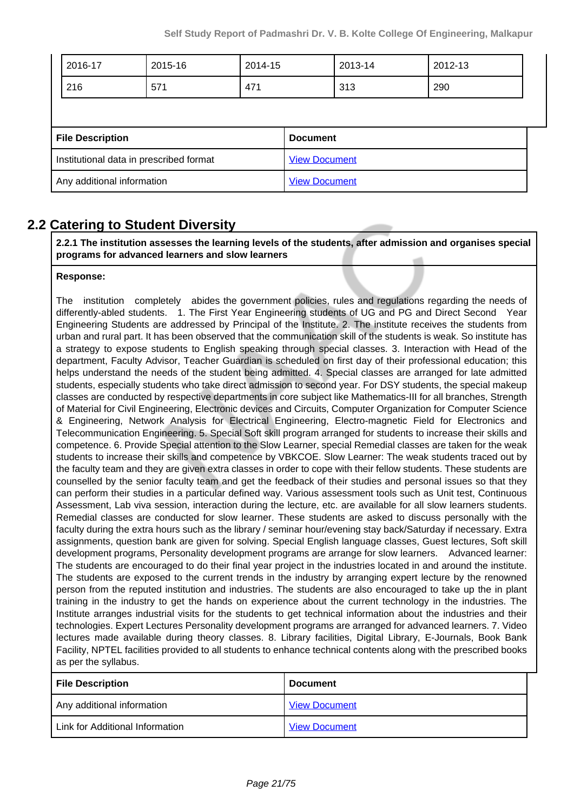|                                         | 2016-17                    | 2015-16              | 2014-15         |                      | 2013-14 | 2012-13 |
|-----------------------------------------|----------------------------|----------------------|-----------------|----------------------|---------|---------|
|                                         | 216                        | 571                  | 471             |                      | 313     | 290     |
|                                         |                            |                      |                 |                      |         |         |
| <b>File Description</b>                 |                            |                      | <b>Document</b> |                      |         |         |
| Institutional data in prescribed format |                            | <b>View Document</b> |                 |                      |         |         |
|                                         | Any additional information |                      |                 | <b>View Document</b> |         |         |

## **2.2 Catering to Student Diversity**

 **2.2.1 The institution assesses the learning levels of the students, after admission and organises special programs for advanced learners and slow learners**

### **Response:**

The institution completely abides the government policies, rules and regulations regarding the needs of differently-abled students. 1. The First Year Engineering students of UG and PG and Direct Second Year Engineering Students are addressed by Principal of the Institute. 2. The institute receives the students from urban and rural part. It has been observed that the communication skill of the students is weak. So institute has a strategy to expose students to English speaking through special classes. 3. Interaction with Head of the department, Faculty Advisor, Teacher Guardian is scheduled on first day of their professional education; this helps understand the needs of the student being admitted. 4. Special classes are arranged for late admitted students, especially students who take direct admission to second year. For DSY students, the special makeup classes are conducted by respective departments in core subject like Mathematics-III for all branches, Strength of Material for Civil Engineering, Electronic devices and Circuits, Computer Organization for Computer Science & Engineering, Network Analysis for Electrical Engineering, Electro-magnetic Field for Electronics and Telecommunication Engineering. 5. Special Soft skill program arranged for students to increase their skills and competence. 6. Provide Special attention to the Slow Learner, special Remedial classes are taken for the weak students to increase their skills and competence by VBKCOE. Slow Learner: The weak students traced out by the faculty team and they are given extra classes in order to cope with their fellow students. These students are counselled by the senior faculty team and get the feedback of their studies and personal issues so that they can perform their studies in a particular defined way. Various assessment tools such as Unit test, Continuous Assessment, Lab viva session, interaction during the lecture, etc. are available for all slow learners students. Remedial classes are conducted for slow learner. These students are asked to discuss personally with the faculty during the extra hours such as the library / seminar hour/evening stay back/Saturday if necessary. Extra assignments, question bank are given for solving. Special English language classes, Guest lectures, Soft skill development programs, Personality development programs are arrange for slow learners. Advanced learner: The students are encouraged to do their final year project in the industries located in and around the institute. The students are exposed to the current trends in the industry by arranging expert lecture by the renowned person from the reputed institution and industries. The students are also encouraged to take up the in plant training in the industry to get the hands on experience about the current technology in the industries. The Institute arranges industrial visits for the students to get technical information about the industries and their technologies. Expert Lectures Personality development programs are arranged for advanced learners. 7. Video lectures made available during theory classes. 8. Library facilities, Digital Library, E-Journals, Book Bank Facility, NPTEL facilities provided to all students to enhance technical contents along with the prescribed books as per the syllabus.

| <b>File Description</b>         | <b>Document</b>      |
|---------------------------------|----------------------|
| Any additional information      | <b>View Document</b> |
| Link for Additional Information | <b>View Document</b> |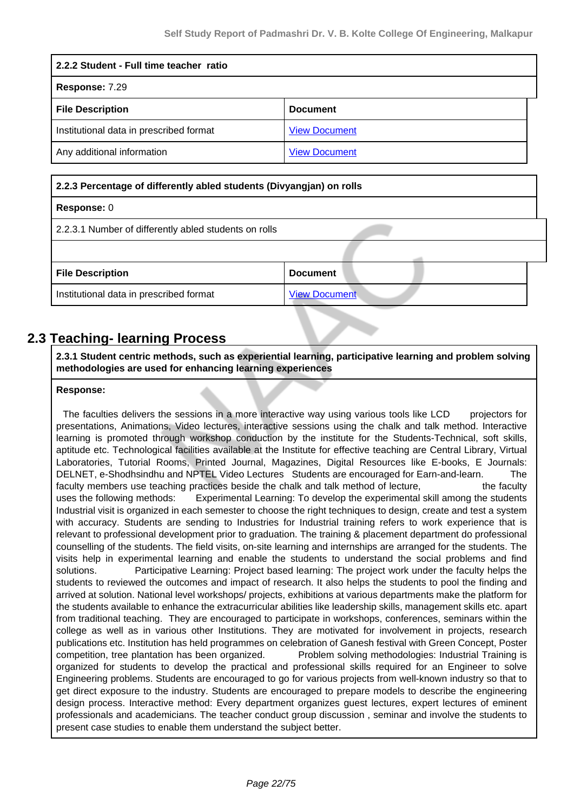| Response: 7.29                             |                      |
|--------------------------------------------|----------------------|
| <b>File Description</b><br><b>Document</b> |                      |
| Institutional data in prescribed format    | <b>View Document</b> |
| Any additional information                 | <b>View Document</b> |

## **2.2.3 Percentage of differently abled students (Divyangjan) on rolls**

| Response: 0                                           |                      |
|-------------------------------------------------------|----------------------|
| 2.2.3.1 Number of differently abled students on rolls |                      |
|                                                       |                      |
| <b>File Description</b>                               | <b>Document</b>      |
| Institutional data in prescribed format               | <b>View Document</b> |

## **2.3 Teaching- learning Process**

 **2.3.1 Student centric methods, such as experiential learning, participative learning and problem solving methodologies are used for enhancing learning experiences**

### **Response:**

The faculties delivers the sessions in a more interactive way using various tools like LCD projectors for presentations, Animations, Video lectures, interactive sessions using the chalk and talk method. Interactive learning is promoted through workshop conduction by the institute for the Students-Technical, soft skills, aptitude etc. Technological facilities available at the Institute for effective teaching are Central Library, Virtual Laboratories, Tutorial Rooms, Printed Journal, Magazines, Digital Resources like E-books, E Journals: DELNET, e-Shodhsindhu and NPTEL Video Lectures Students are encouraged for Earn-and-learn. The faculty members use teaching practices beside the chalk and talk method of lecture, the faculty uses the following methods: Experimental Learning: To develop the experimental skill among the students Industrial visit is organized in each semester to choose the right techniques to design, create and test a system with accuracy. Students are sending to Industries for Industrial training refers to work experience that is relevant to professional development prior to graduation. The training & placement department do professional counselling of the students. The field visits, on-site learning and internships are arranged for the students. The visits help in experimental learning and enable the students to understand the social problems and find solutions. Participative Learning: Project based learning: The project work under the faculty helps the students to reviewed the outcomes and impact of research. It also helps the students to pool the finding and arrived at solution. National level workshops/ projects, exhibitions at various departments make the platform for the students available to enhance the extracurricular abilities like leadership skills, management skills etc. apart from traditional teaching. They are encouraged to participate in workshops, conferences, seminars within the college as well as in various other Institutions. They are motivated for involvement in projects, research publications etc. Institution has held programmes on celebration of Ganesh festival with Green Concept, Poster competition, tree plantation has been organized. Problem solving methodologies: Industrial Training is organized for students to develop the practical and professional skills required for an Engineer to solve Engineering problems. Students are encouraged to go for various projects from well-known industry so that to get direct exposure to the industry. Students are encouraged to prepare models to describe the engineering design process. Interactive method: Every department organizes guest lectures, expert lectures of eminent professionals and academicians. The teacher conduct group discussion , seminar and involve the students to present case studies to enable them understand the subject better.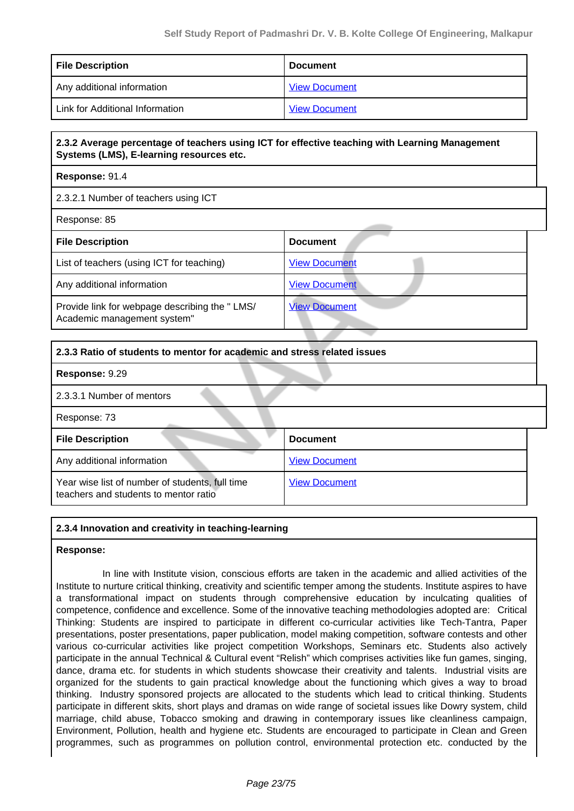| File Description                | <b>Document</b>      |
|---------------------------------|----------------------|
| Any additional information      | <b>View Document</b> |
| Link for Additional Information | <b>View Document</b> |

## **2.3.2 Average percentage of teachers using ICT for effective teaching with Learning Management Systems (LMS), E-learning resources etc.**

**Response:** 91.4

2.3.2.1 Number of teachers using ICT

Response: 85

| <b>File Description</b>                                                      | <b>Document</b>      |
|------------------------------------------------------------------------------|----------------------|
| List of teachers (using ICT for teaching)                                    | <b>View Document</b> |
| Any additional information                                                   | <b>View Document</b> |
| Provide link for webpage describing the "LMS/<br>Academic management system" | <b>View Document</b> |

| Response: 9.29                                                                           |                      |  |
|------------------------------------------------------------------------------------------|----------------------|--|
| 2.3.3.1 Number of mentors                                                                |                      |  |
| Response: 73                                                                             |                      |  |
| <b>File Description</b>                                                                  | <b>Document</b>      |  |
| Any additional information                                                               | <b>View Document</b> |  |
| Year wise list of number of students, full time<br>teachers and students to mentor ratio | <b>View Document</b> |  |

### **2.3.4 Innovation and creativity in teaching-learning**

### **Response:**

 In line with Institute vision, conscious efforts are taken in the academic and allied activities of the Institute to nurture critical thinking, creativity and scientific temper among the students. Institute aspires to have a transformational impact on students through comprehensive education by inculcating qualities of competence, confidence and excellence. Some of the innovative teaching methodologies adopted are: Critical Thinking: Students are inspired to participate in different co-curricular activities like Tech-Tantra, Paper presentations, poster presentations, paper publication, model making competition, software contests and other various co-curricular activities like project competition Workshops, Seminars etc. Students also actively participate in the annual Technical & Cultural event "Relish" which comprises activities like fun games, singing, dance, drama etc. for students in which students showcase their creativity and talents. Industrial visits are organized for the students to gain practical knowledge about the functioning which gives a way to broad thinking. Industry sponsored projects are allocated to the students which lead to critical thinking. Students participate in different skits, short plays and dramas on wide range of societal issues like Dowry system, child marriage, child abuse, Tobacco smoking and drawing in contemporary issues like cleanliness campaign, Environment, Pollution, health and hygiene etc. Students are encouraged to participate in Clean and Green programmes, such as programmes on pollution control, environmental protection etc. conducted by the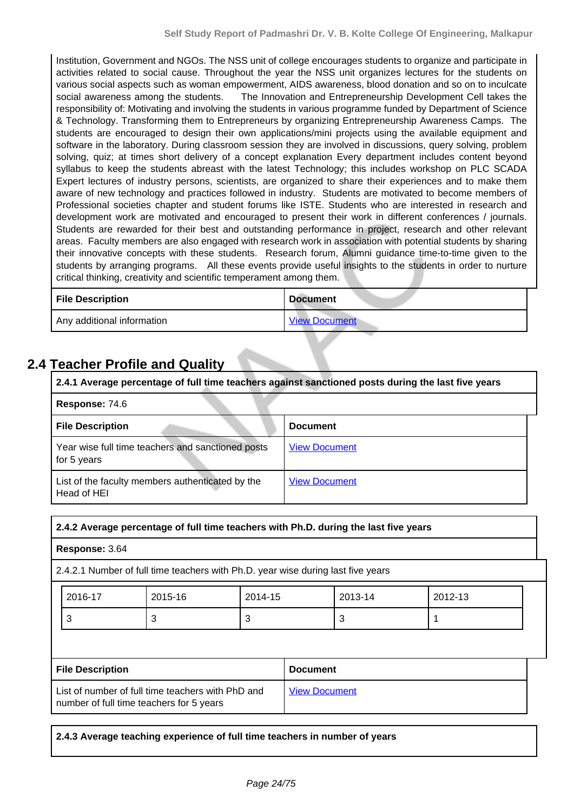Institution, Government and NGOs. The NSS unit of college encourages students to organize and participate in activities related to social cause. Throughout the year the NSS unit organizes lectures for the students on various social aspects such as woman empowerment, AIDS awareness, blood donation and so on to inculcate social awareness among the students. The Innovation and Entrepreneurship Development Cell takes the responsibility of: Motivating and involving the students in various programme funded by Department of Science & Technology. Transforming them to Entrepreneurs by organizing Entrepreneurship Awareness Camps. The students are encouraged to design their own applications/mini projects using the available equipment and software in the laboratory. During classroom session they are involved in discussions, query solving, problem solving, quiz; at times short delivery of a concept explanation Every department includes content beyond syllabus to keep the students abreast with the latest Technology; this includes workshop on PLC SCADA Expert lectures of industry persons, scientists, are organized to share their experiences and to make them aware of new technology and practices followed in industry. Students are motivated to become members of Professional societies chapter and student forums like ISTE. Students who are interested in research and development work are motivated and encouraged to present their work in different conferences / journals. Students are rewarded for their best and outstanding performance in project, research and other relevant areas. Faculty members are also engaged with research work in association with potential students by sharing their innovative concepts with these students. Research forum, Alumni guidance time-to-time given to the students by arranging programs. All these events provide useful insights to the students in order to nurture critical thinking, creativity and scientific temperament among them.

| File Description           | <b>Document</b>      |
|----------------------------|----------------------|
| Any additional information | <b>View Document</b> |

## **2.4 Teacher Profile and Quality**

| Response: 74.6                                                   |                      |  |
|------------------------------------------------------------------|----------------------|--|
| <b>File Description</b>                                          | <b>Document</b>      |  |
| Year wise full time teachers and sanctioned posts<br>for 5 years | <b>View Document</b> |  |
| List of the faculty members authenticated by the<br>Head of HEI  | <b>View Document</b> |  |

| Response: 3.64                                                                                |         |         |                                                                                  |         |  |
|-----------------------------------------------------------------------------------------------|---------|---------|----------------------------------------------------------------------------------|---------|--|
|                                                                                               |         |         | 2.4.2.1 Number of full time teachers with Ph.D. year wise during last five years |         |  |
| 2016-17                                                                                       | 2015-16 | 2014-15 | 2013-14                                                                          | 2012-13 |  |
| 3                                                                                             | 3       | 3       | 3                                                                                |         |  |
|                                                                                               |         |         |                                                                                  |         |  |
| <b>File Description</b>                                                                       |         |         | <b>Document</b>                                                                  |         |  |
| List of number of full time teachers with PhD and<br>number of full time teachers for 5 years |         |         |                                                                                  |         |  |

### **2.4.3 Average teaching experience of full time teachers in number of years**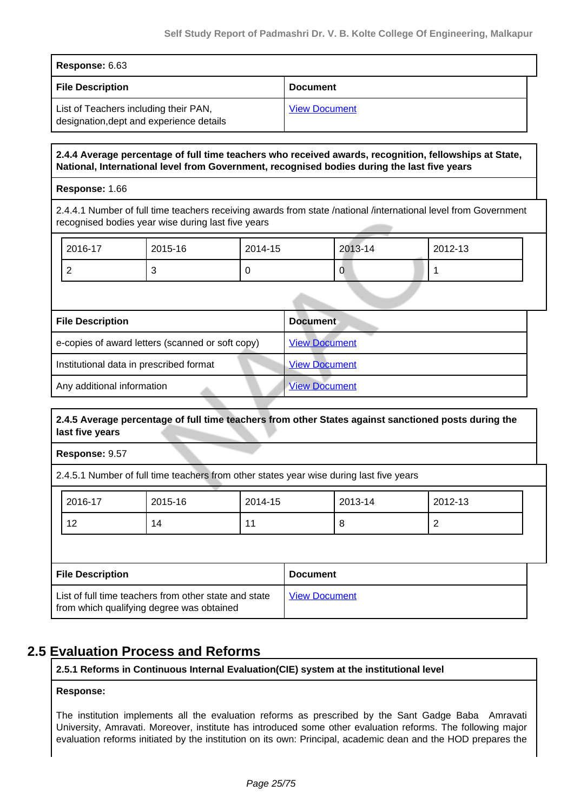| Response: 6.63                                                                    |                      |  |
|-----------------------------------------------------------------------------------|----------------------|--|
| <b>File Description</b>                                                           | <b>Document</b>      |  |
| List of Teachers including their PAN,<br>designation, dept and experience details | <b>View Document</b> |  |

## **2.4.4 Average percentage of full time teachers who received awards, recognition, fellowships at State, National, International level from Government, recognised bodies during the last five years**

#### **Response:** 1.66

2.4.4.1 Number of full time teachers receiving awards from state /national /international level from Government recognised bodies year wise during last five years

| 2016-17 | 2015-16 | 2014-15 | 2013-14 | 2012-13 |
|---------|---------|---------|---------|---------|
|         | ີ       |         | υ       |         |

| <b>File Description</b>                          | <b>Document</b>      |
|--------------------------------------------------|----------------------|
| e-copies of award letters (scanned or soft copy) | <b>View Document</b> |
| Institutional data in prescribed format          | <b>View Document</b> |
| Any additional information                       | <b>View Document</b> |

## **2.4.5 Average percentage of full time teachers from other States against sanctioned posts during the last five years**

**Response:** 9.57

2.4.5.1 Number of full time teachers from other states year wise during last five years

| 2016-17 | 2015-16 | 2014-15 | 2013-14 | 2012-13 |
|---------|---------|---------|---------|---------|
| 12      | 14      | -4      | O       | _       |

| <b>File Description</b>                                                                            | <b>Document</b>      |
|----------------------------------------------------------------------------------------------------|----------------------|
| List of full time teachers from other state and state<br>from which qualifying degree was obtained | <b>View Document</b> |

## **2.5 Evaluation Process and Reforms**

### **2.5.1 Reforms in Continuous Internal Evaluation(CIE) system at the institutional level**

#### **Response:**

The institution implements all the evaluation reforms as prescribed by the Sant Gadge Baba Amravati University, Amravati. Moreover, institute has introduced some other evaluation reforms. The following major evaluation reforms initiated by the institution on its own: Principal, academic dean and the HOD prepares the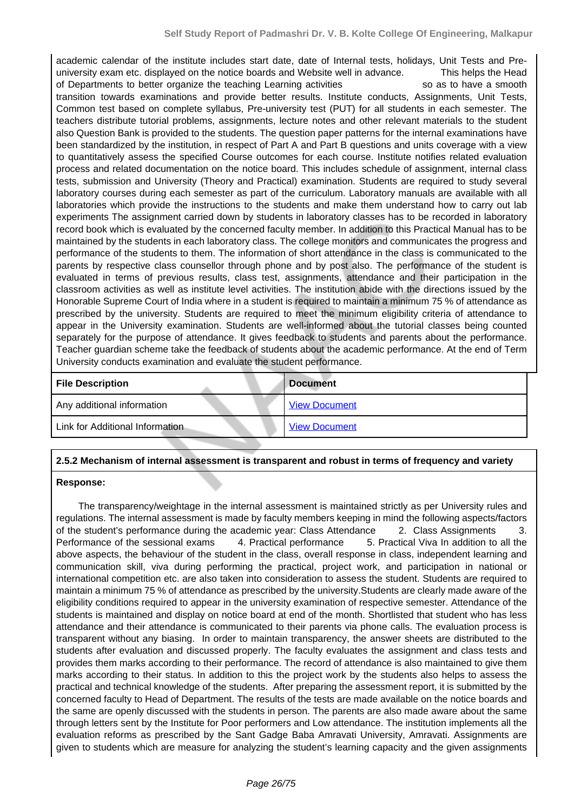academic calendar of the institute includes start date, date of Internal tests, holidays, Unit Tests and Preuniversity exam etc. displayed on the notice boards and Website well in advance. This helps the Head of Departments to better organize the teaching Learning activities so as to have a smooth transition towards examinations and provide better results. Institute conducts, Assignments, Unit Tests, Common test based on complete syllabus, Pre-university test (PUT) for all students in each semester. The teachers distribute tutorial problems, assignments, lecture notes and other relevant materials to the student also Question Bank is provided to the students. The question paper patterns for the internal examinations have been standardized by the institution, in respect of Part A and Part B questions and units coverage with a view to quantitatively assess the specified Course outcomes for each course. Institute notifies related evaluation process and related documentation on the notice board. This includes schedule of assignment, internal class tests, submission and University (Theory and Practical) examination. Students are required to study several laboratory courses during each semester as part of the curriculum. Laboratory manuals are available with all laboratories which provide the instructions to the students and make them understand how to carry out lab experiments The assignment carried down by students in laboratory classes has to be recorded in laboratory record book which is evaluated by the concerned faculty member. In addition to this Practical Manual has to be maintained by the students in each laboratory class. The college monitors and communicates the progress and performance of the students to them. The information of short attendance in the class is communicated to the parents by respective class counsellor through phone and by post also. The performance of the student is evaluated in terms of previous results, class test, assignments, attendance and their participation in the classroom activities as well as institute level activities. The institution abide with the directions issued by the Honorable Supreme Court of India where in a student is required to maintain a minimum 75 % of attendance as prescribed by the university. Students are required to meet the minimum eligibility criteria of attendance to appear in the University examination. Students are well-informed about the tutorial classes being counted separately for the purpose of attendance. It gives feedback to students and parents about the performance. Teacher guardian scheme take the feedback of students about the academic performance. At the end of Term University conducts examination and evaluate the student performance.

| <b>File Description</b>         | <b>Document</b>      |
|---------------------------------|----------------------|
| Any additional information      | <b>View Document</b> |
| Link for Additional Information | <b>View Document</b> |

## **2.5.2 Mechanism of internal assessment is transparent and robust in terms of frequency and variety**

### **Response:**

 The transparency/weightage in the internal assessment is maintained strictly as per University rules and regulations. The internal assessment is made by faculty members keeping in mind the following aspects/factors of the student's performance during the academic year: Class Attendance 2. Class Assignments 3. Performance of the sessional exams 4. Practical performance 5. Practical Viva In addition to all the above aspects, the behaviour of the student in the class, overall response in class, independent learning and communication skill, viva during performing the practical, project work, and participation in national or international competition etc. are also taken into consideration to assess the student. Students are required to maintain a minimum 75 % of attendance as prescribed by the university.Students are clearly made aware of the eligibility conditions required to appear in the university examination of respective semester. Attendance of the students is maintained and display on notice board at end of the month. Shortlisted that student who has less attendance and their attendance is communicated to their parents via phone calls. The evaluation process is transparent without any biasing. In order to maintain transparency, the answer sheets are distributed to the students after evaluation and discussed properly. The faculty evaluates the assignment and class tests and provides them marks according to their performance. The record of attendance is also maintained to give them marks according to their status. In addition to this the project work by the students also helps to assess the practical and technical knowledge of the students. After preparing the assessment report, it is submitted by the concerned faculty to Head of Department. The results of the tests are made available on the notice boards and the same are openly discussed with the students in person. The parents are also made aware about the same through letters sent by the Institute for Poor performers and Low attendance. The institution implements all the evaluation reforms as prescribed by the Sant Gadge Baba Amravati University, Amravati. Assignments are given to students which are measure for analyzing the student's learning capacity and the given assignments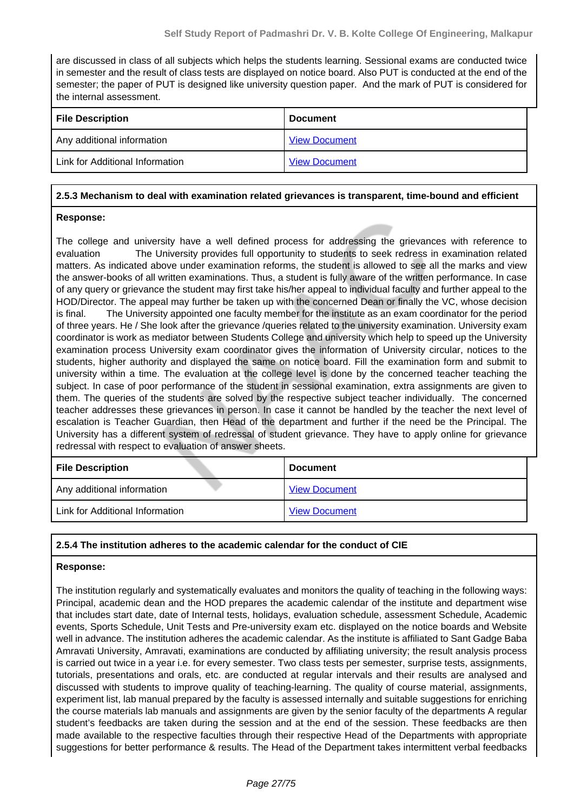are discussed in class of all subjects which helps the students learning. Sessional exams are conducted twice in semester and the result of class tests are displayed on notice board. Also PUT is conducted at the end of the semester; the paper of PUT is designed like university question paper. And the mark of PUT is considered for the internal assessment.

| <b>File Description</b>         | <b>Document</b>      |
|---------------------------------|----------------------|
| Any additional information      | <b>View Document</b> |
| Link for Additional Information | <b>View Document</b> |

## **2.5.3 Mechanism to deal with examination related grievances is transparent, time-bound and efficient**

### **Response:**

The college and university have a well defined process for addressing the grievances with reference to evaluation The University provides full opportunity to students to seek redress in examination related matters. As indicated above under examination reforms, the student is allowed to see all the marks and view the answer-books of all written examinations. Thus, a student is fully aware of the written performance. In case of any query or grievance the student may first take his/her appeal to individual faculty and further appeal to the HOD/Director. The appeal may further be taken up with the concerned Dean or finally the VC, whose decision is final. The University appointed one faculty member for the institute as an exam coordinator for the period of three years. He / She look after the grievance /queries related to the university examination. University exam coordinator is work as mediator between Students College and university which help to speed up the University examination process University exam coordinator gives the information of University circular, notices to the students, higher authority and displayed the same on notice board. Fill the examination form and submit to university within a time. The evaluation at the college level is done by the concerned teacher teaching the subject. In case of poor performance of the student in sessional examination, extra assignments are given to them. The queries of the students are solved by the respective subject teacher individually. The concerned teacher addresses these grievances in person. In case it cannot be handled by the teacher the next level of escalation is Teacher Guardian, then Head of the department and further if the need be the Principal. The University has a different system of redressal of student grievance. They have to apply online for grievance redressal with respect to evaluation of answer sheets.

| <b>File Description</b>         | <b>Document</b>      |
|---------------------------------|----------------------|
| Any additional information      | <b>View Document</b> |
| Link for Additional Information | <b>View Document</b> |

### **2.5.4 The institution adheres to the academic calendar for the conduct of CIE**

### **Response:**

The institution regularly and systematically evaluates and monitors the quality of teaching in the following ways: Principal, academic dean and the HOD prepares the academic calendar of the institute and department wise that includes start date, date of Internal tests, holidays, evaluation schedule, assessment Schedule, Academic events, Sports Schedule, Unit Tests and Pre-university exam etc. displayed on the notice boards and Website well in advance. The institution adheres the academic calendar. As the institute is affiliated to Sant Gadge Baba Amravati University, Amravati, examinations are conducted by affiliating university; the result analysis process is carried out twice in a year i.e. for every semester. Two class tests per semester, surprise tests, assignments, tutorials, presentations and orals, etc. are conducted at regular intervals and their results are analysed and discussed with students to improve quality of teaching-learning. The quality of course material, assignments, experiment list, lab manual prepared by the faculty is assessed internally and suitable suggestions for enriching the course materials lab manuals and assignments are given by the senior faculty of the departments A regular student's feedbacks are taken during the session and at the end of the session. These feedbacks are then made available to the respective faculties through their respective Head of the Departments with appropriate suggestions for better performance & results. The Head of the Department takes intermittent verbal feedbacks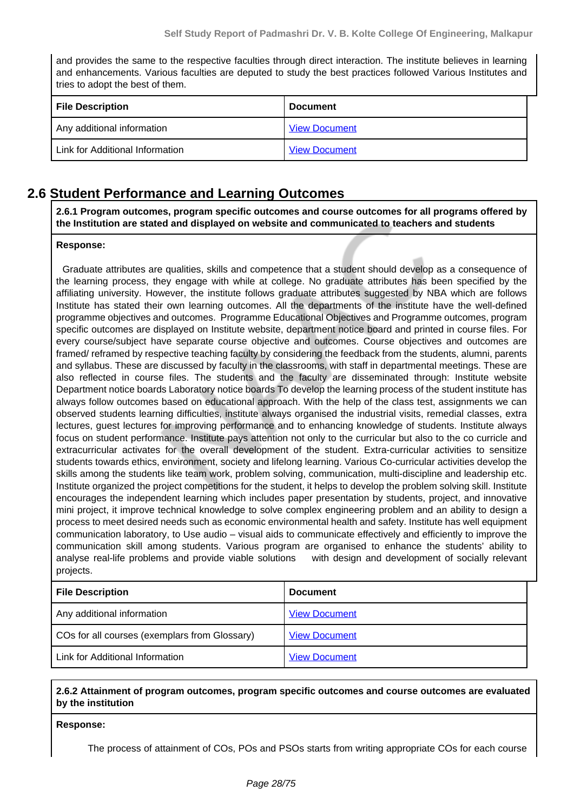and provides the same to the respective faculties through direct interaction. The institute believes in learning and enhancements. Various faculties are deputed to study the best practices followed Various Institutes and tries to adopt the best of them.

| File Description                | <b>Document</b>      |
|---------------------------------|----------------------|
| Any additional information      | <b>View Document</b> |
| Link for Additional Information | <b>View Document</b> |

## **2.6 Student Performance and Learning Outcomes**

 **2.6.1 Program outcomes, program specific outcomes and course outcomes for all programs offered by the Institution are stated and displayed on website and communicated to teachers and students**

### **Response:**

 Graduate attributes are qualities, skills and competence that a student should develop as a consequence of the learning process, they engage with while at college. No graduate attributes has been specified by the affiliating university. However, the institute follows graduate attributes suggested by NBA which are follows Institute has stated their own learning outcomes. All the departments of the institute have the well-defined programme objectives and outcomes. Programme Educational Objectives and Programme outcomes, program specific outcomes are displayed on Institute website, department notice board and printed in course files. For every course/subject have separate course objective and outcomes. Course objectives and outcomes are framed/ reframed by respective teaching faculty by considering the feedback from the students, alumni, parents and syllabus. These are discussed by faculty in the classrooms, with staff in departmental meetings. These are also reflected in course files. The students and the faculty are disseminated through: Institute website Department notice boards Laboratory notice boards To develop the learning process of the student institute has always follow outcomes based on educational approach. With the help of the class test, assignments we can observed students learning difficulties, institute always organised the industrial visits, remedial classes, extra lectures, guest lectures for improving performance and to enhancing knowledge of students. Institute always focus on student performance. Institute pays attention not only to the curricular but also to the co curricle and extracurricular activates for the overall development of the student. Extra-curricular activities to sensitize students towards ethics, environment, society and lifelong learning. Various Co-curricular activities develop the skills among the students like team work, problem solving, communication, multi-discipline and leadership etc. Institute organized the project competitions for the student, it helps to develop the problem solving skill. Institute encourages the independent learning which includes paper presentation by students, project, and innovative mini project, it improve technical knowledge to solve complex engineering problem and an ability to design a process to meet desired needs such as economic environmental health and safety. Institute has well equipment communication laboratory, to Use audio – visual aids to communicate effectively and efficiently to improve the communication skill among students. Various program are organised to enhance the students' ability to analyse real-life problems and provide viable solutions with design and development of socially relevant projects.

| <b>File Description</b>                       | <b>Document</b>      |
|-----------------------------------------------|----------------------|
| Any additional information                    | <b>View Document</b> |
| COs for all courses (exemplars from Glossary) | <b>View Document</b> |
| Link for Additional Information               | <b>View Document</b> |

## **2.6.2 Attainment of program outcomes, program specific outcomes and course outcomes are evaluated by the institution**

### **Response:**

The process of attainment of COs, POs and PSOs starts from writing appropriate COs for each course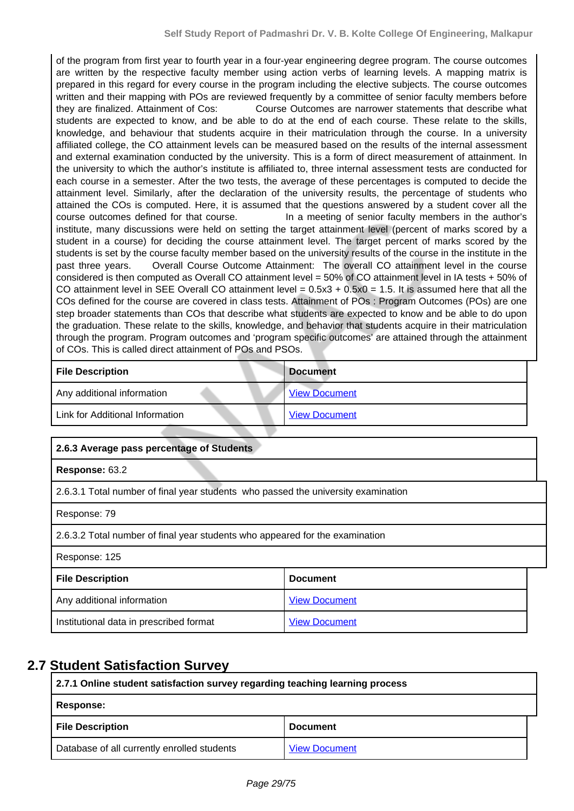of the program from first year to fourth year in a four-year engineering degree program. The course outcomes are written by the respective faculty member using action verbs of learning levels. A mapping matrix is prepared in this regard for every course in the program including the elective subjects. The course outcomes written and their mapping with POs are reviewed frequently by a committee of senior faculty members before they are finalized. Attainment of Cos: Course Outcomes are narrower statements that describe what students are expected to know, and be able to do at the end of each course. These relate to the skills, knowledge, and behaviour that students acquire in their matriculation through the course. In a university affiliated college, the CO attainment levels can be measured based on the results of the internal assessment and external examination conducted by the university. This is a form of direct measurement of attainment. In the university to which the author's institute is affiliated to, three internal assessment tests are conducted for each course in a semester. After the two tests, the average of these percentages is computed to decide the attainment level. Similarly, after the declaration of the university results, the percentage of students who attained the COs is computed. Here, it is assumed that the questions answered by a student cover all the course outcomes defined for that course. In a meeting of senior faculty members in the author's institute, many discussions were held on setting the target attainment level (percent of marks scored by a student in a course) for deciding the course attainment level. The target percent of marks scored by the students is set by the course faculty member based on the university results of the course in the institute in the past three years. Overall Course Outcome Attainment: The overall CO attainment level in the course considered is then computed as Overall CO attainment level = 50% of CO attainment level in IA tests + 50% of CO attainment level in SEE Overall CO attainment level =  $0.5x3 + 0.5x0 = 1.5$ . It is assumed here that all the COs defined for the course are covered in class tests. Attainment of POs : Program Outcomes (POs) are one step broader statements than COs that describe what students are expected to know and be able to do upon the graduation. These relate to the skills, knowledge, and behavior that students acquire in their matriculation through the program. Program outcomes and 'program specific outcomes' are attained through the attainment of COs. This is called direct attainment of POs and PSOs.

| <b>File Description</b>         | <b>Document</b>      |
|---------------------------------|----------------------|
| Any additional information      | <b>View Document</b> |
| Link for Additional Information | <b>View Document</b> |

| 2.6.3 Average pass percentage of Students                                         |                      |  |
|-----------------------------------------------------------------------------------|----------------------|--|
| Response: 63.2                                                                    |                      |  |
| 2.6.3.1 Total number of final year students who passed the university examination |                      |  |
| Response: 79                                                                      |                      |  |
| 2.6.3.2 Total number of final year students who appeared for the examination      |                      |  |
| Response: 125                                                                     |                      |  |
| <b>File Description</b>                                                           | <b>Document</b>      |  |
| Any additional information                                                        | <b>View Document</b> |  |
| Institutional data in prescribed format                                           | <b>View Document</b> |  |

## **2.7 Student Satisfaction Survey**

| 2.7.1 Online student satisfaction survey regarding teaching learning process |                      |  |
|------------------------------------------------------------------------------|----------------------|--|
| <b>Response:</b>                                                             |                      |  |
| <b>File Description</b><br><b>Document</b>                                   |                      |  |
| Database of all currently enrolled students                                  | <b>View Document</b> |  |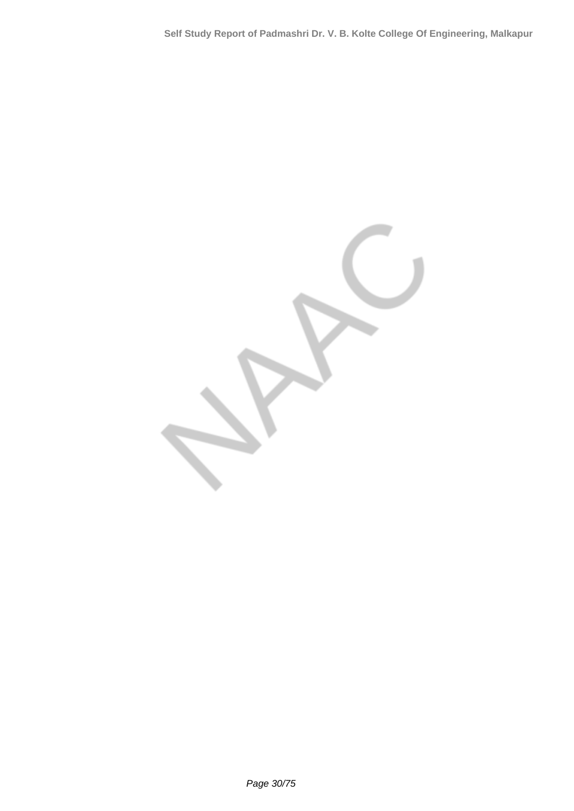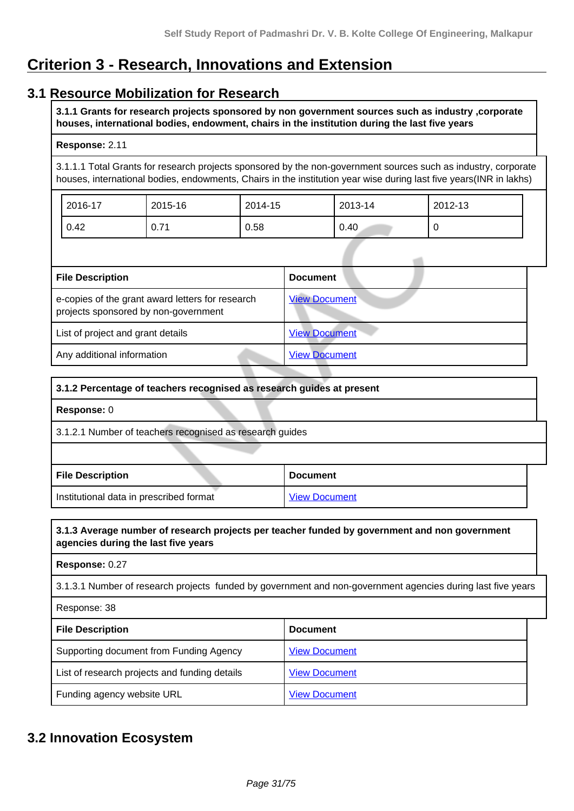## **Criterion 3 - Research, Innovations and Extension**

## **3.1 Resource Mobilization for Research**

 **3.1.1 Grants for research projects sponsored by non government sources such as industry ,corporate houses, international bodies, endowment, chairs in the institution during the last five years**

## **Response:** 2.11

3.1.1.1 Total Grants for research projects sponsored by the non-government sources such as industry, corporate houses, international bodies, endowments, Chairs in the institution year wise during last five years(INR in lakhs)

| 2016-17 | 2015-16 | 2014-15 | 2013-14 | 2012-13 |
|---------|---------|---------|---------|---------|
| 0.42    | 0.71    | 0.58    | 0.40    |         |

| <b>Document</b>      |
|----------------------|
| <b>View Document</b> |
| <b>View Document</b> |
| <b>View Document</b> |
|                      |

| Response: 0                                              |  |
|----------------------------------------------------------|--|
| 3.1.2.1 Number of teachers recognised as research guides |  |
|                                                          |  |
|                                                          |  |

| 3.1.3 Average number of research projects per teacher funded by government and non government<br>agencies during the last five years |                      |  |
|--------------------------------------------------------------------------------------------------------------------------------------|----------------------|--|
| Response: 0.27                                                                                                                       |                      |  |
| 3.1.3.1 Number of research projects funded by government and non-government agencies during last five years<br>Response: 38          |                      |  |
|                                                                                                                                      |                      |  |
| Supporting document from Funding Agency                                                                                              | <b>View Document</b> |  |
| List of research projects and funding details                                                                                        | <b>View Document</b> |  |
| Funding agency website URL                                                                                                           | <b>View Document</b> |  |

## **3.2 Innovation Ecosystem**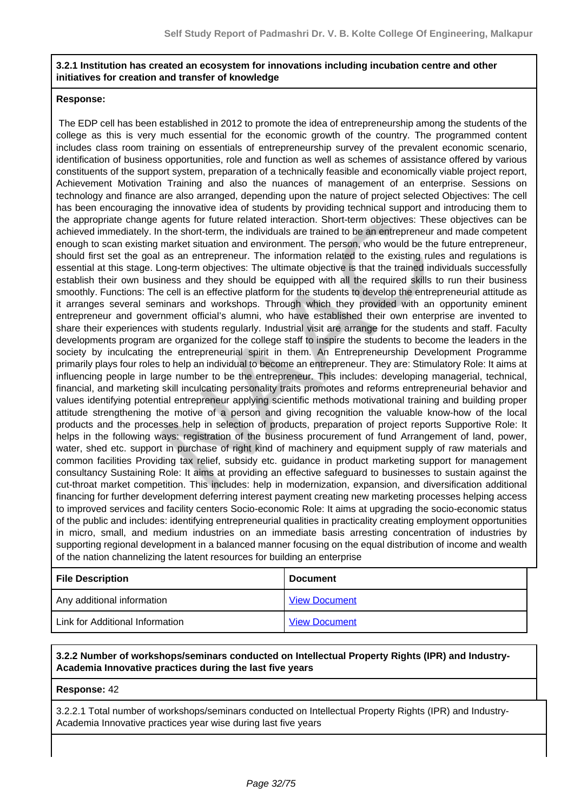## **3.2.1 Institution has created an ecosystem for innovations including incubation centre and other initiatives for creation and transfer of knowledge**

## **Response:**

 The EDP cell has been established in 2012 to promote the idea of entrepreneurship among the students of the college as this is very much essential for the economic growth of the country. The programmed content includes class room training on essentials of entrepreneurship survey of the prevalent economic scenario, identification of business opportunities, role and function as well as schemes of assistance offered by various constituents of the support system, preparation of a technically feasible and economically viable project report, Achievement Motivation Training and also the nuances of management of an enterprise. Sessions on technology and finance are also arranged, depending upon the nature of project selected Objectives: The cell has been encouraging the innovative idea of students by providing technical support and introducing them to the appropriate change agents for future related interaction. Short-term objectives: These objectives can be achieved immediately. In the short-term, the individuals are trained to be an entrepreneur and made competent enough to scan existing market situation and environment. The person, who would be the future entrepreneur, should first set the goal as an entrepreneur. The information related to the existing rules and regulations is essential at this stage. Long-term objectives: The ultimate objective is that the trained individuals successfully establish their own business and they should be equipped with all the required skills to run their business smoothly. Functions: The cell is an effective platform for the students to develop the entrepreneurial attitude as it arranges several seminars and workshops. Through which they provided with an opportunity eminent entrepreneur and government official's alumni, who have established their own enterprise are invented to share their experiences with students regularly. Industrial visit are arrange for the students and staff. Faculty developments program are organized for the college staff to inspire the students to become the leaders in the society by inculcating the entrepreneurial spirit in them. An Entrepreneurship Development Programme primarily plays four roles to help an individual to become an entrepreneur. They are: Stimulatory Role: It aims at influencing people in large number to be the entrepreneur. This includes: developing managerial, technical, financial, and marketing skill inculcating personality traits promotes and reforms entrepreneurial behavior and values identifying potential entrepreneur applying scientific methods motivational training and building proper attitude strengthening the motive of a person and giving recognition the valuable know-how of the local products and the processes help in selection of products, preparation of project reports Supportive Role: It helps in the following ways: registration of the business procurement of fund Arrangement of land, power, water, shed etc. support in purchase of right kind of machinery and equipment supply of raw materials and common facilities Providing tax relief, subsidy etc. guidance in product marketing support for management consultancy Sustaining Role: It aims at providing an effective safeguard to businesses to sustain against the cut-throat market competition. This includes: help in modernization, expansion, and diversification additional financing for further development deferring interest payment creating new marketing processes helping access to improved services and facility centers Socio-economic Role: It aims at upgrading the socio-economic status of the public and includes: identifying entrepreneurial qualities in practicality creating employment opportunities in micro, small, and medium industries on an immediate basis arresting concentration of industries by supporting regional development in a balanced manner focusing on the equal distribution of income and wealth of the nation channelizing the latent resources for building an enterprise

| <b>File Description</b>         | <b>Document</b>      |
|---------------------------------|----------------------|
| Any additional information      | <b>View Document</b> |
| Link for Additional Information | <b>View Document</b> |

### **3.2.2 Number of workshops/seminars conducted on Intellectual Property Rights (IPR) and Industry-Academia Innovative practices during the last five years**

### **Response:** 42

3.2.2.1 Total number of workshops/seminars conducted on Intellectual Property Rights (IPR) and Industry-Academia Innovative practices year wise during last five years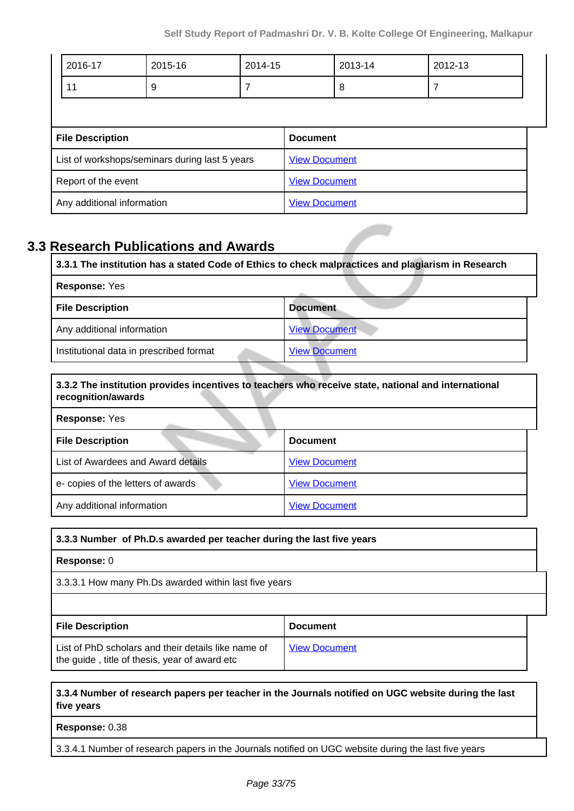| 2016-17                    | 2015-16                                        | 2014-15 |                      | 2013-14 | 2012-13 |
|----------------------------|------------------------------------------------|---------|----------------------|---------|---------|
| 11                         | 9                                              |         |                      | 8       |         |
|                            |                                                |         |                      |         |         |
| <b>File Description</b>    |                                                |         | <b>Document</b>      |         |         |
|                            | List of workshops/seminars during last 5 years |         | <b>View Document</b> |         |         |
| Report of the event        |                                                |         | <b>View Document</b> |         |         |
| Any additional information |                                                |         | <b>View Document</b> |         |         |

## **3.3 Research Publications and Awards**

| <b>Response: Yes</b>                    |                      |
|-----------------------------------------|----------------------|
| <b>File Description</b>                 | <b>Document</b>      |
| Any additional information              | <b>View Document</b> |
| Institutional data in prescribed format | <b>View Document</b> |

## **3.3.2 The institution provides incentives to teachers who receive state, national and international recognition/awards Response:** Yes

| <b>File Description</b>            | <b>Document</b>      |
|------------------------------------|----------------------|
| List of Awardees and Award details | <b>View Document</b> |
| e- copies of the letters of awards | <b>View Document</b> |
| Any additional information         | <b>View Document</b> |

## **3.3.3 Number of Ph.D.s awarded per teacher during the last five years**

### **Response:** 0

3.3.3.1 How many Ph.Ds awarded within last five years

| <b>File Description</b>                                                                              | <b>Document</b>      |  |
|------------------------------------------------------------------------------------------------------|----------------------|--|
| List of PhD scholars and their details like name of<br>the guide, title of thesis, year of award etc | <b>View Document</b> |  |

## **3.3.4 Number of research papers per teacher in the Journals notified on UGC website during the last five years**

**Response:** 0.38

3.3.4.1 Number of research papers in the Journals notified on UGC website during the last five years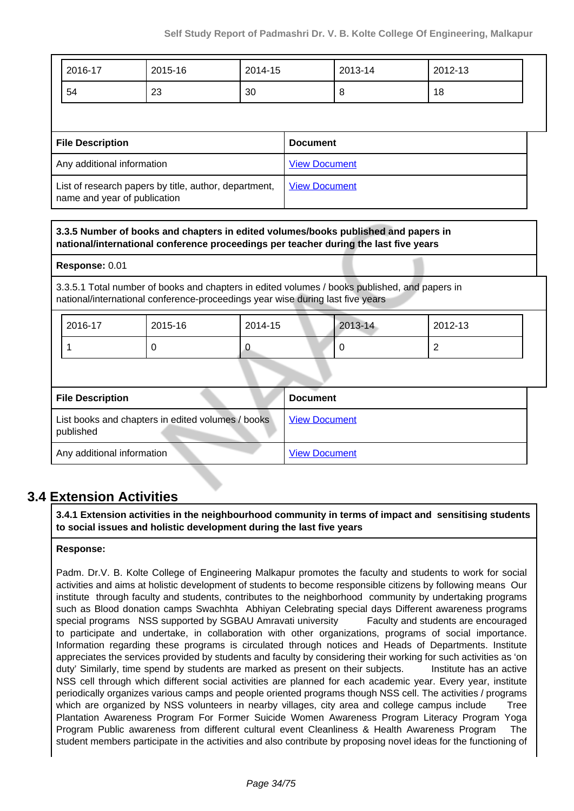| 2016-17                    | 2015-16                                                                                                                                                                         | 2014-15 |                      | 2013-14        | 2012-13        |  |
|----------------------------|---------------------------------------------------------------------------------------------------------------------------------------------------------------------------------|---------|----------------------|----------------|----------------|--|
| 54                         | 23                                                                                                                                                                              | 30      | 8                    |                | 18             |  |
|                            |                                                                                                                                                                                 |         |                      |                |                |  |
| <b>File Description</b>    |                                                                                                                                                                                 |         | <b>Document</b>      |                |                |  |
| Any additional information |                                                                                                                                                                                 |         | <b>View Document</b> |                |                |  |
|                            | List of research papers by title, author, department,<br>name and year of publication                                                                                           |         | <b>View Document</b> |                |                |  |
| Response: 0.01             | 3.3.5 Number of books and chapters in edited volumes/books published and papers in<br>national/international conference proceedings per teacher during the last five years      |         |                      |                |                |  |
|                            | 3.3.5.1 Total number of books and chapters in edited volumes / books published, and papers in<br>national/international conference-proceedings year wise during last five years |         |                      |                |                |  |
|                            |                                                                                                                                                                                 |         |                      |                |                |  |
| 2016-17                    | 2015-16                                                                                                                                                                         | 2014-15 |                      | 2013-14        | 2012-13        |  |
| 1                          | 0                                                                                                                                                                               | 0       |                      | $\overline{0}$ | $\overline{2}$ |  |
|                            |                                                                                                                                                                                 |         |                      |                |                |  |
| <b>File Description</b>    |                                                                                                                                                                                 |         | <b>Document</b>      |                |                |  |
| published                  | List books and chapters in edited volumes / books                                                                                                                               |         | <b>View Document</b> |                |                |  |

## **3.4 Extension Activities**

 **3.4.1 Extension activities in the neighbourhood community in terms of impact and sensitising students to social issues and holistic development during the last five years**

### **Response:**

Padm. Dr.V. B. Kolte College of Engineering Malkapur promotes the faculty and students to work for social activities and aims at holistic development of students to become responsible citizens by following means Our institute through faculty and students, contributes to the neighborhood community by undertaking programs such as Blood donation camps Swachhta Abhiyan Celebrating special days Different awareness programs special programs NSS supported by SGBAU Amravati university Faculty and students are encouraged to participate and undertake, in collaboration with other organizations, programs of social importance. Information regarding these programs is circulated through notices and Heads of Departments. Institute appreciates the services provided by students and faculty by considering their working for such activities as 'on duty' Similarly, time spend by students are marked as present on their subjects. Institute has an active NSS cell through which different social activities are planned for each academic year. Every year, institute periodically organizes various camps and people oriented programs though NSS cell. The activities / programs which are organized by NSS volunteers in nearby villages, city area and college campus include Tree Plantation Awareness Program For Former Suicide Women Awareness Program Literacy Program Yoga Program Public awareness from different cultural event Cleanliness & Health Awareness Program The student members participate in the activities and also contribute by proposing novel ideas for the functioning of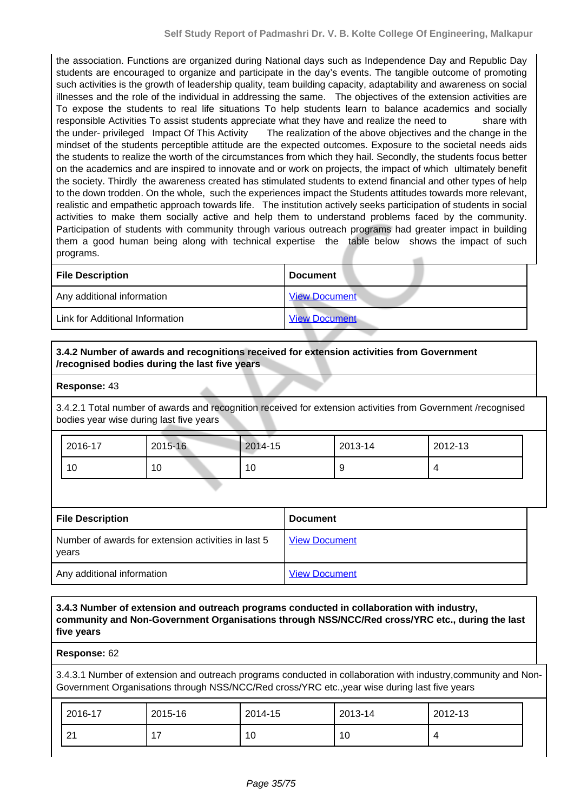the association. Functions are organized during National days such as Independence Day and Republic Day students are encouraged to organize and participate in the day's events. The tangible outcome of promoting such activities is the growth of leadership quality, team building capacity, adaptability and awareness on social illnesses and the role of the individual in addressing the same. The objectives of the extension activities are To expose the students to real life situations To help students learn to balance academics and socially responsible Activities To assist students appreciate what they have and realize the need to share with the under- privileged Impact Of This Activity The realization of the above objectives and the change in the mindset of the students perceptible attitude are the expected outcomes. Exposure to the societal needs aids the students to realize the worth of the circumstances from which they hail. Secondly, the students focus better on the academics and are inspired to innovate and or work on projects, the impact of which ultimately benefit the society. Thirdly the awareness created has stimulated students to extend financial and other types of help to the down trodden. On the whole, such the experiences impact the Students attitudes towards more relevant, realistic and empathetic approach towards life. The institution actively seeks participation of students in social activities to make them socially active and help them to understand problems faced by the community. Participation of students with community through various outreach programs had greater impact in building them a good human being along with technical expertise the table below shows the impact of such programs.

| <b>File Description</b>         | <b>Document</b>      |
|---------------------------------|----------------------|
| Any additional information      | <b>View Document</b> |
| Link for Additional Information | <b>View Document</b> |

## **3.4.2 Number of awards and recognitions received for extension activities from Government /recognised bodies during the last five years**

**Response:** 43

3.4.2.1 Total number of awards and recognition received for extension activities from Government /recognised bodies year wise during last five years

| 2016-17 | 2015-16 | 2014-15 | 2013-14 | 2012-13 |
|---------|---------|---------|---------|---------|
| 10      | 10      | 10      | J<br>Ð  |         |

| <b>File Description</b>                                      | <b>Document</b>      |
|--------------------------------------------------------------|----------------------|
| Number of awards for extension activities in last 5<br>years | <b>View Document</b> |
| Any additional information                                   | <b>View Document</b> |

## **3.4.3 Number of extension and outreach programs conducted in collaboration with industry, community and Non-Government Organisations through NSS/NCC/Red cross/YRC etc., during the last five years**

### **Response:** 62

3.4.3.1 Number of extension and outreach programs conducted in collaboration with industry,community and Non-Government Organisations through NSS/NCC/Red cross/YRC etc.,year wise during last five years

| 2016-17 | 2015-16 | 2014-15 | 2013-14 | 2012-13 |
|---------|---------|---------|---------|---------|
| 21      | -       | 10      | 10      |         |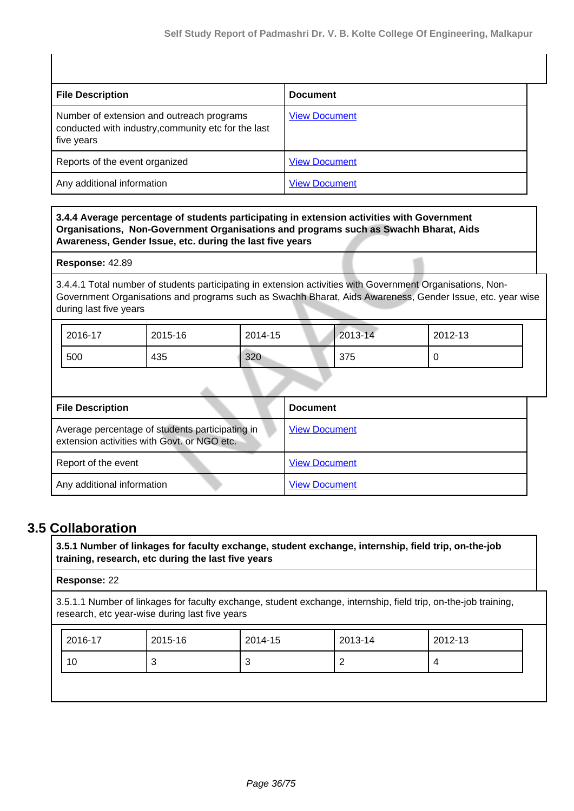| <b>File Description</b>                                                                                        | <b>Document</b>      |
|----------------------------------------------------------------------------------------------------------------|----------------------|
| Number of extension and outreach programs<br>conducted with industry, community etc for the last<br>five years | <b>View Document</b> |
| Reports of the event organized                                                                                 | <b>View Document</b> |
| Any additional information                                                                                     | <b>View Document</b> |

#### **3.4.4 Average percentage of students participating in extension activities with Government Organisations, Non-Government Organisations and programs such as Swachh Bharat, Aids Awareness, Gender Issue, etc. during the last five years**

### **Response:** 42.89

3.4.4.1 Total number of students participating in extension activities with Government Organisations, Non-Government Organisations and programs such as Swachh Bharat, Aids Awareness, Gender Issue, etc. year wise during last five years

| 2016-17 | 2015-16 | 2014-15 | 2013-14 | 2012-13 |
|---------|---------|---------|---------|---------|
| 500     | 435     | 320     | 375     |         |

| <b>File Description</b>                                                                        | <b>Document</b>      |
|------------------------------------------------------------------------------------------------|----------------------|
| Average percentage of students participating in<br>extension activities with Govt. or NGO etc. | <b>View Document</b> |
| Report of the event                                                                            | <b>View Document</b> |
| Any additional information                                                                     | <b>View Document</b> |

## **3.5 Collaboration**

 **3.5.1 Number of linkages for faculty exchange, student exchange, internship, field trip, on-the-job training, research, etc during the last five years**

### **Response:** 22

3.5.1.1 Number of linkages for faculty exchange, student exchange, internship, field trip, on-the-job training, research, etc year-wise during last five years

| 2016-17 | 2015-16 | 2014-15 | 2013-14 | 2012-13 |
|---------|---------|---------|---------|---------|
| 10      | ີ       | ັ       |         | 4       |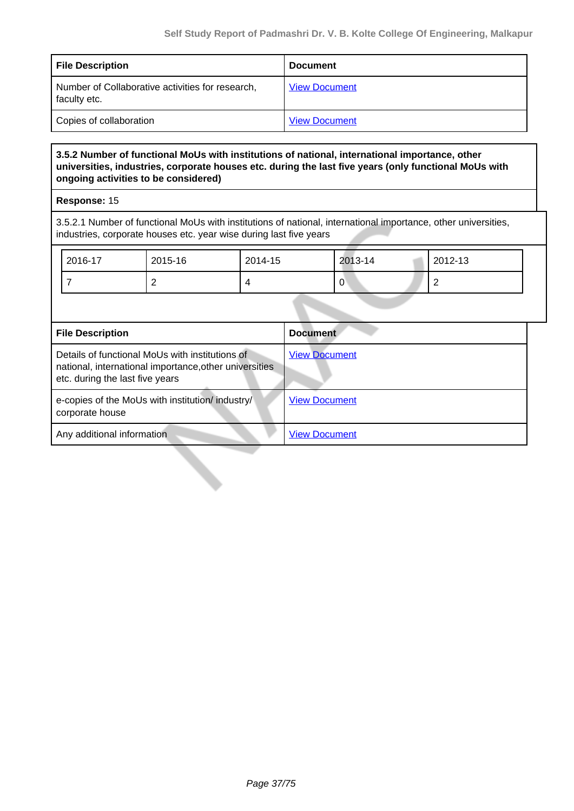| File Description                                                 | <b>Document</b>      |
|------------------------------------------------------------------|----------------------|
| Number of Collaborative activities for research,<br>faculty etc. | <b>View Document</b> |
| Copies of collaboration                                          | <b>View Document</b> |

#### **3.5.2 Number of functional MoUs with institutions of national, international importance, other universities, industries, corporate houses etc. during the last five years (only functional MoUs with ongoing activities to be considered)**

#### **Response:** 15

3.5.2.1 Number of functional MoUs with institutions of national, international importance, other universities, industries, corporate houses etc. year wise during last five years

| 2016-17 | 2015-16 | 2014-15 | 2013-14 | 2012-13 |
|---------|---------|---------|---------|---------|
|         | -       |         | ⌒<br>U  | _       |

| <b>File Description</b>                                                                                                                      | <b>Document</b>      |
|----------------------------------------------------------------------------------------------------------------------------------------------|----------------------|
| Details of functional MoUs with institutions of<br>national, international importance, other universities<br>etc. during the last five years | <b>View Document</b> |
| e-copies of the MoUs with institution/ industry/<br>corporate house                                                                          | <b>View Document</b> |
| Any additional information                                                                                                                   | <b>View Document</b> |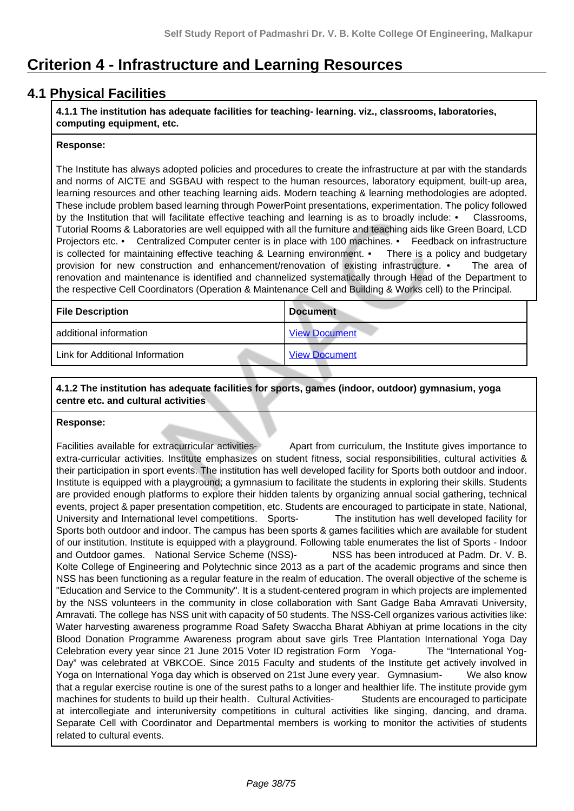## **Criterion 4 - Infrastructure and Learning Resources**

## **4.1 Physical Facilities**

 **4.1.1 The institution has adequate facilities for teaching- learning. viz., classrooms, laboratories, computing equipment, etc.**

#### **Response:**

The Institute has always adopted policies and procedures to create the infrastructure at par with the standards and norms of AICTE and SGBAU with respect to the human resources, laboratory equipment, built-up area, learning resources and other teaching learning aids. Modern teaching & learning methodologies are adopted. These include problem based learning through PowerPoint presentations, experimentation. The policy followed by the Institution that will facilitate effective teaching and learning is as to broadly include: • Classrooms, Tutorial Rooms & Laboratories are well equipped with all the furniture and teaching aids like Green Board, LCD Projectors etc. • Centralized Computer center is in place with 100 machines. • Feedback on infrastructure is collected for maintaining effective teaching & Learning environment. • There is a policy and budgetary provision for new construction and enhancement/renovation of existing infrastructure. • The area of renovation and maintenance is identified and channelized systematically through Head of the Department to the respective Cell Coordinators (Operation & Maintenance Cell and Building & Works cell) to the Principal.

| <b>File Description</b>         | <b>Document</b>      |
|---------------------------------|----------------------|
| additional information          | <b>View Document</b> |
| Link for Additional Information | View Document        |

#### **4.1.2 The institution has adequate facilities for sports, games (indoor, outdoor) gymnasium, yoga centre etc. and cultural activities**

#### **Response:**

Facilities available for extracurricular activities- Apart from curriculum, the Institute gives importance to extra-curricular activities. Institute emphasizes on student fitness, social responsibilities, cultural activities & their participation in sport events. The institution has well developed facility for Sports both outdoor and indoor. Institute is equipped with a playground; a gymnasium to facilitate the students in exploring their skills. Students are provided enough platforms to explore their hidden talents by organizing annual social gathering, technical events, project & paper presentation competition, etc. Students are encouraged to participate in state, National, University and International level competitions. Sports- The institution has well developed facility for Sports both outdoor and indoor. The campus has been sports & games facilities which are available for student of our institution. Institute is equipped with a playground. Following table enumerates the list of Sports - Indoor and Outdoor games. National Service Scheme (NSS)- NSS has been introduced at Padm. Dr. V. B. Kolte College of Engineering and Polytechnic since 2013 as a part of the academic programs and since then NSS has been functioning as a regular feature in the realm of education. The overall objective of the scheme is "Education and Service to the Community". It is a student-centered program in which projects are implemented by the NSS volunteers in the community in close collaboration with Sant Gadge Baba Amravati University, Amravati. The college has NSS unit with capacity of 50 students. The NSS-Cell organizes various activities like: Water harvesting awareness programme Road Safety Swaccha Bharat Abhiyan at prime locations in the city Blood Donation Programme Awareness program about save girls Tree Plantation International Yoga Day Celebration every year since 21 June 2015 Voter ID registration Form Yoga- The "International Yog-Day" was celebrated at VBKCOE. Since 2015 Faculty and students of the Institute get actively involved in Yoga on International Yoga day which is observed on 21st June every year. Gymnasium- We also know that a regular exercise routine is one of the surest paths to a longer and healthier life. The institute provide gym machines for students to build up their health. Cultural Activities-<br>Students are encouraged to participate at intercollegiate and interuniversity competitions in cultural activities like singing, dancing, and drama. Separate Cell with Coordinator and Departmental members is working to monitor the activities of students related to cultural events.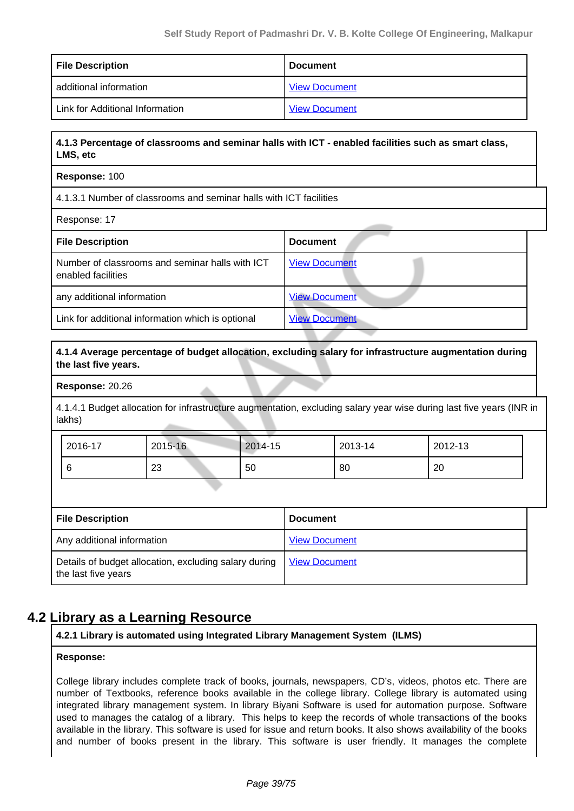| File Description                | <b>Document</b>      |
|---------------------------------|----------------------|
| additional information          | <b>View Document</b> |
| Link for Additional Information | <b>View Document</b> |

#### **4.1.3 Percentage of classrooms and seminar halls with ICT - enabled facilities such as smart class, LMS, etc**

#### **Response:** 100

4.1.3.1 Number of classrooms and seminar halls with ICT facilities

#### Response: 17

| <b>File Description</b>                                               | <b>Document</b>      |
|-----------------------------------------------------------------------|----------------------|
| Number of classrooms and seminar halls with ICT<br>enabled facilities | <b>View Document</b> |
| any additional information                                            | <b>View Document</b> |
| Link for additional information which is optional                     | <b>View Document</b> |

#### **4.1.4 Average percentage of budget allocation, excluding salary for infrastructure augmentation during the last five years.**

**Response:** 20.26

4.1.4.1 Budget allocation for infrastructure augmentation, excluding salary year wise during last five years (INR in lakhs)

| 2016-17 | 2015-16   | 2014-15 | 2013-14 | 2012-13 |
|---------|-----------|---------|---------|---------|
|         | າາ<br>ں ے | 50      | 80      | 20      |

| <b>File Description</b>                                                      | <b>Document</b>      |
|------------------------------------------------------------------------------|----------------------|
| Any additional information                                                   | <b>View Document</b> |
| Details of budget allocation, excluding salary during<br>the last five years | <b>View Document</b> |

### **4.2 Library as a Learning Resource**

#### **4.2.1 Library is automated using Integrated Library Management System (ILMS)**

#### **Response:**

College library includes complete track of books, journals, newspapers, CD's, videos, photos etc. There are number of Textbooks, reference books available in the college library. College library is automated using integrated library management system. In library Biyani Software is used for automation purpose. Software used to manages the catalog of a library. This helps to keep the records of whole transactions of the books available in the library. This software is used for issue and return books. It also shows availability of the books and number of books present in the library. This software is user friendly. It manages the complete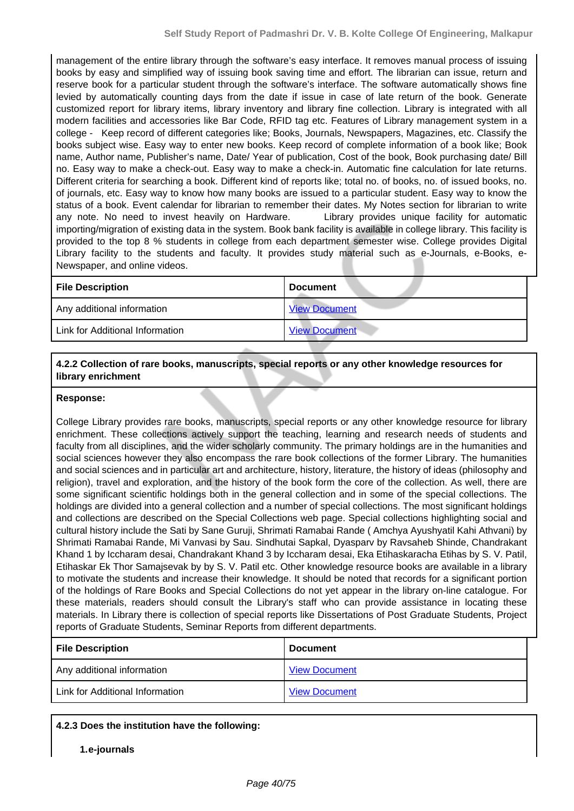management of the entire library through the software's easy interface. It removes manual process of issuing books by easy and simplified way of issuing book saving time and effort. The librarian can issue, return and reserve book for a particular student through the software's interface. The software automatically shows fine levied by automatically counting days from the date if issue in case of late return of the book. Generate customized report for library items, library inventory and library fine collection. Library is integrated with all modern facilities and accessories like Bar Code, RFID tag etc. Features of Library management system in a college - Keep record of different categories like; Books, Journals, Newspapers, Magazines, etc. Classify the books subject wise. Easy way to enter new books. Keep record of complete information of a book like; Book name, Author name, Publisher's name, Date/ Year of publication, Cost of the book, Book purchasing date/ Bill no. Easy way to make a check-out. Easy way to make a check-in. Automatic fine calculation for late returns. Different criteria for searching a book. Different kind of reports like; total no. of books, no. of issued books, no. of journals, etc. Easy way to know how many books are issued to a particular student. Easy way to know the status of a book. Event calendar for librarian to remember their dates. My Notes section for librarian to write any note. No need to invest heavily on Hardware. Library provides unique facility for automatic importing/migration of existing data in the system. Book bank facility is available in college library. This facility is provided to the top 8 % students in college from each department semester wise. College provides Digital Library facility to the students and faculty. It provides study material such as e-Journals, e-Books, e-Newspaper, and online videos.

| <b>File Description</b>         | <b>Document</b>      |
|---------------------------------|----------------------|
| Any additional information      | <b>View Document</b> |
| Link for Additional Information | <b>View Document</b> |

#### **4.2.2 Collection of rare books, manuscripts, special reports or any other knowledge resources for library enrichment**

#### **Response:**

College Library provides rare books, manuscripts, special reports or any other knowledge resource for library enrichment. These collections actively support the teaching, learning and research needs of students and faculty from all disciplines, and the wider scholarly community. The primary holdings are in the humanities and social sciences however they also encompass the rare book collections of the former Library. The humanities and social sciences and in particular art and architecture, history, literature, the history of ideas (philosophy and religion), travel and exploration, and the history of the book form the core of the collection. As well, there are some significant scientific holdings both in the general collection and in some of the special collections. The holdings are divided into a general collection and a number of special collections. The most significant holdings and collections are described on the Special Collections web page. Special collections highlighting social and cultural history include the Sati by Sane Guruji, Shrimati Ramabai Rande ( Amchya Ayushyatil Kahi Athvani) by Shrimati Ramabai Rande, Mi Vanvasi by Sau. Sindhutai Sapkal, Dyasparv by Ravsaheb Shinde, Chandrakant Khand 1 by Iccharam desai, Chandrakant Khand 3 by Iccharam desai, Eka Etihaskaracha Etihas by S. V. Patil, Etihaskar Ek Thor Samajsevak by by S. V. Patil etc. Other knowledge resource books are available in a library to motivate the students and increase their knowledge. It should be noted that records for a significant portion of the holdings of Rare Books and Special Collections do not yet appear in the library on-line catalogue. For these materials, readers should consult the Library's staff who can provide assistance in locating these materials. In Library there is collection of special reports like Dissertations of Post Graduate Students, Project reports of Graduate Students, Seminar Reports from different departments.

| <b>File Description</b>         | <b>Document</b>      |
|---------------------------------|----------------------|
| Any additional information      | <b>View Document</b> |
| Link for Additional Information | <b>View Document</b> |

#### **4.2.3 Does the institution have the following:**

**1.e-journals**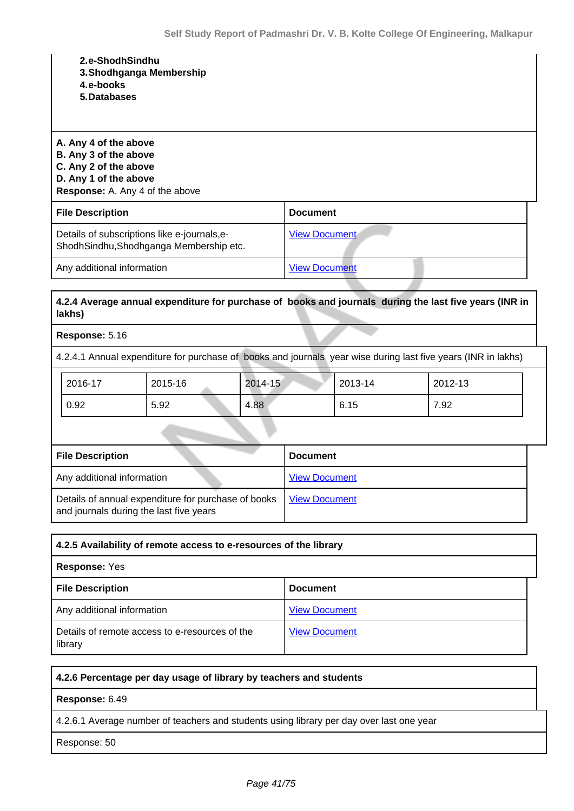#### **2.e-ShodhSindhu**

- **3.Shodhganga Membership**
- **4.e-books**
- **5.Databases**

| A. Any 4 of the above<br>B. Any 3 of the above<br>C. Any 2 of the above<br>D. Any 1 of the above<br>Response: A. Any 4 of the above |                      |
|-------------------------------------------------------------------------------------------------------------------------------------|----------------------|
| <b>File Description</b>                                                                                                             | <b>Document</b>      |
| Details of subscriptions like e-journals, e-<br>ShodhSindhu,Shodhganga Membership etc.                                              | <b>View Document</b> |
| Any additional information                                                                                                          | <b>View Document</b> |

#### **4.2.4 Average annual expenditure for purchase of books and journals during the last five years (INR in lakhs)**

#### **Response:** 5.16

4.2.4.1 Annual expenditure for purchase of books and journals year wise during last five years (INR in lakhs)

| 2016-17 | 2015-16 | 2014-15 | 2013-14 | 2012-13 |
|---------|---------|---------|---------|---------|
| 0.92    | 5.92    | 4.88    | 6.15    | 7.92    |

| <b>File Description</b>                                                                        | <b>Document</b>      |
|------------------------------------------------------------------------------------------------|----------------------|
| Any additional information                                                                     | <b>View Document</b> |
| Details of annual expenditure for purchase of books<br>and journals during the last five years | <b>View Document</b> |

| <b>Response: Yes</b>                                      |                      |
|-----------------------------------------------------------|----------------------|
| <b>File Description</b>                                   | <b>Document</b>      |
| Any additional information                                | <b>View Document</b> |
| Details of remote access to e-resources of the<br>library | <b>View Document</b> |

#### **4.2.6 Percentage per day usage of library by teachers and students**

**Response:** 6.49

4.2.6.1 Average number of teachers and students using library per day over last one year

Response: 50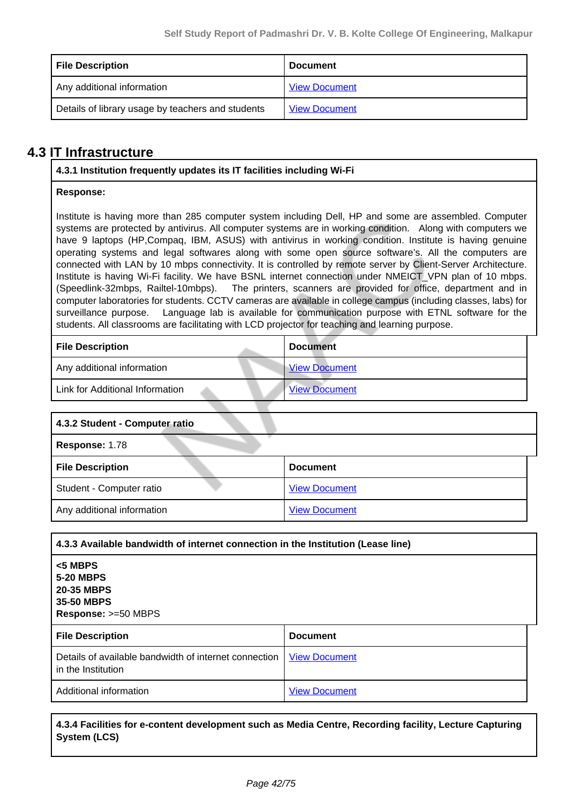| <b>File Description</b>                           | <b>Document</b>      |
|---------------------------------------------------|----------------------|
| Any additional information                        | <b>View Document</b> |
| Details of library usage by teachers and students | <b>View Document</b> |

## **4.3 IT Infrastructure**

#### **4.3.1 Institution frequently updates its IT facilities including Wi-Fi**

#### **Response:**

Institute is having more than 285 computer system including Dell, HP and some are assembled. Computer systems are protected by antivirus. All computer systems are in working condition. Along with computers we have 9 laptops (HP, Compaq, IBM, ASUS) with antivirus in working condition. Institute is having genuine operating systems and legal softwares along with some open source software's. All the computers are connected with LAN by 10 mbps connectivity. It is controlled by remote server by Client-Server Architecture. Institute is having Wi-Fi facility. We have BSNL internet connection under NMEICT\_VPN plan of 10 mbps. (Speedlink-32mbps, Railtel-10mbps). The printers, scanners are provided for office, department and in computer laboratories for students. CCTV cameras are available in college campus (including classes, labs) for surveillance purpose. Language lab is available for communication purpose with ETNL software for the students. All classrooms are facilitating with LCD projector for teaching and learning purpose.

| <b>File Description</b>         | <b>Document</b>      |
|---------------------------------|----------------------|
| Any additional information      | <b>View Document</b> |
| Link for Additional Information | View Document        |

| 4.3.2 Student - Computer ratio |                      |
|--------------------------------|----------------------|
| Response: 1.78                 |                      |
| <b>File Description</b>        | <b>Document</b>      |
| Student - Computer ratio       | <b>View Document</b> |
| Any additional information     | <b>View Document</b> |

| $< 5$ MBPS<br><b>5-20 MBPS</b><br><b>20-35 MBPS</b><br>35-50 MBPS<br>Response: >=50 MBPS |                      |
|------------------------------------------------------------------------------------------|----------------------|
| <b>File Description</b>                                                                  | <b>Document</b>      |
| Details of available bandwidth of internet connection<br>in the Institution              | <b>View Document</b> |
|                                                                                          |                      |

 **4.3.4 Facilities for e-content development such as Media Centre, Recording facility, Lecture Capturing System (LCS)**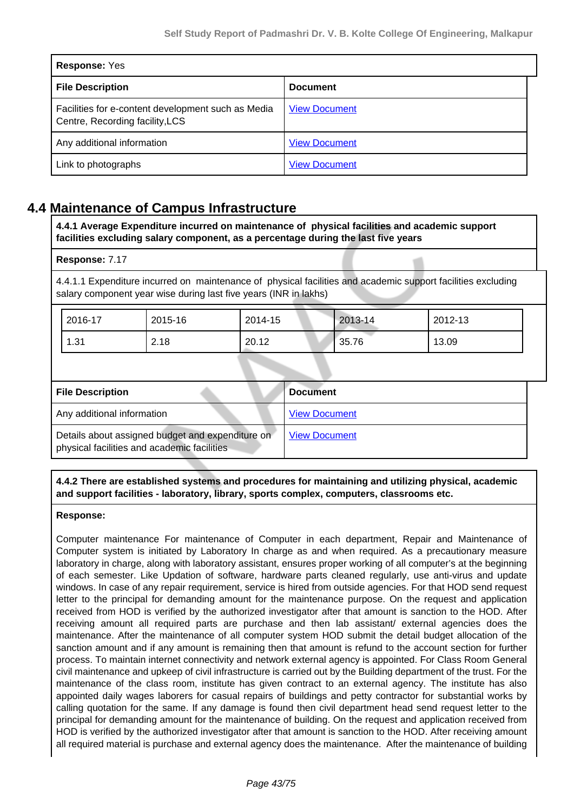| <b>Response: Yes</b>                                                                  |                      |
|---------------------------------------------------------------------------------------|----------------------|
| <b>File Description</b>                                                               | <b>Document</b>      |
| Facilities for e-content development such as Media<br>Centre, Recording facility, LCS | <b>View Document</b> |
| Any additional information                                                            | <b>View Document</b> |
| Link to photographs                                                                   | <b>View Document</b> |

## **4.4 Maintenance of Campus Infrastructure**

 **4.4.1 Average Expenditure incurred on maintenance of physical facilities and academic support facilities excluding salary component, as a percentage during the last five years**

| Response: 7.17             |                                                                                                 |                      |                      |         |                                                                                                              |  |
|----------------------------|-------------------------------------------------------------------------------------------------|----------------------|----------------------|---------|--------------------------------------------------------------------------------------------------------------|--|
|                            | salary component year wise during last five years (INR in lakhs)                                |                      |                      |         | 4.4.1.1 Expenditure incurred on maintenance of physical facilities and academic support facilities excluding |  |
| 2016-17                    | 2015-16                                                                                         | 2014-15              |                      | 2013-14 | 2012-13                                                                                                      |  |
| 1.31                       | 2.18                                                                                            | 20.12                |                      | 35.76   | 13.09                                                                                                        |  |
|                            |                                                                                                 |                      |                      |         |                                                                                                              |  |
| <b>File Description</b>    |                                                                                                 |                      | <b>Document</b>      |         |                                                                                                              |  |
| Any additional information |                                                                                                 | <b>View Document</b> |                      |         |                                                                                                              |  |
|                            | Details about assigned budget and expenditure on<br>physical facilities and academic facilities |                      | <b>View Document</b> |         |                                                                                                              |  |

 **4.4.2 There are established systems and procedures for maintaining and utilizing physical, academic and support facilities - laboratory, library, sports complex, computers, classrooms etc.**

**Response:** 

Computer maintenance For maintenance of Computer in each department, Repair and Maintenance of Computer system is initiated by Laboratory In charge as and when required. As a precautionary measure laboratory in charge, along with laboratory assistant, ensures proper working of all computer's at the beginning of each semester. Like Updation of software, hardware parts cleaned regularly, use anti-virus and update windows. In case of any repair requirement, service is hired from outside agencies. For that HOD send request letter to the principal for demanding amount for the maintenance purpose. On the request and application received from HOD is verified by the authorized investigator after that amount is sanction to the HOD. After receiving amount all required parts are purchase and then lab assistant/ external agencies does the maintenance. After the maintenance of all computer system HOD submit the detail budget allocation of the sanction amount and if any amount is remaining then that amount is refund to the account section for further process. To maintain internet connectivity and network external agency is appointed. For Class Room General civil maintenance and upkeep of civil infrastructure is carried out by the Building department of the trust. For the maintenance of the class room, institute has given contract to an external agency. The institute has also appointed daily wages laborers for casual repairs of buildings and petty contractor for substantial works by calling quotation for the same. If any damage is found then civil department head send request letter to the principal for demanding amount for the maintenance of building. On the request and application received from HOD is verified by the authorized investigator after that amount is sanction to the HOD. After receiving amount all required material is purchase and external agency does the maintenance. After the maintenance of building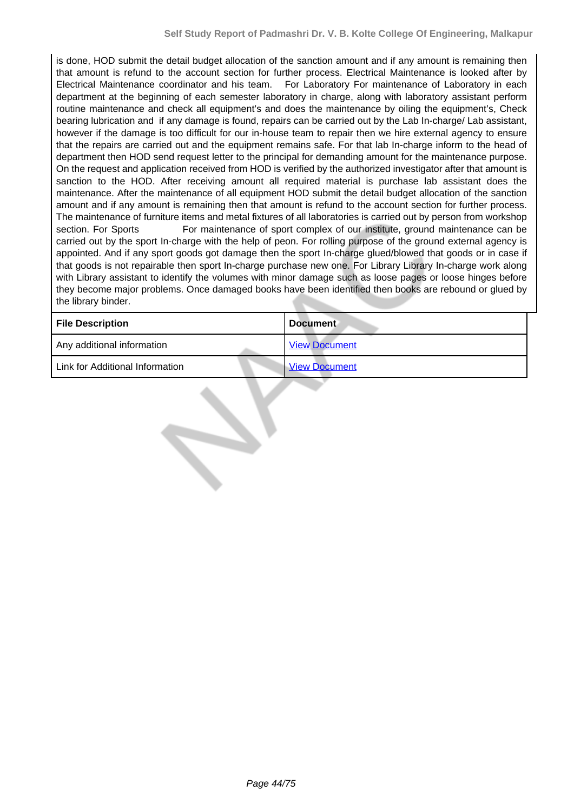is done, HOD submit the detail budget allocation of the sanction amount and if any amount is remaining then that amount is refund to the account section for further process. Electrical Maintenance is looked after by Electrical Maintenance coordinator and his team. For Laboratory For maintenance of Laboratory in each department at the beginning of each semester laboratory in charge, along with laboratory assistant perform routine maintenance and check all equipment's and does the maintenance by oiling the equipment's, Check bearing lubrication and if any damage is found, repairs can be carried out by the Lab In-charge/ Lab assistant, however if the damage is too difficult for our in-house team to repair then we hire external agency to ensure that the repairs are carried out and the equipment remains safe. For that lab In-charge inform to the head of department then HOD send request letter to the principal for demanding amount for the maintenance purpose. On the request and application received from HOD is verified by the authorized investigator after that amount is sanction to the HOD. After receiving amount all required material is purchase lab assistant does the maintenance. After the maintenance of all equipment HOD submit the detail budget allocation of the sanction amount and if any amount is remaining then that amount is refund to the account section for further process. The maintenance of furniture items and metal fixtures of all laboratories is carried out by person from workshop section. For Sports For maintenance of sport complex of our institute, ground maintenance can be carried out by the sport In-charge with the help of peon. For rolling purpose of the ground external agency is appointed. And if any sport goods got damage then the sport In-charge glued/blowed that goods or in case if that goods is not repairable then sport In-charge purchase new one. For Library Library In-charge work along with Library assistant to identify the volumes with minor damage such as loose pages or loose hinges before they become major problems. Once damaged books have been identified then books are rebound or glued by the library binder.

| <b>File Description</b>         | <b>Document</b>      |
|---------------------------------|----------------------|
| Any additional information      | <b>View Document</b> |
| Link for Additional Information | <b>View Document</b> |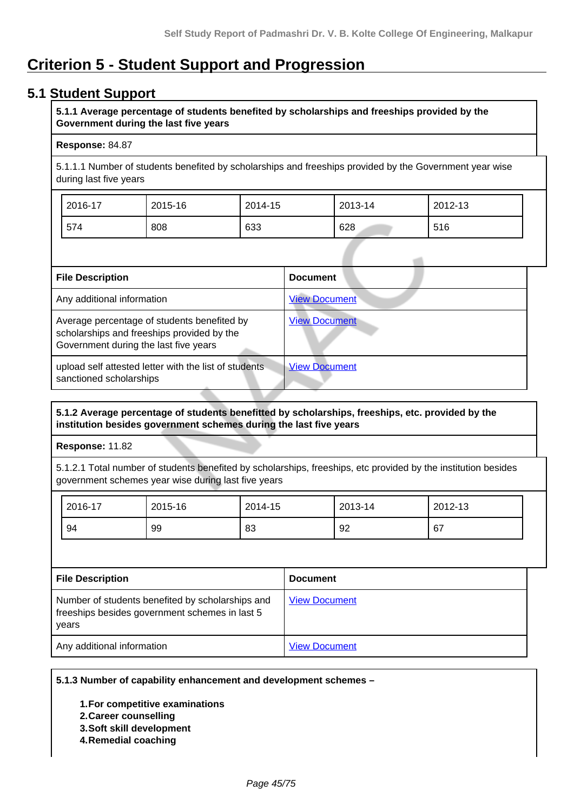## **Criterion 5 - Student Support and Progression**

### **5.1 Student Support**

 **5.1.1 Average percentage of students benefited by scholarships and freeships provided by the Government during the last five years**

#### **Response:** 84.87

5.1.1.1 Number of students benefited by scholarships and freeships provided by the Government year wise during last five years

| 2016-17 | 2015-16 | 2014-15 | 2013-14 | 2012-13 |
|---------|---------|---------|---------|---------|
| 574     | 808     | 633     | 628     | 516     |

| <b>File Description</b>                                                                                                            | <b>Document</b>      |
|------------------------------------------------------------------------------------------------------------------------------------|----------------------|
| Any additional information                                                                                                         | <b>View Document</b> |
| Average percentage of students benefited by<br>scholarships and freeships provided by the<br>Government during the last five years | <b>View Document</b> |
| upload self attested letter with the list of students<br>sanctioned scholarships                                                   | <b>View Document</b> |

#### **5.1.2 Average percentage of students benefitted by scholarships, freeships, etc. provided by the institution besides government schemes during the last five years**

**Response:** 11.82

5.1.2.1 Total number of students benefited by scholarships, freeships, etc provided by the institution besides government schemes year wise during last five years

| 2016-17 | 2015-16 | 2014-15 | 2013-14 | 2012-13 |
|---------|---------|---------|---------|---------|
| -94     | 99      | 83      | 92      | 67      |

| <b>File Description</b>                                                                                     | <b>Document</b>      |
|-------------------------------------------------------------------------------------------------------------|----------------------|
| Number of students benefited by scholarships and<br>freeships besides government schemes in last 5<br>vears | <b>View Document</b> |
| Any additional information                                                                                  | <b>View Document</b> |

#### **5.1.3 Number of capability enhancement and development schemes –**

**1.For competitive examinations**

- **2.Career counselling**
- **3.Soft skill development**
- **4.Remedial coaching**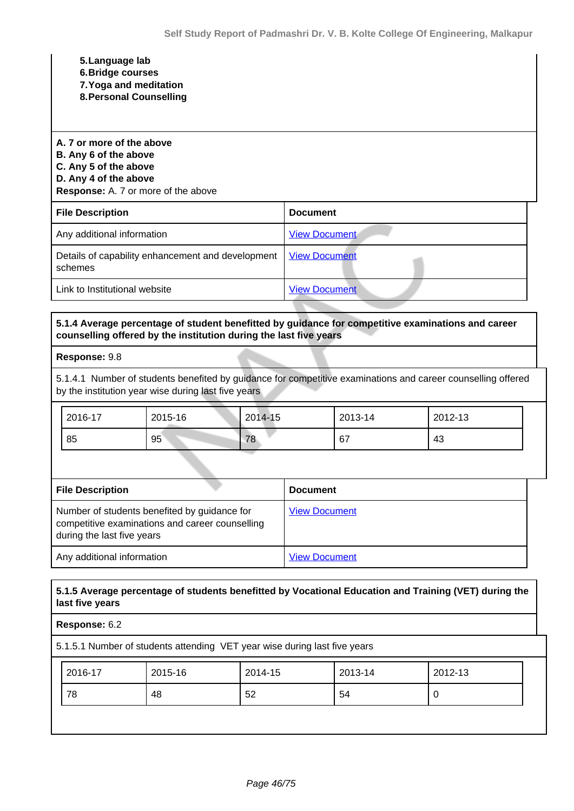#### **5.Language lab**

- **6.Bridge courses**
- **7.Yoga and meditation**
- **8.Personal Counselling**

| A. 7 or more of the above<br>B. Any 6 of the above<br>C. Any 5 of the above<br>D. Any 4 of the above<br>Response: A. 7 or more of the above |                      |
|---------------------------------------------------------------------------------------------------------------------------------------------|----------------------|
| <b>File Description</b>                                                                                                                     | <b>Document</b>      |
| Any additional information                                                                                                                  | <b>View Document</b> |
| Details of capability enhancement and development<br>schemes                                                                                | <b>View Document</b> |
| Link to Institutional website                                                                                                               | <b>View Document</b> |

#### **5.1.4 Average percentage of student benefitted by guidance for competitive examinations and career counselling offered by the institution during the last five years**

#### **Response:** 9.8

5.1.4.1 Number of students benefited by guidance for competitive examinations and career counselling offered by the institution year wise during last five years

| 2016-17 | 2015-16 | 2014-15 | 2013-14 | 2012-13 |
|---------|---------|---------|---------|---------|
| 85      | 95      | 78      | 67      | 43      |

| <b>File Description</b>                                                                                                       | <b>Document</b>      |
|-------------------------------------------------------------------------------------------------------------------------------|----------------------|
| Number of students benefited by guidance for<br>competitive examinations and career counselling<br>during the last five years | <b>View Document</b> |
| Any additional information                                                                                                    | <b>View Document</b> |

#### **5.1.5 Average percentage of students benefitted by Vocational Education and Training (VET) during the last five years**

#### **Response:** 6.2

5.1.5.1 Number of students attending VET year wise during last five years

| 2016-17 | 2015-16 | 2014-15 | 2013-14 | 2012-13 |
|---------|---------|---------|---------|---------|
| 78      | 48      | 52      | 54      | υ       |
|         |         |         |         |         |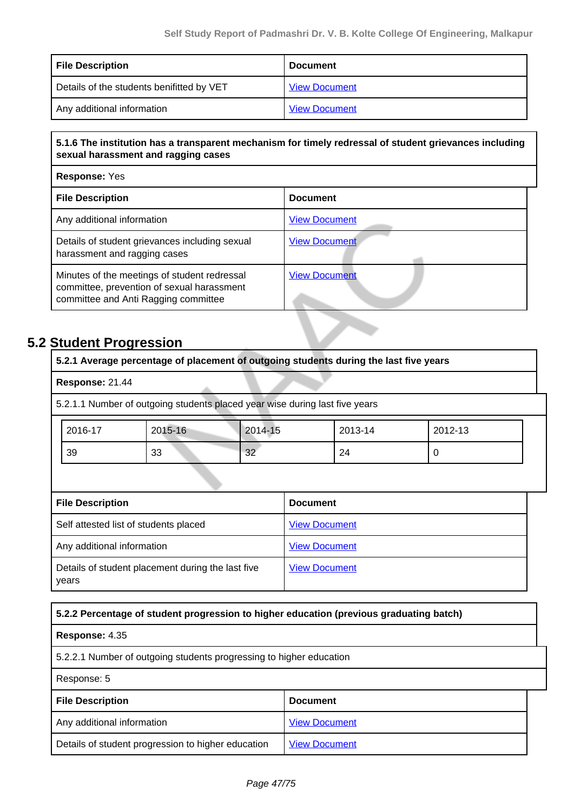| File Description                          | <b>Document</b>      |
|-------------------------------------------|----------------------|
| Details of the students benifitted by VET | <b>View Document</b> |
| Any additional information                | <b>View Document</b> |

#### **5.1.6 The institution has a transparent mechanism for timely redressal of student grievances including sexual harassment and ragging cases**

| Response: Yes                                                                                                                      |                      |  |
|------------------------------------------------------------------------------------------------------------------------------------|----------------------|--|
| <b>File Description</b>                                                                                                            | <b>Document</b>      |  |
| Any additional information                                                                                                         | <b>View Document</b> |  |
| Details of student grievances including sexual<br>harassment and ragging cases                                                     | <b>View Document</b> |  |
| Minutes of the meetings of student redressal<br>committee, prevention of sexual harassment<br>committee and Anti Ragging committee | <b>View Document</b> |  |

## **5.2 Student Progression**

| Response: 21.44 |         |                                                                             |         |         |  |
|-----------------|---------|-----------------------------------------------------------------------------|---------|---------|--|
|                 |         | 5.2.1.1 Number of outgoing students placed year wise during last five years |         |         |  |
| 2016-17         | 2015-16 | 2014-15                                                                     | 2013-14 | 2012-13 |  |
| 39              | 33      | 32                                                                          | 24      |         |  |

| <b>File Description</b>                                    | <b>Document</b>      |
|------------------------------------------------------------|----------------------|
| Self attested list of students placed                      | <b>View Document</b> |
| Any additional information                                 | <b>View Document</b> |
| Details of student placement during the last five<br>years | <b>View Document</b> |

#### **5.2.2 Percentage of student progression to higher education (previous graduating batch)**

#### **Response:** 4.35

5.2.2.1 Number of outgoing students progressing to higher education

#### Response: 5

| <b>File Description</b>                            | <b>Document</b>      |
|----------------------------------------------------|----------------------|
| Any additional information                         | <b>View Document</b> |
| Details of student progression to higher education | <b>View Document</b> |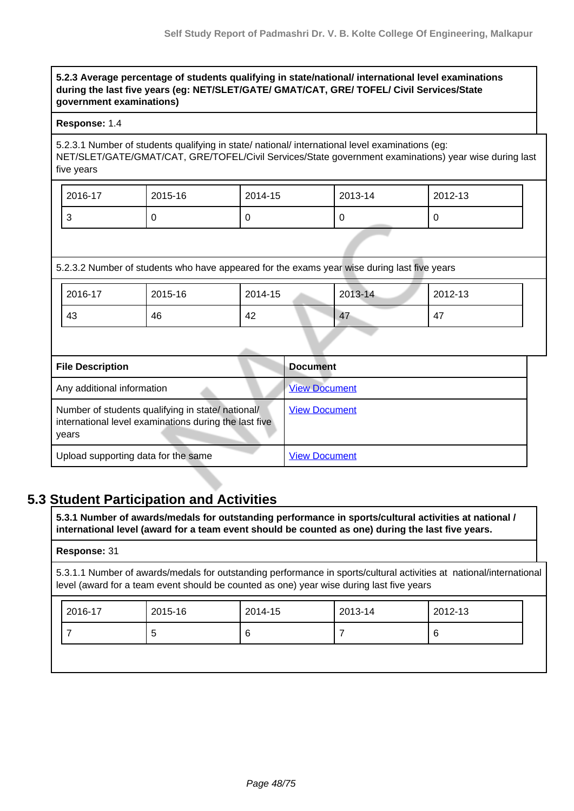# **5.2.3 Average percentage of students qualifying in state/national/ international level examinations during the last five years (eg: NET/SLET/GATE/ GMAT/CAT, GRE/ TOFEL/ Civil Services/State government examinations) Response:** 1.4 5.2.3.1 Number of students qualifying in state/ national/ international level examinations (eg: NET/SLET/GATE/GMAT/CAT, GRE/TOFEL/Civil Services/State government examinations) year wise during last five years 2016-17 2015-16 2014-15 2013-14 2012-13 3 0 0 0 0 5.2.3.2 Number of students who have appeared for the exams year wise during last five years 2016-17 2015-16 2014-15 2013-14 2012-13 43 | 46 | 42 | 47 | 47 | 47 **File Description Document** Any additional information View Document Number of students qualifying in state/ national/ international level examinations during the last five years View Document Upload supporting data for the same View Document

## **5.3 Student Participation and Activities**

 **5.3.1 Number of awards/medals for outstanding performance in sports/cultural activities at national / international level (award for a team event should be counted as one) during the last five years.**

#### **Response:** 31

5.3.1.1 Number of awards/medals for outstanding performance in sports/cultural activities at national/international level (award for a team event should be counted as one) year wise during last five years

| 2016-17 | 2015-16 | 2014-15 | 2013-14 | 2012-13 |
|---------|---------|---------|---------|---------|
|         | G       | ь       |         | 6       |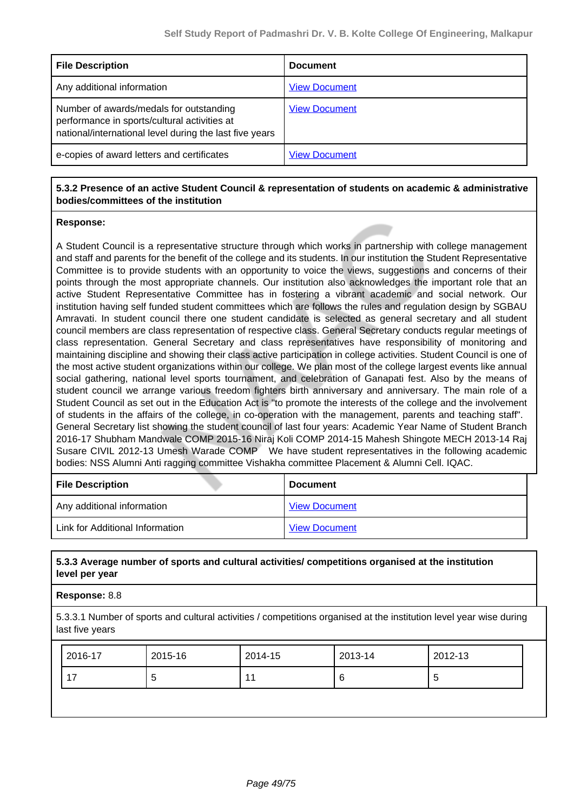| <b>File Description</b>                                                                                                                            | <b>Document</b>      |
|----------------------------------------------------------------------------------------------------------------------------------------------------|----------------------|
| Any additional information                                                                                                                         | <b>View Document</b> |
| Number of awards/medals for outstanding<br>performance in sports/cultural activities at<br>national/international level during the last five years | <b>View Document</b> |
| e-copies of award letters and certificates                                                                                                         | <b>View Document</b> |

#### **5.3.2 Presence of an active Student Council & representation of students on academic & administrative bodies/committees of the institution**

#### **Response:**

A Student Council is a representative structure through which works in partnership with college management and staff and parents for the benefit of the college and its students. In our institution the Student Representative Committee is to provide students with an opportunity to voice the views, suggestions and concerns of their points through the most appropriate channels. Our institution also acknowledges the important role that an active Student Representative Committee has in fostering a vibrant academic and social network. Our institution having self funded student committees which are follows the rules and regulation design by SGBAU Amravati. In student council there one student candidate is selected as general secretary and all student council members are class representation of respective class. General Secretary conducts regular meetings of class representation. General Secretary and class representatives have responsibility of monitoring and maintaining discipline and showing their class active participation in college activities. Student Council is one of the most active student organizations within our college. We plan most of the college largest events like annual social gathering, national level sports tournament, and celebration of Ganapati fest. Also by the means of student council we arrange various freedom fighters birth anniversary and anniversary. The main role of a Student Council as set out in the Education Act is "to promote the interests of the college and the involvement of students in the affairs of the college, in co-operation with the management, parents and teaching staff". General Secretary list showing the student council of last four years: Academic Year Name of Student Branch 2016-17 Shubham Mandwale COMP 2015-16 Niraj Koli COMP 2014-15 Mahesh Shingote MECH 2013-14 Raj Susare CIVIL 2012-13 Umesh Warade COMP We have student representatives in the following academic bodies: NSS Alumni Anti ragging committee Vishakha committee Placement & Alumni Cell. IQAC.

| <b>File Description</b>         | <b>Document</b>      |
|---------------------------------|----------------------|
| Any additional information      | <b>View Document</b> |
| Link for Additional Information | <b>View Document</b> |

#### **5.3.3 Average number of sports and cultural activities/ competitions organised at the institution level per year**

**Response:** 8.8

5.3.3.1 Number of sports and cultural activities / competitions organised at the institution level year wise during last five years

|        | 2015-16<br>2016-17<br>2014-15 | 2013-14 | 2012-13 |
|--------|-------------------------------|---------|---------|
| Ð<br>Ð |                               |         |         |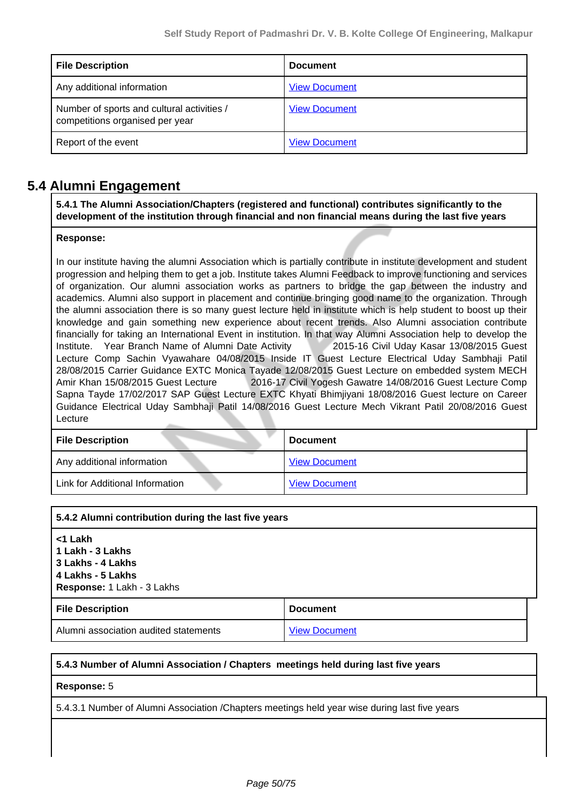| <b>File Description</b>                                                       | <b>Document</b>      |
|-------------------------------------------------------------------------------|----------------------|
| Any additional information                                                    | <b>View Document</b> |
| Number of sports and cultural activities /<br>competitions organised per year | <b>View Document</b> |
| Report of the event                                                           | <b>View Document</b> |

## **5.4 Alumni Engagement**

 **5.4.1 The Alumni Association/Chapters (registered and functional) contributes significantly to the development of the institution through financial and non financial means during the last five years**

#### **Response:**

In our institute having the alumni Association which is partially contribute in institute development and student progression and helping them to get a job. Institute takes Alumni Feedback to improve functioning and services of organization. Our alumni association works as partners to bridge the gap between the industry and academics. Alumni also support in placement and continue bringing good name to the organization. Through the alumni association there is so many guest lecture held in institute which is help student to boost up their knowledge and gain something new experience about recent trends. Also Alumni association contribute financially for taking an International Event in institution. In that way Alumni Association help to develop the Institute. Year Branch Name of Alumni Date Activity 2015-16 Civil Uday Kasar 13/08/2015 Guest Lecture Comp Sachin Vyawahare 04/08/2015 Inside IT Guest Lecture Electrical Uday Sambhaji Patil 28/08/2015 Carrier Guidance EXTC Monica Tayade 12/08/2015 Guest Lecture on embedded system MECH Amir Khan 15/08/2015 Guest Lecture 2016-17 Civil Yogesh Gawatre 14/08/2016 Guest Lecture Comp Sapna Tayde 17/02/2017 SAP Guest Lecture EXTC Khyati Bhimjiyani 18/08/2016 Guest lecture on Career Guidance Electrical Uday Sambhaji Patil 14/08/2016 Guest Lecture Mech Vikrant Patil 20/08/2016 Guest Lecture

| <b>File Description</b>         | <b>Document</b>      |
|---------------------------------|----------------------|
| Any additional information      | <b>View Document</b> |
| Link for Additional Information | <b>View Document</b> |

| <1 Lakh<br>1 Lakh - 3 Lakhs<br>3 Lakhs - 4 Lakhs<br>4 Lakhs - 5 Lakhs<br>Response: 1 Lakh - 3 Lakhs |                 |
|-----------------------------------------------------------------------------------------------------|-----------------|
| <b>File Description</b>                                                                             | <b>Document</b> |

#### **5.4.3 Number of Alumni Association / Chapters meetings held during last five years**

#### **Response:** 5

5.4.3.1 Number of Alumni Association /Chapters meetings held year wise during last five years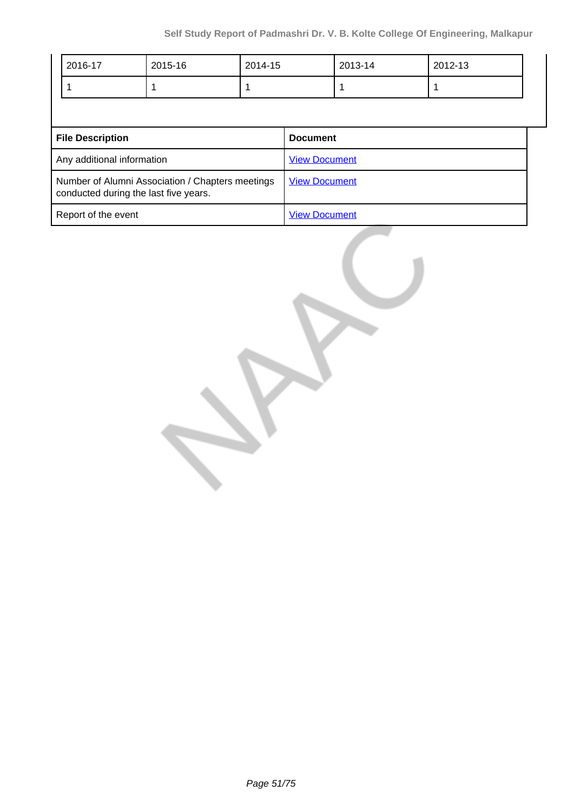| 2016-17                               | 2015-16<br>2014-15                               |                      |                      | 2013-14 | 2012-13 |  |
|---------------------------------------|--------------------------------------------------|----------------------|----------------------|---------|---------|--|
|                                       |                                                  |                      |                      |         |         |  |
|                                       |                                                  |                      |                      |         |         |  |
| <b>File Description</b>               |                                                  | <b>Document</b>      |                      |         |         |  |
| Any additional information            |                                                  | <b>View Document</b> |                      |         |         |  |
| conducted during the last five years. | Number of Alumni Association / Chapters meetings |                      | <b>View Document</b> |         |         |  |
| Report of the event                   |                                                  | <b>View Document</b> |                      |         |         |  |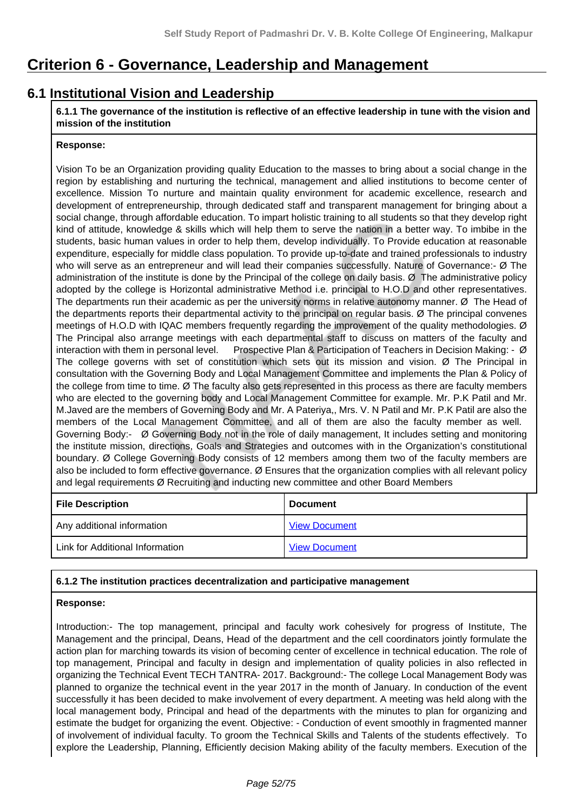## **Criterion 6 - Governance, Leadership and Management**

## **6.1 Institutional Vision and Leadership**

 **6.1.1 The governance of the institution is reflective of an effective leadership in tune with the vision and mission of the institution**

#### **Response:**

Vision To be an Organization providing quality Education to the masses to bring about a social change in the region by establishing and nurturing the technical, management and allied institutions to become center of excellence. Mission To nurture and maintain quality environment for academic excellence, research and development of entrepreneurship, through dedicated staff and transparent management for bringing about a social change, through affordable education. To impart holistic training to all students so that they develop right kind of attitude, knowledge & skills which will help them to serve the nation in a better way. To imbibe in the students, basic human values in order to help them, develop individually. To Provide education at reasonable expenditure, especially for middle class population. To provide up-to-date and trained professionals to industry who will serve as an entrepreneur and will lead their companies successfully. Nature of Governance:- Ø The administration of the institute is done by the Principal of the college on daily basis. Ø The administrative policy adopted by the college is Horizontal administrative Method i.e. principal to H.O.D and other representatives. The departments run their academic as per the university norms in relative autonomy manner. Ø The Head of the departments reports their departmental activity to the principal on regular basis. Ø The principal convenes meetings of H.O.D with IQAC members frequently regarding the improvement of the quality methodologies. Ø The Principal also arrange meetings with each departmental staff to discuss on matters of the faculty and interaction with them in personal level. Prospective Plan & Participation of Teachers in Decision Making: - Ø The college governs with set of constitution which sets out its mission and vision. Ø The Principal in consultation with the Governing Body and Local Management Committee and implements the Plan & Policy of the college from time to time.  $\varnothing$  The faculty also gets represented in this process as there are faculty members who are elected to the governing body and Local Management Committee for example. Mr. P.K Patil and Mr. M.Javed are the members of Governing Body and Mr. A Pateriya,, Mrs. V. N Patil and Mr. P.K Patil are also the members of the Local Management Committee, and all of them are also the faculty member as well. Governing Body:- Ø Governing Body not in the role of daily management, It includes setting and monitoring the institute mission, directions, Goals and Strategies and outcomes with in the Organization's constitutional boundary. Ø College Governing Body consists of 12 members among them two of the faculty members are also be included to form effective governance. Ø Ensures that the organization complies with all relevant policy and legal requirements Ø Recruiting and inducting new committee and other Board Members

| <b>File Description</b>         | <b>Document</b>      |
|---------------------------------|----------------------|
| Any additional information      | <b>View Document</b> |
| Link for Additional Information | <b>View Document</b> |

#### **6.1.2 The institution practices decentralization and participative management**

#### **Response:**

Introduction:- The top management, principal and faculty work cohesively for progress of Institute, The Management and the principal, Deans, Head of the department and the cell coordinators jointly formulate the action plan for marching towards its vision of becoming center of excellence in technical education. The role of top management, Principal and faculty in design and implementation of quality policies in also reflected in organizing the Technical Event TECH TANTRA- 2017. Background:- The college Local Management Body was planned to organize the technical event in the year 2017 in the month of January. In conduction of the event successfully it has been decided to make involvement of every department. A meeting was held along with the local management body, Principal and head of the departments with the minutes to plan for organizing and estimate the budget for organizing the event. Objective: - Conduction of event smoothly in fragmented manner of involvement of individual faculty. To groom the Technical Skills and Talents of the students effectively. To explore the Leadership, Planning, Efficiently decision Making ability of the faculty members. Execution of the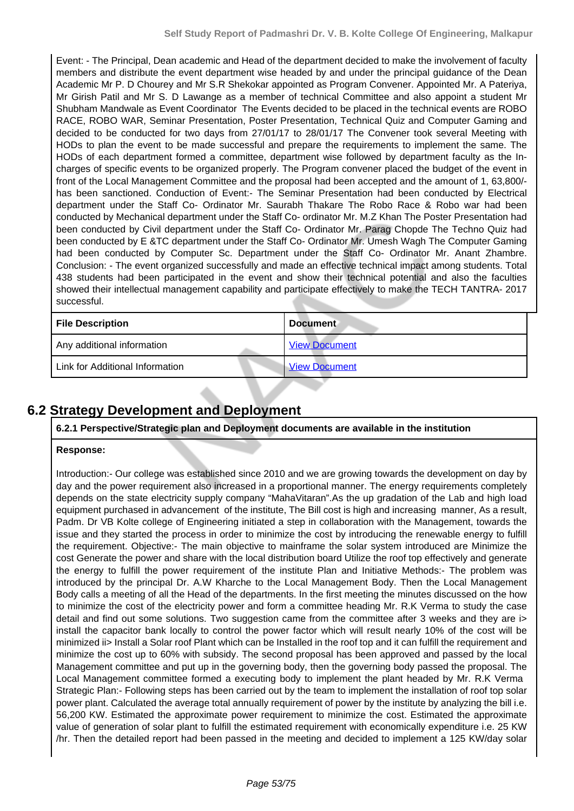Event: - The Principal, Dean academic and Head of the department decided to make the involvement of faculty members and distribute the event department wise headed by and under the principal guidance of the Dean Academic Mr P. D Chourey and Mr S.R Shekokar appointed as Program Convener. Appointed Mr. A Pateriya, Mr Girish Patil and Mr S. D Lawange as a member of technical Committee and also appoint a student Mr Shubham Mandwale as Event Coordinator The Events decided to be placed in the technical events are ROBO RACE, ROBO WAR, Seminar Presentation, Poster Presentation, Technical Quiz and Computer Gaming and decided to be conducted for two days from 27/01/17 to 28/01/17 The Convener took several Meeting with HODs to plan the event to be made successful and prepare the requirements to implement the same. The HODs of each department formed a committee, department wise followed by department faculty as the Incharges of specific events to be organized properly. The Program convener placed the budget of the event in front of the Local Management Committee and the proposal had been accepted and the amount of 1, 63,800/ has been sanctioned. Conduction of Event:- The Seminar Presentation had been conducted by Electrical department under the Staff Co- Ordinator Mr. Saurabh Thakare The Robo Race & Robo war had been conducted by Mechanical department under the Staff Co- ordinator Mr. M.Z Khan The Poster Presentation had been conducted by Civil department under the Staff Co- Ordinator Mr. Parag Chopde The Techno Quiz had been conducted by E &TC department under the Staff Co- Ordinator Mr. Umesh Wagh The Computer Gaming had been conducted by Computer Sc. Department under the Staff Co- Ordinator Mr. Anant Zhambre. Conclusion: - The event organized successfully and made an effective technical impact among students. Total 438 students had been participated in the event and show their technical potential and also the faculties showed their intellectual management capability and participate effectively to make the TECH TANTRA- 2017 successful.

| File Description                | <b>Document</b>      |
|---------------------------------|----------------------|
| Any additional information      | <b>View Document</b> |
| Link for Additional Information | <b>View Document</b> |

## **6.2 Strategy Development and Deployment**

**6.2.1 Perspective/Strategic plan and Deployment documents are available in the institution**

#### **Response:**

Introduction:- Our college was established since 2010 and we are growing towards the development on day by day and the power requirement also increased in a proportional manner. The energy requirements completely depends on the state electricity supply company "MahaVitaran".As the up gradation of the Lab and high load equipment purchased in advancement of the institute, The Bill cost is high and increasing manner, As a result, Padm. Dr VB Kolte college of Engineering initiated a step in collaboration with the Management, towards the issue and they started the process in order to minimize the cost by introducing the renewable energy to fulfill the requirement. Objective:- The main objective to mainframe the solar system introduced are Minimize the cost Generate the power and share with the local distribution board Utilize the roof top effectively and generate the energy to fulfill the power requirement of the institute Plan and Initiative Methods:- The problem was introduced by the principal Dr. A.W Kharche to the Local Management Body. Then the Local Management Body calls a meeting of all the Head of the departments. In the first meeting the minutes discussed on the how to minimize the cost of the electricity power and form a committee heading Mr. R.K Verma to study the case detail and find out some solutions. Two suggestion came from the committee after 3 weeks and they are i> install the capacitor bank locally to control the power factor which will result nearly 10% of the cost will be minimized ii> Install a Solar roof Plant which can be Installed in the roof top and it can fulfill the requirement and minimize the cost up to 60% with subsidy. The second proposal has been approved and passed by the local Management committee and put up in the governing body, then the governing body passed the proposal. The Local Management committee formed a executing body to implement the plant headed by Mr. R.K Verma Strategic Plan:- Following steps has been carried out by the team to implement the installation of roof top solar power plant. Calculated the average total annually requirement of power by the institute by analyzing the bill i.e. 56,200 KW. Estimated the approximate power requirement to minimize the cost. Estimated the approximate value of generation of solar plant to fulfill the estimated requirement with economically expenditure i.e. 25 KW /hr. Then the detailed report had been passed in the meeting and decided to implement a 125 KW/day solar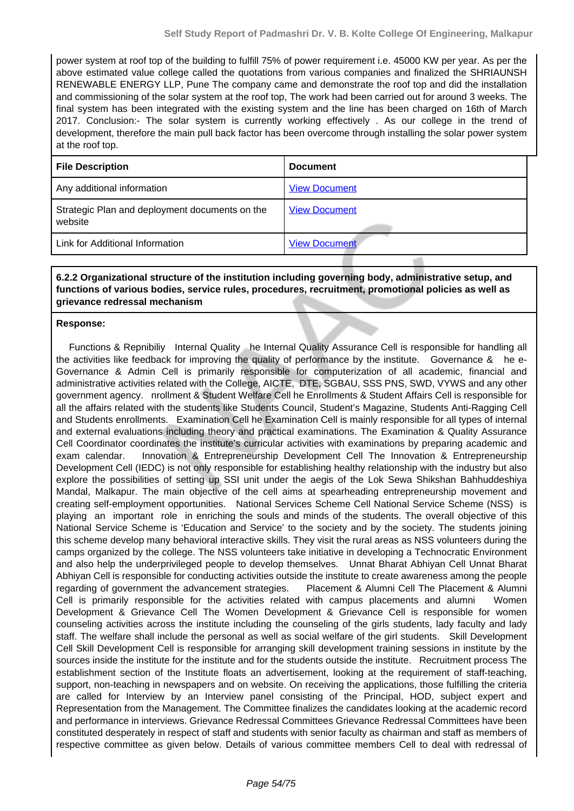power system at roof top of the building to fulfill 75% of power requirement i.e. 45000 KW per year. As per the above estimated value college called the quotations from various companies and finalized the SHRIAUNSH RENEWABLE ENERGY LLP, Pune The company came and demonstrate the roof top and did the installation and commissioning of the solar system at the roof top, The work had been carried out for around 3 weeks. The final system has been integrated with the existing system and the line has been charged on 16th of March 2017. Conclusion:- The solar system is currently working effectively . As our college in the trend of development, therefore the main pull back factor has been overcome through installing the solar power system at the roof top.

| <b>File Description</b>                                   | <b>Document</b>      |
|-----------------------------------------------------------|----------------------|
| Any additional information                                | <b>View Document</b> |
| Strategic Plan and deployment documents on the<br>website | <b>View Document</b> |
| Link for Additional Information                           | <b>View Document</b> |

#### **6.2.2 Organizational structure of the institution including governing body, administrative setup, and functions of various bodies, service rules, procedures, recruitment, promotional policies as well as grievance redressal mechanism**

#### **Response:**

 Functions & Repnibiliy Internal Quality he Internal Quality Assurance Cell is responsible for handling all the activities like feedback for improving the quality of performance by the institute. Governance & he e-Governance & Admin Cell is primarily responsible for computerization of all academic, financial and administrative activities related with the College, AICTE, DTE, SGBAU, SSS PNS, SWD, VYWS and any other government agency. nrollment & Student Welfare Cell he Enrollments & Student Affairs Cell is responsible for all the affairs related with the students like Students Council, Student's Magazine, Students Anti-Ragging Cell and Students enrollments. Examination Cell he Examination Cell is mainly responsible for all types of internal and external evaluations including theory and practical examinations. The Examination & Quality Assurance Cell Coordinator coordinates the institute's curricular activities with examinations by preparing academic and exam calendar. Innovation & Entrepreneurship Development Cell The Innovation & Entrepreneurship Development Cell (IEDC) is not only responsible for establishing healthy relationship with the industry but also explore the possibilities of setting up SSI unit under the aegis of the Lok Sewa Shikshan Bahhuddeshiya Mandal, Malkapur. The main objective of the cell aims at spearheading entrepreneurship movement and creating self-employment opportunities. National Services Scheme Cell National Service Scheme (NSS) is playing an important role in enriching the souls and minds of the students. The overall objective of this National Service Scheme is 'Education and Service' to the society and by the society. The students joining this scheme develop many behavioral interactive skills. They visit the rural areas as NSS volunteers during the camps organized by the college. The NSS volunteers take initiative in developing a Technocratic Environment and also help the underprivileged people to develop themselves. Unnat Bharat Abhiyan Cell Unnat Bharat Abhiyan Cell is responsible for conducting activities outside the institute to create awareness among the people regarding of government the advancement strategies. Placement & Alumni Cell The Placement & Alumni Cell is primarily responsible for the activities related with campus placements and alumni Women Development & Grievance Cell The Women Development & Grievance Cell is responsible for women counseling activities across the institute including the counseling of the girls students, lady faculty and lady staff. The welfare shall include the personal as well as social welfare of the girl students. Skill Development Cell Skill Development Cell is responsible for arranging skill development training sessions in institute by the sources inside the institute for the institute and for the students outside the institute. Recruitment process The establishment section of the Institute floats an advertisement, looking at the requirement of staff-teaching, support, non-teaching in newspapers and on website. On receiving the applications, those fulfilling the criteria are called for Interview by an Interview panel consisting of the Principal, HOD, subject expert and Representation from the Management. The Committee finalizes the candidates looking at the academic record and performance in interviews. Grievance Redressal Committees Grievance Redressal Committees have been constituted desperately in respect of staff and students with senior faculty as chairman and staff as members of respective committee as given below. Details of various committee members Cell to deal with redressal of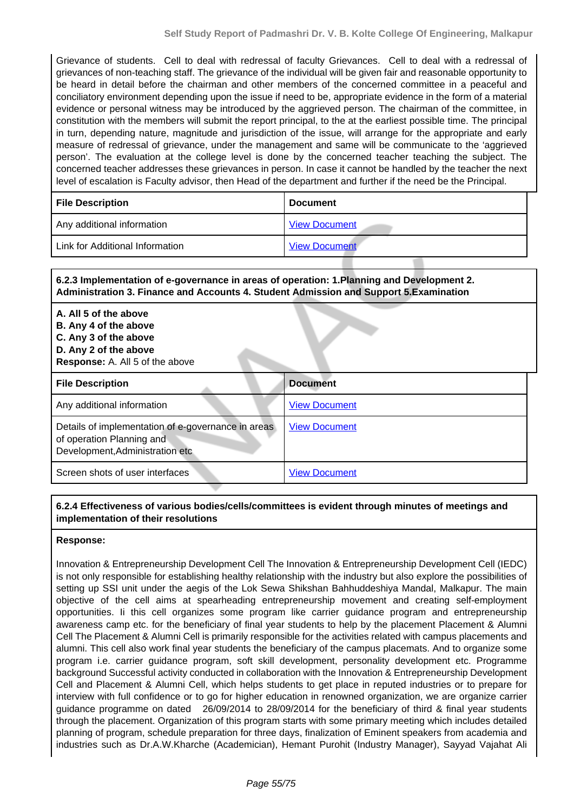Grievance of students. Cell to deal with redressal of faculty Grievances. Cell to deal with a redressal of grievances of non-teaching staff. The grievance of the individual will be given fair and reasonable opportunity to be heard in detail before the chairman and other members of the concerned committee in a peaceful and conciliatory environment depending upon the issue if need to be, appropriate evidence in the form of a material evidence or personal witness may be introduced by the aggrieved person. The chairman of the committee, in constitution with the members will submit the report principal, to the at the earliest possible time. The principal in turn, depending nature, magnitude and jurisdiction of the issue, will arrange for the appropriate and early measure of redressal of grievance, under the management and same will be communicate to the 'aggrieved person'. The evaluation at the college level is done by the concerned teacher teaching the subject. The concerned teacher addresses these grievances in person. In case it cannot be handled by the teacher the next level of escalation is Faculty advisor, then Head of the department and further if the need be the Principal.

| <b>File Description</b>         | <b>Document</b>      |
|---------------------------------|----------------------|
| Any additional information      | <b>View Document</b> |
| Link for Additional Information | <b>View Document</b> |

| A. All 5 of the above<br>B. Any 4 of the above<br>C. Any 3 of the above<br>D. Any 2 of the above<br>Response: A. All 5 of the above |                      |
|-------------------------------------------------------------------------------------------------------------------------------------|----------------------|
| <b>File Description</b>                                                                                                             | <b>Document</b>      |
| Any additional information                                                                                                          | <b>View Document</b> |
| Details of implementation of e-governance in areas<br>of operation Planning and                                                     | <b>View Document</b> |
| Development, Administration etc                                                                                                     |                      |

#### **6.2.4 Effectiveness of various bodies/cells/committees is evident through minutes of meetings and implementation of their resolutions**

#### **Response:**

Innovation & Entrepreneurship Development Cell The Innovation & Entrepreneurship Development Cell (IEDC) is not only responsible for establishing healthy relationship with the industry but also explore the possibilities of setting up SSI unit under the aegis of the Lok Sewa Shikshan Bahhuddeshiya Mandal, Malkapur. The main objective of the cell aims at spearheading entrepreneurship movement and creating self-employment opportunities. Ii this cell organizes some program like carrier guidance program and entrepreneurship awareness camp etc. for the beneficiary of final year students to help by the placement Placement & Alumni Cell The Placement & Alumni Cell is primarily responsible for the activities related with campus placements and alumni. This cell also work final year students the beneficiary of the campus placemats. And to organize some program i.e. carrier guidance program, soft skill development, personality development etc. Programme background Successful activity conducted in collaboration with the Innovation & Entrepreneurship Development Cell and Placement & Alumni Cell, which helps students to get place in reputed industries or to prepare for interview with full confidence or to go for higher education in renowned organization, we are organize carrier guidance programme on dated 26/09/2014 to 28/09/2014 for the beneficiary of third & final year students through the placement. Organization of this program starts with some primary meeting which includes detailed planning of program, schedule preparation for three days, finalization of Eminent speakers from academia and industries such as Dr.A.W.Kharche (Academician), Hemant Purohit (Industry Manager), Sayyad Vajahat Ali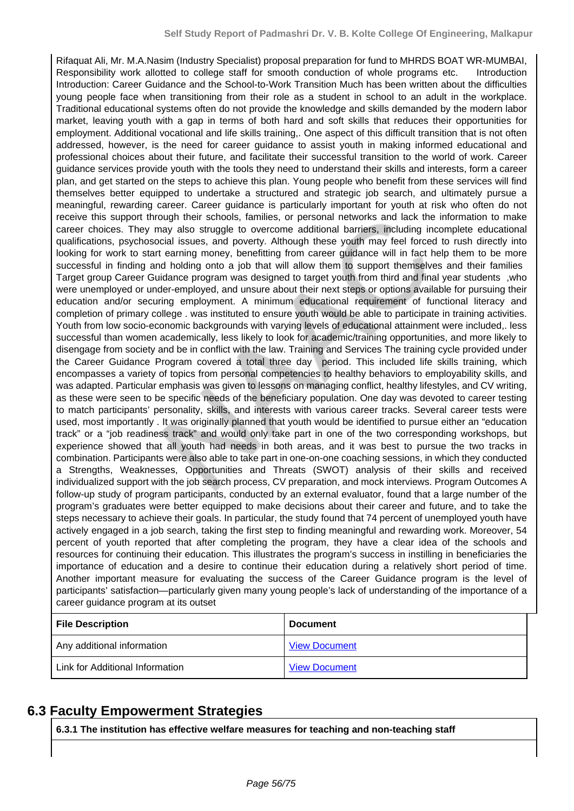Rifaquat Ali, Mr. M.A.Nasim (Industry Specialist) proposal preparation for fund to MHRDS BOAT WR-MUMBAI, Responsibility work allotted to college staff for smooth conduction of whole programs etc. Introduction Introduction: Career Guidance and the School-to-Work Transition Much has been written about the difficulties young people face when transitioning from their role as a student in school to an adult in the workplace. Traditional educational systems often do not provide the knowledge and skills demanded by the modern labor market, leaving youth with a gap in terms of both hard and soft skills that reduces their opportunities for employment. Additional vocational and life skills training,. One aspect of this difficult transition that is not often addressed, however, is the need for career guidance to assist youth in making informed educational and professional choices about their future, and facilitate their successful transition to the world of work. Career guidance services provide youth with the tools they need to understand their skills and interests, form a career plan, and get started on the steps to achieve this plan. Young people who benefit from these services will find themselves better equipped to undertake a structured and strategic job search, and ultimately pursue a meaningful, rewarding career. Career guidance is particularly important for youth at risk who often do not receive this support through their schools, families, or personal networks and lack the information to make career choices. They may also struggle to overcome additional barriers, including incomplete educational qualifications, psychosocial issues, and poverty. Although these youth may feel forced to rush directly into looking for work to start earning money, benefitting from career guidance will in fact help them to be more successful in finding and holding onto a job that will allow them to support themselves and their families Target group Career Guidance program was designed to target youth from third and final year students ,who were unemployed or under-employed, and unsure about their next steps or options available for pursuing their education and/or securing employment. A minimum educational requirement of functional literacy and completion of primary college . was instituted to ensure youth would be able to participate in training activities. Youth from low socio-economic backgrounds with varying levels of educational attainment were included,. less successful than women academically, less likely to look for academic/training opportunities, and more likely to disengage from society and be in conflict with the law. Training and Services The training cycle provided under the Career Guidance Program covered a total three day period. This included life skills training, which encompasses a variety of topics from personal competencies to healthy behaviors to employability skills, and was adapted. Particular emphasis was given to lessons on managing conflict, healthy lifestyles, and CV writing, as these were seen to be specific needs of the beneficiary population. One day was devoted to career testing to match participants' personality, skills, and interests with various career tracks. Several career tests were used, most importantly . It was originally planned that youth would be identified to pursue either an "education track" or a "job readiness track" and would only take part in one of the two corresponding workshops, but experience showed that all youth had needs in both areas, and it was best to pursue the two tracks in combination. Participants were also able to take part in one-on-one coaching sessions, in which they conducted a Strengths, Weaknesses, Opportunities and Threats (SWOT) analysis of their skills and received individualized support with the job search process, CV preparation, and mock interviews. Program Outcomes A follow-up study of program participants, conducted by an external evaluator, found that a large number of the program's graduates were better equipped to make decisions about their career and future, and to take the steps necessary to achieve their goals. In particular, the study found that 74 percent of unemployed youth have actively engaged in a job search, taking the first step to finding meaningful and rewarding work. Moreover, 54 percent of youth reported that after completing the program, they have a clear idea of the schools and resources for continuing their education. This illustrates the program's success in instilling in beneficiaries the importance of education and a desire to continue their education during a relatively short period of time. Another important measure for evaluating the success of the Career Guidance program is the level of participants' satisfaction—particularly given many young people's lack of understanding of the importance of a career guidance program at its outset

| File Description                | <b>Document</b>      |
|---------------------------------|----------------------|
| Any additional information      | <b>View Document</b> |
| Link for Additional Information | <b>View Document</b> |

### **6.3 Faculty Empowerment Strategies**

**6.3.1 The institution has effective welfare measures for teaching and non-teaching staff**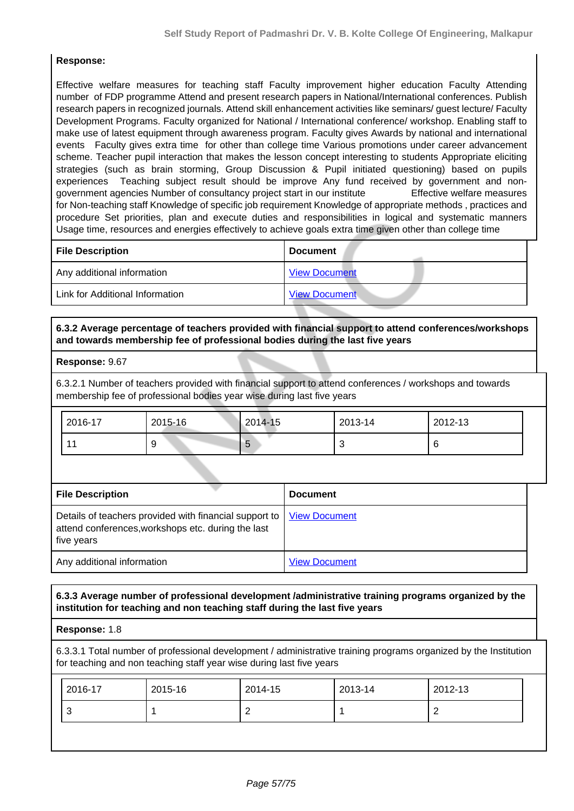#### **Response:**

Effective welfare measures for teaching staff Faculty improvement higher education Faculty Attending number of FDP programme Attend and present research papers in National/International conferences. Publish research papers in recognized journals. Attend skill enhancement activities like seminars/ guest lecture/ Faculty Development Programs. Faculty organized for National / International conference/ workshop. Enabling staff to make use of latest equipment through awareness program. Faculty gives Awards by national and international events Faculty gives extra time for other than college time Various promotions under career advancement scheme. Teacher pupil interaction that makes the lesson concept interesting to students Appropriate eliciting strategies (such as brain storming, Group Discussion & Pupil initiated questioning) based on pupils experiences Teaching subject result should be improve Any fund received by government and nongovernment agencies Number of consultancy project start in our institute Effective welfare measures for Non-teaching staff Knowledge of specific job requirement Knowledge of appropriate methods , practices and procedure Set priorities, plan and execute duties and responsibilities in logical and systematic manners Usage time, resources and energies effectively to achieve goals extra time given other than college time

| <b>File Description</b>         | <b>Document</b>      |
|---------------------------------|----------------------|
| Any additional information      | <b>View Document</b> |
| Link for Additional Information | <b>View Document</b> |

#### **6.3.2 Average percentage of teachers provided with financial support to attend conferences/workshops and towards membership fee of professional bodies during the last five years**

#### **Response:** 9.67

6.3.2.1 Number of teachers provided with financial support to attend conferences / workshops and towards membership fee of professional bodies year wise during last five years

| 2016-17        | 2015-16 | $2014 - 15$ | 2013-14 | 2012-13 |
|----------------|---------|-------------|---------|---------|
| $\overline{A}$ |         | J           | ັ       |         |

| <b>File Description</b>                                                                                                    | <b>Document</b>      |
|----------------------------------------------------------------------------------------------------------------------------|----------------------|
| Details of teachers provided with financial support to<br>attend conferences, workshops etc. during the last<br>five years | <b>View Document</b> |
| Any additional information                                                                                                 | <b>View Document</b> |

#### **6.3.3 Average number of professional development /administrative training programs organized by the institution for teaching and non teaching staff during the last five years**

#### **Response:** 1.8

6.3.3.1 Total number of professional development / administrative training programs organized by the Institution for teaching and non teaching staff year wise during last five years

| 2016-17 | 2015-16 | 2014-15 | 2013-14 | 2012-13 |
|---------|---------|---------|---------|---------|
| ີ       |         | _       |         | -       |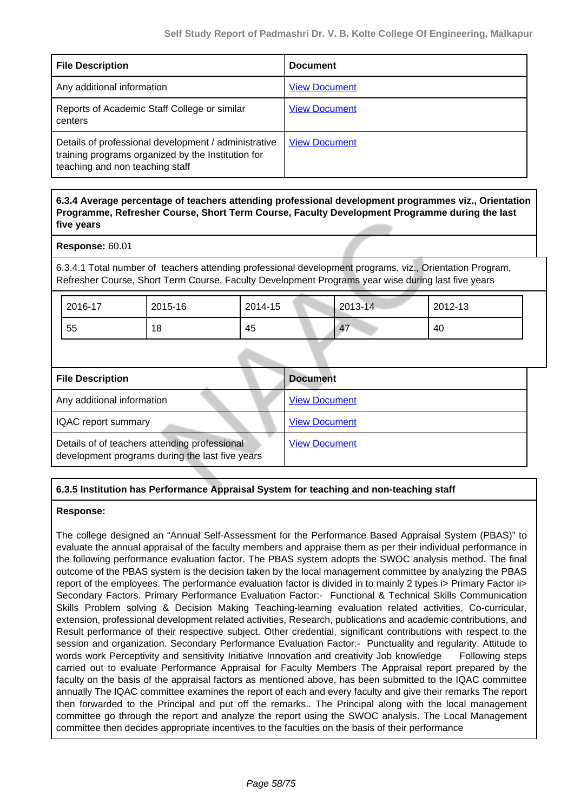| <b>File Description</b>                                                                                                                       | <b>Document</b>      |
|-----------------------------------------------------------------------------------------------------------------------------------------------|----------------------|
| Any additional information                                                                                                                    | <b>View Document</b> |
| Reports of Academic Staff College or similar<br>centers                                                                                       | <b>View Document</b> |
| Details of professional development / administrative<br>training programs organized by the Institution for<br>teaching and non teaching staff | <b>View Document</b> |

 **6.3.4 Average percentage of teachers attending professional development programmes viz., Orientation Programme, Refresher Course, Short Term Course, Faculty Development Programme during the last five years**

**Response:** 60.01

6.3.4.1 Total number of teachers attending professional development programs, viz., Orientation Program, Refresher Course, Short Term Course, Faculty Development Programs year wise during last five years

| 2016-17 | 2015-16 | 2014-15 | 2013-14 | 2012-13 |
|---------|---------|---------|---------|---------|
| 55      | 18      | 45      | 47      | 40      |

| <b>File Description</b>                                                                          | <b>Document</b>      |
|--------------------------------------------------------------------------------------------------|----------------------|
| Any additional information                                                                       | <b>View Document</b> |
| IQAC report summary                                                                              | <b>View Document</b> |
| Details of of teachers attending professional<br>development programs during the last five years | <b>View Document</b> |

#### **6.3.5 Institution has Performance Appraisal System for teaching and non-teaching staff**

#### **Response:**

The college designed an "Annual Self-Assessment for the Performance Based Appraisal System (PBAS)" to evaluate the annual appraisal of the faculty members and appraise them as per their individual performance in the following performance evaluation factor. The PBAS system adopts the SWOC analysis method. The final outcome of the PBAS system is the decision taken by the local management committee by analyzing the PBAS report of the employees. The performance evaluation factor is divided in to mainly 2 types i> Primary Factor ii> Secondary Factors. Primary Performance Evaluation Factor:- Functional & Technical Skills Communication Skills Problem solving & Decision Making Teaching-learning evaluation related activities, Co-curricular, extension, professional development related activities, Research, publications and academic contributions, and Result performance of their respective subject. Other credential, significant contributions with respect to the session and organization. Secondary Performance Evaluation Factor:- Punctuality and regularity. Attitude to words work Perceptivity and sensitivity Initiative Innovation and creativity Job knowledge Following steps carried out to evaluate Performance Appraisal for Faculty Members The Appraisal report prepared by the faculty on the basis of the appraisal factors as mentioned above, has been submitted to the IQAC committee annually The IQAC committee examines the report of each and every faculty and give their remarks The report then forwarded to the Principal and put off the remarks.. The Principal along with the local management committee go through the report and analyze the report using the SWOC analysis. The Local Management committee then decides appropriate incentives to the faculties on the basis of their performance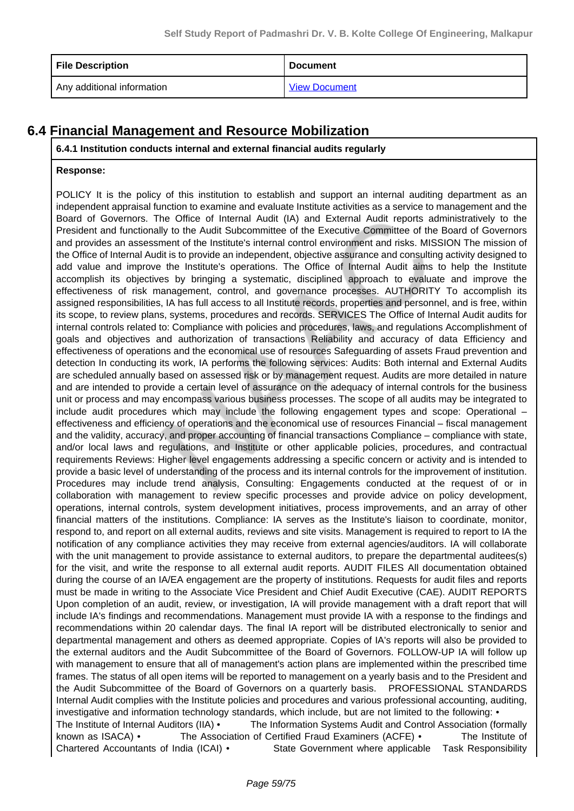| <b>File Description</b>    | <b>Document</b>      |
|----------------------------|----------------------|
| Any additional information | <b>View Document</b> |

## **6.4 Financial Management and Resource Mobilization**

**6.4.1 Institution conducts internal and external financial audits regularly**

#### **Response:**

POLICY It is the policy of this institution to establish and support an internal auditing department as an independent appraisal function to examine and evaluate Institute activities as a service to management and the Board of Governors. The Office of Internal Audit (IA) and External Audit reports administratively to the President and functionally to the Audit Subcommittee of the Executive Committee of the Board of Governors and provides an assessment of the Institute's internal control environment and risks. MISSION The mission of the Office of Internal Audit is to provide an independent, objective assurance and consulting activity designed to add value and improve the Institute's operations. The Office of Internal Audit aims to help the Institute accomplish its objectives by bringing a systematic, disciplined approach to evaluate and improve the effectiveness of risk management, control, and governance processes. AUTHORITY To accomplish its assigned responsibilities, IA has full access to all Institute records, properties and personnel, and is free, within its scope, to review plans, systems, procedures and records. SERVICES The Office of Internal Audit audits for internal controls related to: Compliance with policies and procedures, laws, and regulations Accomplishment of goals and objectives and authorization of transactions Reliability and accuracy of data Efficiency and effectiveness of operations and the economical use of resources Safeguarding of assets Fraud prevention and detection In conducting its work, IA performs the following services: Audits: Both internal and External Audits are scheduled annually based on assessed risk or by management request. Audits are more detailed in nature and are intended to provide a certain level of assurance on the adequacy of internal controls for the business unit or process and may encompass various business processes. The scope of all audits may be integrated to include audit procedures which may include the following engagement types and scope: Operational – effectiveness and efficiency of operations and the economical use of resources Financial – fiscal management and the validity, accuracy, and proper accounting of financial transactions Compliance – compliance with state, and/or local laws and regulations, and Institute or other applicable policies, procedures, and contractual requirements Reviews: Higher level engagements addressing a specific concern or activity and is intended to provide a basic level of understanding of the process and its internal controls for the improvement of institution. Procedures may include trend analysis, Consulting: Engagements conducted at the request of or in collaboration with management to review specific processes and provide advice on policy development, operations, internal controls, system development initiatives, process improvements, and an array of other financial matters of the institutions. Compliance: IA serves as the Institute's liaison to coordinate, monitor, respond to, and report on all external audits, reviews and site visits. Management is required to report to IA the notification of any compliance activities they may receive from external agencies/auditors. IA will collaborate with the unit management to provide assistance to external auditors, to prepare the departmental auditees(s) for the visit, and write the response to all external audit reports. AUDIT FILES All documentation obtained during the course of an IA/EA engagement are the property of institutions. Requests for audit files and reports must be made in writing to the Associate Vice President and Chief Audit Executive (CAE). AUDIT REPORTS Upon completion of an audit, review, or investigation, IA will provide management with a draft report that will include IA's findings and recommendations. Management must provide IA with a response to the findings and recommendations within 20 calendar days. The final IA report will be distributed electronically to senior and departmental management and others as deemed appropriate. Copies of IA's reports will also be provided to the external auditors and the Audit Subcommittee of the Board of Governors. FOLLOW-UP IA will follow up with management to ensure that all of management's action plans are implemented within the prescribed time frames. The status of all open items will be reported to management on a yearly basis and to the President and the Audit Subcommittee of the Board of Governors on a quarterly basis. PROFESSIONAL STANDARDS Internal Audit complies with the Institute policies and procedures and various professional accounting, auditing, investigative and information technology standards, which include, but are not limited to the following: • The Institute of Internal Auditors (IIA) • The Information Systems Audit and Control Association (formally known as ISACA) • The Association of Certified Fraud Examiners (ACFE) • The Institute of Chartered Accountants of India (ICAI) • State Government where applicable Task Responsibility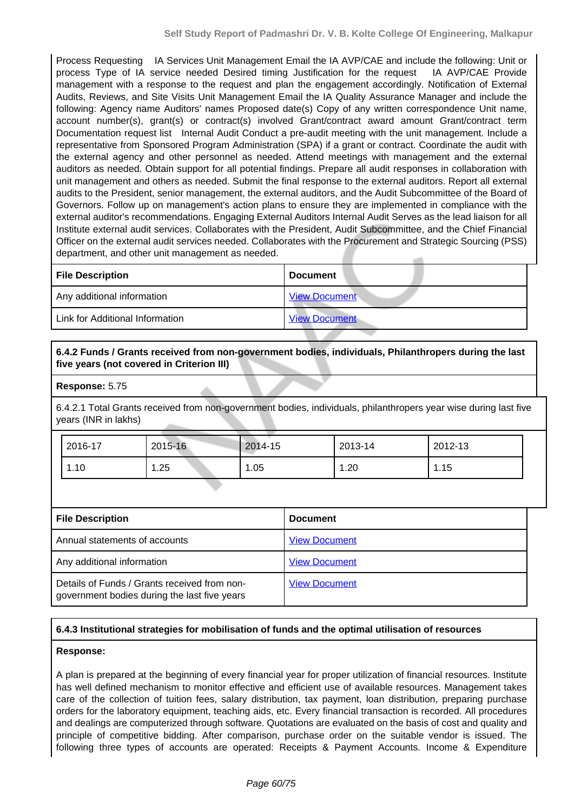Process Requesting IA Services Unit Management Email the IA AVP/CAE and include the following: Unit or process Type of IA service needed Desired timing Justification for the request IA AVP/CAE Provide management with a response to the request and plan the engagement accordingly. Notification of External Audits, Reviews, and Site Visits Unit Management Email the IA Quality Assurance Manager and include the following: Agency name Auditors' names Proposed date(s) Copy of any written correspondence Unit name, account number(s), grant(s) or contract(s) involved Grant/contract award amount Grant/contract term Documentation request list Internal Audit Conduct a pre-audit meeting with the unit management. Include a representative from Sponsored Program Administration (SPA) if a grant or contract. Coordinate the audit with the external agency and other personnel as needed. Attend meetings with management and the external auditors as needed. Obtain support for all potential findings. Prepare all audit responses in collaboration with unit management and others as needed. Submit the final response to the external auditors. Report all external audits to the President, senior management, the external auditors, and the Audit Subcommittee of the Board of Governors. Follow up on management's action plans to ensure they are implemented in compliance with the external auditor's recommendations. Engaging External Auditors Internal Audit Serves as the lead liaison for all Institute external audit services. Collaborates with the President, Audit Subcommittee, and the Chief Financial Officer on the external audit services needed. Collaborates with the Procurement and Strategic Sourcing (PSS) department, and other unit management as needed.

| <b>File Description</b>         | <b>Document</b>      |
|---------------------------------|----------------------|
| Any additional information      | <b>View Document</b> |
| Link for Additional Information | <b>View Document</b> |

#### **6.4.2 Funds / Grants received from non-government bodies, individuals, Philanthropers during the last five years (not covered in Criterion III)**

**Response:** 5.75

6.4.2.1 Total Grants received from non-government bodies, individuals, philanthropers year wise during last five years (INR in lakhs)

| 2016-17 | 2015-16 | 2014-15 | 2013-14  | 2012-13 |
|---------|---------|---------|----------|---------|
| 1.10    | .25     | .05     | .20<br>- | 1.15    |

| <b>File Description</b>                                                                      | <b>Document</b>      |
|----------------------------------------------------------------------------------------------|----------------------|
| Annual statements of accounts                                                                | <b>View Document</b> |
| Any additional information                                                                   | <b>View Document</b> |
| Details of Funds / Grants received from non-<br>government bodies during the last five years | <b>View Document</b> |

#### **6.4.3 Institutional strategies for mobilisation of funds and the optimal utilisation of resources**

#### **Response:**

A plan is prepared at the beginning of every financial year for proper utilization of financial resources. Institute has well defined mechanism to monitor effective and efficient use of available resources. Management takes care of the collection of tuition fees, salary distribution, tax payment, loan distribution, preparing purchase orders for the laboratory equipment, teaching aids, etc. Every financial transaction is recorded. All procedures and dealings are computerized through software. Quotations are evaluated on the basis of cost and quality and principle of competitive bidding. After comparison, purchase order on the suitable vendor is issued. The following three types of accounts are operated: Receipts & Payment Accounts. Income & Expenditure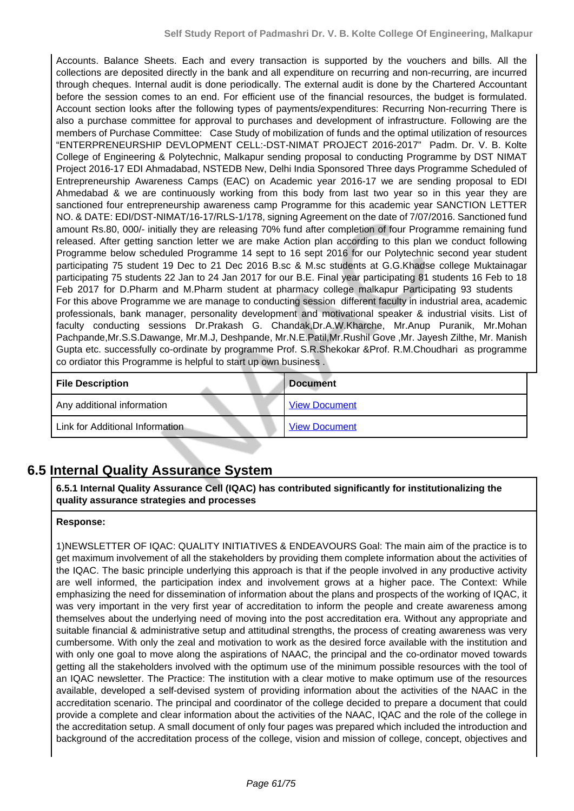Accounts. Balance Sheets. Each and every transaction is supported by the vouchers and bills. All the collections are deposited directly in the bank and all expenditure on recurring and non-recurring, are incurred through cheques. Internal audit is done periodically. The external audit is done by the Chartered Accountant before the session comes to an end. For efficient use of the financial resources, the budget is formulated. Account section looks after the following types of payments/expenditures: Recurring Non-recurring There is also a purchase committee for approval to purchases and development of infrastructure. Following are the members of Purchase Committee: Case Study of mobilization of funds and the optimal utilization of resources "ENTERPRENEURSHIP DEVLOPMENT CELL:-DST-NIMAT PROJECT 2016-2017" Padm. Dr. V. B. Kolte College of Engineering & Polytechnic, Malkapur sending proposal to conducting Programme by DST NIMAT Project 2016-17 EDI Ahmadabad, NSTEDB New, Delhi India Sponsored Three days Programme Scheduled of Entrepreneurship Awareness Camps (EAC) on Academic year 2016-17 we are sending proposal to EDI Ahmedabad & we are continuously working from this body from last two year so in this year they are sanctioned four entrepreneurship awareness camp Programme for this academic year SANCTION LETTER NO. & DATE: EDI/DST-NIMAT/16-17/RLS-1/178, signing Agreement on the date of 7/07/2016. Sanctioned fund amount Rs.80, 000/- initially they are releasing 70% fund after completion of four Programme remaining fund released. After getting sanction letter we are make Action plan according to this plan we conduct following Programme below scheduled Programme 14 sept to 16 sept 2016 for our Polytechnic second year student participating 75 student 19 Dec to 21 Dec 2016 B.sc & M.sc students at G.G.Khadse college Muktainagar participating 75 students 22 Jan to 24 Jan 2017 for our B.E. Final year participating 81 students 16 Feb to 18 Feb 2017 for D.Pharm and M.Pharm student at pharmacy college malkapur Participating 93 students For this above Programme we are manage to conducting session different faculty in industrial area, academic professionals, bank manager, personality development and motivational speaker & industrial visits. List of faculty conducting sessions Dr.Prakash G. Chandak,Dr.A.W.Kharche, Mr.Anup Puranik, Mr.Mohan Pachpande,Mr.S.S.Dawange, Mr.M.J, Deshpande, Mr.N.E.Patil,Mr.Rushil Gove ,Mr. Jayesh Zilthe, Mr. Manish Gupta etc. successfully co-ordinate by programme Prof. S.R.Shekokar &Prof. R.M.Choudhari as programme co ordiator this Programme is helpful to start up own business .

| <b>File Description</b>         | <b>Document</b>      |
|---------------------------------|----------------------|
| Any additional information      | <b>View Document</b> |
| Link for Additional Information | <b>View Document</b> |

## **6.5 Internal Quality Assurance System**

 **6.5.1 Internal Quality Assurance Cell (IQAC) has contributed significantly for institutionalizing the quality assurance strategies and processes**

#### **Response:**

1)NEWSLETTER OF IQAC: QUALITY INITIATIVES & ENDEAVOURS Goal: The main aim of the practice is to get maximum involvement of all the stakeholders by providing them complete information about the activities of the IQAC. The basic principle underlying this approach is that if the people involved in any productive activity are well informed, the participation index and involvement grows at a higher pace. The Context: While emphasizing the need for dissemination of information about the plans and prospects of the working of IQAC, it was very important in the very first year of accreditation to inform the people and create awareness among themselves about the underlying need of moving into the post accreditation era. Without any appropriate and suitable financial & administrative setup and attitudinal strengths, the process of creating awareness was very cumbersome. With only the zeal and motivation to work as the desired force available with the institution and with only one goal to move along the aspirations of NAAC, the principal and the co-ordinator moved towards getting all the stakeholders involved with the optimum use of the minimum possible resources with the tool of an IQAC newsletter. The Practice: The institution with a clear motive to make optimum use of the resources available, developed a self-devised system of providing information about the activities of the NAAC in the accreditation scenario. The principal and coordinator of the college decided to prepare a document that could provide a complete and clear information about the activities of the NAAC, IQAC and the role of the college in the accreditation setup. A small document of only four pages was prepared which included the introduction and background of the accreditation process of the college, vision and mission of college, concept, objectives and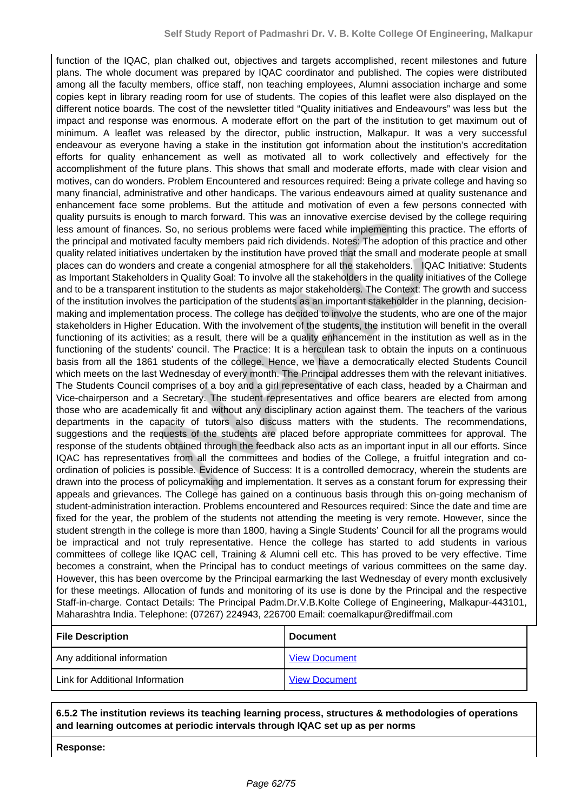function of the IQAC, plan chalked out, objectives and targets accomplished, recent milestones and future plans. The whole document was prepared by IQAC coordinator and published. The copies were distributed among all the faculty members, office staff, non teaching employees, Alumni association incharge and some copies kept in library reading room for use of students. The copies of this leaflet were also displayed on the different notice boards. The cost of the newsletter titled "Quality initiatives and Endeavours" was less but the impact and response was enormous. A moderate effort on the part of the institution to get maximum out of minimum. A leaflet was released by the director, public instruction, Malkapur. It was a very successful endeavour as everyone having a stake in the institution got information about the institution's accreditation efforts for quality enhancement as well as motivated all to work collectively and effectively for the accomplishment of the future plans. This shows that small and moderate efforts, made with clear vision and motives, can do wonders. Problem Encountered and resources required: Being a private college and having so many financial, administrative and other handicaps. The various endeavours aimed at quality sustenance and enhancement face some problems. But the attitude and motivation of even a few persons connected with quality pursuits is enough to march forward. This was an innovative exercise devised by the college requiring less amount of finances. So, no serious problems were faced while implementing this practice. The efforts of the principal and motivated faculty members paid rich dividends. Notes: The adoption of this practice and other quality related initiatives undertaken by the institution have proved that the small and moderate people at small places can do wonders and create a congenial atmosphere for all the stakeholders. IQAC Initiative: Students as Important Stakeholders in Quality Goal: To involve all the stakeholders in the quality initiatives of the College and to be a transparent institution to the students as major stakeholders. The Context: The growth and success of the institution involves the participation of the students as an important stakeholder in the planning, decisionmaking and implementation process. The college has decided to involve the students, who are one of the major stakeholders in Higher Education. With the involvement of the students, the institution will benefit in the overall functioning of its activities; as a result, there will be a quality enhancement in the institution as well as in the functioning of the students' council. The Practice: It is a herculean task to obtain the inputs on a continuous basis from all the 1861 students of the college. Hence, we have a democratically elected Students Council which meets on the last Wednesday of every month. The Principal addresses them with the relevant initiatives. The Students Council comprises of a boy and a girl representative of each class, headed by a Chairman and Vice-chairperson and a Secretary. The student representatives and office bearers are elected from among those who are academically fit and without any disciplinary action against them. The teachers of the various departments in the capacity of tutors also discuss matters with the students. The recommendations, suggestions and the requests of the students are placed before appropriate committees for approval. The response of the students obtained through the feedback also acts as an important input in all our efforts. Since IQAC has representatives from all the committees and bodies of the College, a fruitful integration and coordination of policies is possible. Evidence of Success: It is a controlled democracy, wherein the students are drawn into the process of policymaking and implementation. It serves as a constant forum for expressing their appeals and grievances. The College has gained on a continuous basis through this on-going mechanism of student-administration interaction. Problems encountered and Resources required: Since the date and time are fixed for the year, the problem of the students not attending the meeting is very remote. However, since the student strength in the college is more than 1800, having a Single Students' Council for all the programs would be impractical and not truly representative. Hence the college has started to add students in various committees of college like IQAC cell, Training & Alumni cell etc. This has proved to be very effective. Time becomes a constraint, when the Principal has to conduct meetings of various committees on the same day. However, this has been overcome by the Principal earmarking the last Wednesday of every month exclusively for these meetings. Allocation of funds and monitoring of its use is done by the Principal and the respective Staff-in-charge. Contact Details: The Principal Padm.Dr.V.B.Kolte College of Engineering, Malkapur-443101, Maharashtra India. Telephone: (07267) 224943, 226700 Email: coemalkapur@rediffmail.com

| <b>File Description</b>         | <b>Document</b>      |
|---------------------------------|----------------------|
| Any additional information      | <b>View Document</b> |
| Link for Additional Information | <b>View Document</b> |

 **6.5.2 The institution reviews its teaching learning process, structures & methodologies of operations and learning outcomes at periodic intervals through IQAC set up as per norms**

**Response:**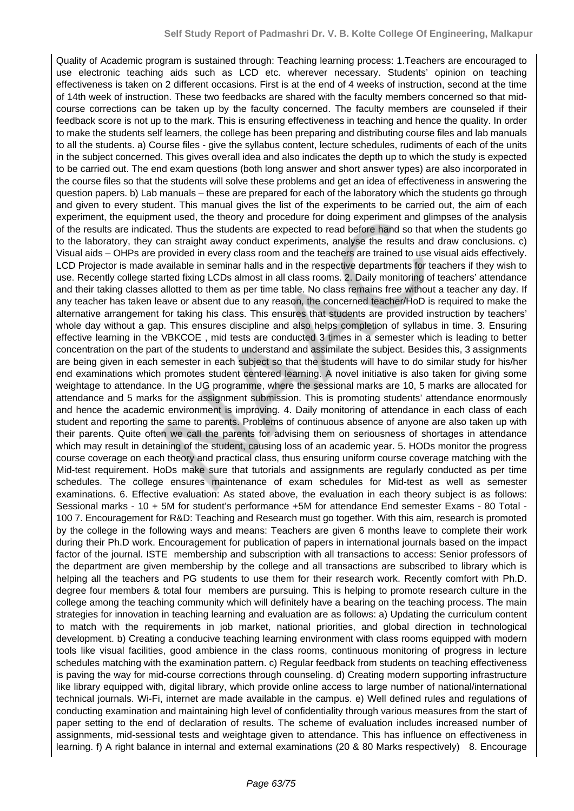Quality of Academic program is sustained through: Teaching learning process: 1.Teachers are encouraged to use electronic teaching aids such as LCD etc. wherever necessary. Students' opinion on teaching effectiveness is taken on 2 different occasions. First is at the end of 4 weeks of instruction, second at the time of 14th week of instruction. These two feedbacks are shared with the faculty members concerned so that midcourse corrections can be taken up by the faculty concerned. The faculty members are counseled if their feedback score is not up to the mark. This is ensuring effectiveness in teaching and hence the quality. In order to make the students self learners, the college has been preparing and distributing course files and lab manuals to all the students. a) Course files - give the syllabus content, lecture schedules, rudiments of each of the units in the subject concerned. This gives overall idea and also indicates the depth up to which the study is expected to be carried out. The end exam questions (both long answer and short answer types) are also incorporated in the course files so that the students will solve these problems and get an idea of effectiveness in answering the question papers. b) Lab manuals – these are prepared for each of the laboratory which the students go through and given to every student. This manual gives the list of the experiments to be carried out, the aim of each experiment, the equipment used, the theory and procedure for doing experiment and glimpses of the analysis of the results are indicated. Thus the students are expected to read before hand so that when the students go to the laboratory, they can straight away conduct experiments, analyse the results and draw conclusions. c) Visual aids – OHPs are provided in every class room and the teachers are trained to use visual aids effectively. LCD Projector is made available in seminar halls and in the respective departments for teachers if they wish to use. Recently college started fixing LCDs almost in all class rooms. 2. Daily monitoring of teachers' attendance and their taking classes allotted to them as per time table. No class remains free without a teacher any day. If any teacher has taken leave or absent due to any reason, the concerned teacher/HoD is required to make the alternative arrangement for taking his class. This ensures that students are provided instruction by teachers' whole day without a gap. This ensures discipline and also helps completion of syllabus in time. 3. Ensuring effective learning in the VBKCOE , mid tests are conducted 3 times in a semester which is leading to better concentration on the part of the students to understand and assimilate the subject. Besides this, 3 assignments are being given in each semester in each subject so that the students will have to do similar study for his/her end examinations which promotes student centered learning. A novel initiative is also taken for giving some weightage to attendance. In the UG programme, where the sessional marks are 10, 5 marks are allocated for attendance and 5 marks for the assignment submission. This is promoting students' attendance enormously and hence the academic environment is improving. 4. Daily monitoring of attendance in each class of each student and reporting the same to parents. Problems of continuous absence of anyone are also taken up with their parents. Quite often we call the parents for advising them on seriousness of shortages in attendance which may result in detaining of the student, causing loss of an academic year. 5. HODs monitor the progress course coverage on each theory and practical class, thus ensuring uniform course coverage matching with the Mid-test requirement. HoDs make sure that tutorials and assignments are regularly conducted as per time schedules. The college ensures maintenance of exam schedules for Mid-test as well as semester examinations. 6. Effective evaluation: As stated above, the evaluation in each theory subject is as follows: Sessional marks - 10 + 5M for student's performance +5M for attendance End semester Exams - 80 Total - 100 7. Encouragement for R&D: Teaching and Research must go together. With this aim, research is promoted by the college in the following ways and means: Teachers are given 6 months leave to complete their work during their Ph.D work. Encouragement for publication of papers in international journals based on the impact factor of the journal. ISTE membership and subscription with all transactions to access: Senior professors of the department are given membership by the college and all transactions are subscribed to library which is helping all the teachers and PG students to use them for their research work. Recently comfort with Ph.D. degree four members & total four members are pursuing. This is helping to promote research culture in the college among the teaching community which will definitely have a bearing on the teaching process. The main strategies for innovation in teaching learning and evaluation are as follows: a) Updating the curriculum content to match with the requirements in job market, national priorities, and global direction in technological development. b) Creating a conducive teaching learning environment with class rooms equipped with modern tools like visual facilities, good ambience in the class rooms, continuous monitoring of progress in lecture schedules matching with the examination pattern. c) Regular feedback from students on teaching effectiveness is paving the way for mid-course corrections through counseling. d) Creating modern supporting infrastructure like library equipped with, digital library, which provide online access to large number of national/international technical journals. Wi-Fi, internet are made available in the campus. e) Well defined rules and regulations of conducting examination and maintaining high level of confidentiality through various measures from the start of paper setting to the end of declaration of results. The scheme of evaluation includes increased number of assignments, mid-sessional tests and weightage given to attendance. This has influence on effectiveness in learning. f) A right balance in internal and external examinations (20 & 80 Marks respectively) 8. Encourage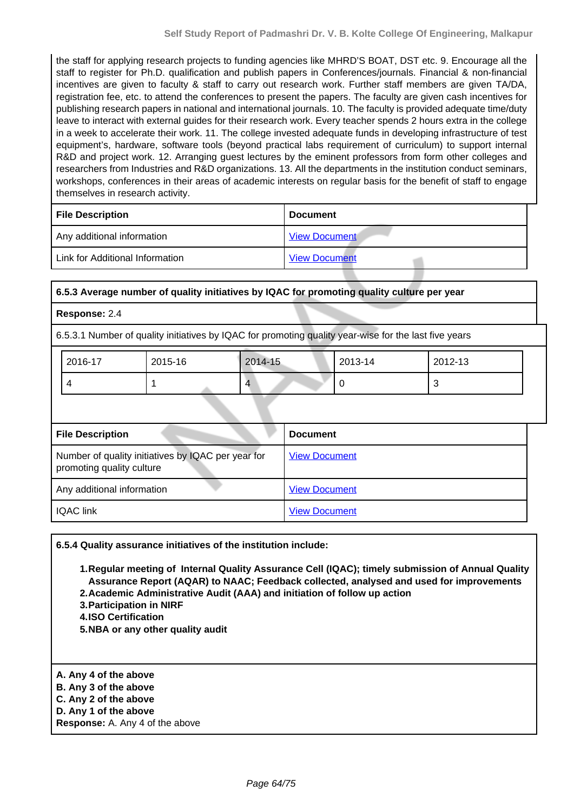the staff for applying research projects to funding agencies like MHRD'S BOAT, DST etc. 9. Encourage all the staff to register for Ph.D. qualification and publish papers in Conferences/journals. Financial & non-financial incentives are given to faculty & staff to carry out research work. Further staff members are given TA/DA, registration fee, etc. to attend the conferences to present the papers. The faculty are given cash incentives for publishing research papers in national and international journals. 10. The faculty is provided adequate time/duty leave to interact with external guides for their research work. Every teacher spends 2 hours extra in the college in a week to accelerate their work. 11. The college invested adequate funds in developing infrastructure of test equipment's, hardware, software tools (beyond practical labs requirement of curriculum) to support internal R&D and project work. 12. Arranging guest lectures by the eminent professors from form other colleges and researchers from Industries and R&D organizations. 13. All the departments in the institution conduct seminars, workshops, conferences in their areas of academic interests on regular basis for the benefit of staff to engage themselves in research activity.

| <b>File Description</b>         | <b>Document</b>      |
|---------------------------------|----------------------|
| Any additional information      | <b>View Document</b> |
| Link for Additional Information | <b>View Document</b> |

#### **6.5.3 Average number of quality initiatives by IQAC for promoting quality culture per year**

**Response:** 2.4

6.5.3.1 Number of quality initiatives by IQAC for promoting quality year-wise for the last five years

| 2016-17 | 2015-16 | 2014-15                | 2013-14 | 2012-13 |
|---------|---------|------------------------|---------|---------|
|         |         | $\boldsymbol{\Lambda}$ |         | ີ       |

| <b>File Description</b>                                                         | <b>Document</b>      |
|---------------------------------------------------------------------------------|----------------------|
| Number of quality initiatives by IQAC per year for<br>promoting quality culture | <b>View Document</b> |
| Any additional information                                                      | <b>View Document</b> |
| <b>IQAC</b> link                                                                | <b>View Document</b> |

**6.5.4 Quality assurance initiatives of the institution include:**

- **1.Regular meeting of Internal Quality Assurance Cell (IQAC); timely submission of Annual Quality Assurance Report (AQAR) to NAAC; Feedback collected, analysed and used for improvements**
- **2.Academic Administrative Audit (AAA) and initiation of follow up action**
- **3.Participation in NIRF**
- **4.ISO Certification**
- **5.NBA or any other quality audit**
- **A. Any 4 of the above**
- **B. Any 3 of the above**
- **C. Any 2 of the above**
- **D. Any 1 of the above**

**Response:** A. Any 4 of the above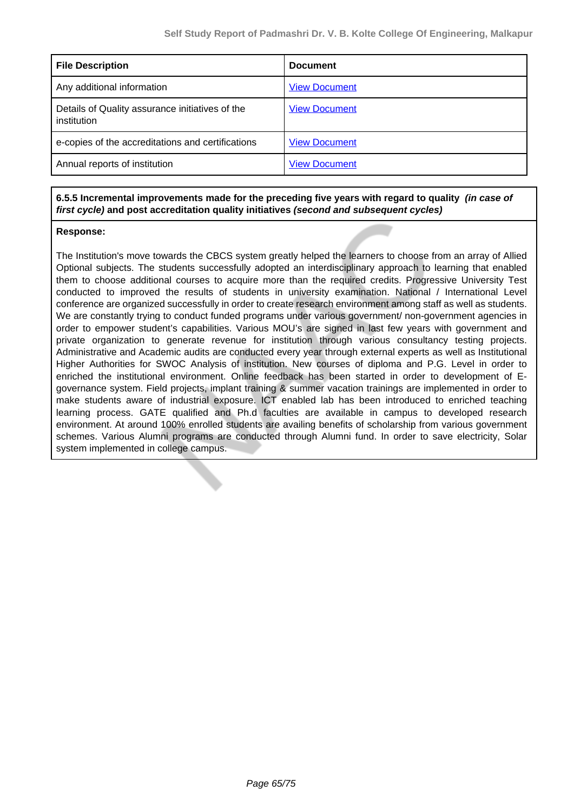| <b>File Description</b>                                        | <b>Document</b>      |
|----------------------------------------------------------------|----------------------|
| Any additional information                                     | <b>View Document</b> |
| Details of Quality assurance initiatives of the<br>institution | <b>View Document</b> |
| e-copies of the accreditations and certifications              | <b>View Document</b> |
| Annual reports of institution                                  | <b>View Document</b> |

 **6.5.5 Incremental improvements made for the preceding five years with regard to quality (in case of first cycle) and post accreditation quality initiatives (second and subsequent cycles)**

#### **Response:**

The Institution's move towards the CBCS system greatly helped the learners to choose from an array of Allied Optional subjects. The students successfully adopted an interdisciplinary approach to learning that enabled them to choose additional courses to acquire more than the required credits. Progressive University Test conducted to improved the results of students in university examination. National / International Level conference are organized successfully in order to create research environment among staff as well as students. We are constantly trying to conduct funded programs under various government/ non-government agencies in order to empower student's capabilities. Various MOU's are signed in last few years with government and private organization to generate revenue for institution through various consultancy testing projects. Administrative and Academic audits are conducted every year through external experts as well as Institutional Higher Authorities for SWOC Analysis of institution. New courses of diploma and P.G. Level in order to enriched the institutional environment. Online feedback has been started in order to development of Egovernance system. Field projects, implant training & summer vacation trainings are implemented in order to make students aware of industrial exposure. ICT enabled lab has been introduced to enriched teaching learning process. GATE qualified and Ph.d faculties are available in campus to developed research environment. At around 100% enrolled students are availing benefits of scholarship from various government schemes. Various Alumni programs are conducted through Alumni fund. In order to save electricity, Solar system implemented in college campus.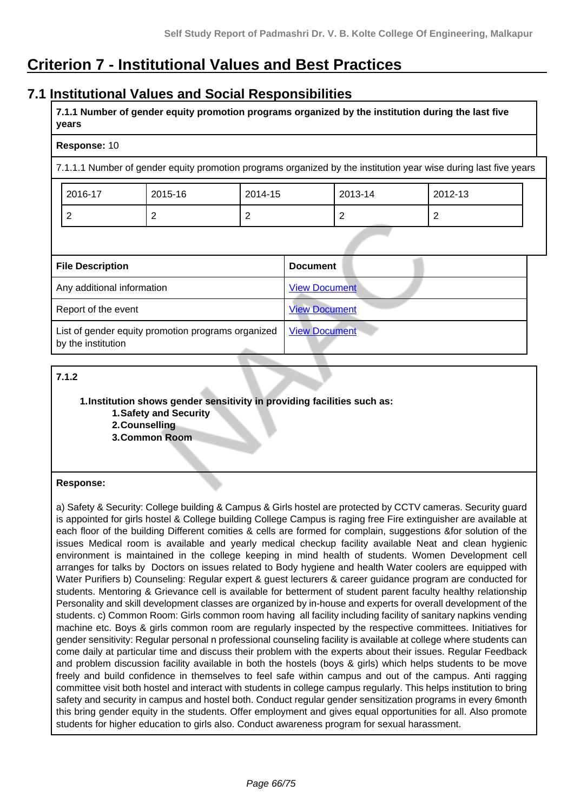## **Criterion 7 - Institutional Values and Best Practices**

### **7.1 Institutional Values and Social Responsibilities**

 **7.1.1 Number of gender equity promotion programs organized by the institution during the last five years** 

#### **Response:** 10

7.1.1.1 Number of gender equity promotion programs organized by the institution year wise during last five years

| 2016-17  | 2015-16 | 2014-15 | 2013-14 | 2012-13 |
|----------|---------|---------|---------|---------|
| <u>_</u> | -       |         | -       | -       |

| <b>File Description</b>                                                  | <b>Document</b>      |
|--------------------------------------------------------------------------|----------------------|
| Any additional information                                               | <b>View Document</b> |
| Report of the event                                                      | <b>View Document</b> |
| List of gender equity promotion programs organized<br>by the institution | <b>View Document</b> |

#### **7.1.2**

#### **1.Institution shows gender sensitivity in providing facilities such as:**

**1.Safety and Security**

**2.Counselling**

**3.Common Room**

#### **Response:**

a) Safety & Security: College building & Campus & Girls hostel are protected by CCTV cameras. Security guard is appointed for girls hostel & College building College Campus is raging free Fire extinguisher are available at each floor of the building Different comities & cells are formed for complain, suggestions &for solution of the issues Medical room is available and yearly medical checkup facility available Neat and clean hygienic environment is maintained in the college keeping in mind health of students. Women Development cell arranges for talks by Doctors on issues related to Body hygiene and health Water coolers are equipped with Water Purifiers b) Counseling: Regular expert & guest lecturers & career guidance program are conducted for students. Mentoring & Grievance cell is available for betterment of student parent faculty healthy relationship Personality and skill development classes are organized by in-house and experts for overall development of the students. c) Common Room: Girls common room having all facility including facility of sanitary napkins vending machine etc. Boys & girls common room are regularly inspected by the respective committees. Initiatives for gender sensitivity: Regular personal n professional counseling facility is available at college where students can come daily at particular time and discuss their problem with the experts about their issues. Regular Feedback and problem discussion facility available in both the hostels (boys & girls) which helps students to be move freely and build confidence in themselves to feel safe within campus and out of the campus. Anti ragging committee visit both hostel and interact with students in college campus regularly. This helps institution to bring safety and security in campus and hostel both. Conduct regular gender sensitization programs in every 6month this bring gender equity in the students. Offer employment and gives equal opportunities for all. Also promote students for higher education to girls also. Conduct awareness program for sexual harassment.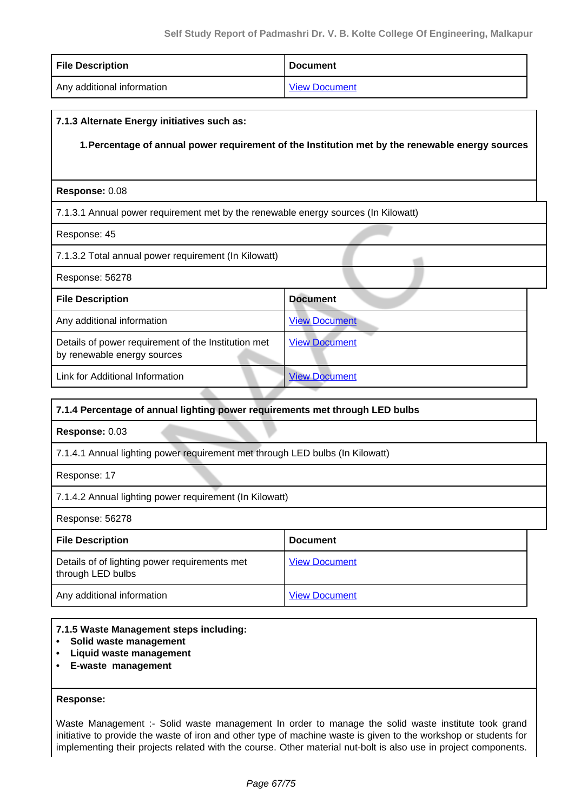| File Description           | <b>Document</b>      |
|----------------------------|----------------------|
| Any additional information | <b>View Document</b> |

# **7.1.3 Alternate Energy initiatives such as: 1.Percentage of annual power requirement of the Institution met by the renewable energy sources Response:** 0.08 7.1.3.1 Annual power requirement met by the renewable energy sources (In Kilowatt) Response: 45 7.1.3.2 Total annual power requirement (In Kilowatt) Response: 56278 **File Description Document** Any additional information and View Document Details of power requirement of the Institution met by renewable energy sources View Document Link for Additional Information View Document

# **7.1.4 Percentage of annual lighting power requirements met through LED bulbs Response:** 0.03 7.1.4.1 Annual lighting power requirement met through LED bulbs (In Kilowatt) Response: 17 7.1.4.2 Annual lighting power requirement (In Kilowatt) Response: 56278

| <b>File Description</b>                                            | <b>Document</b>      |
|--------------------------------------------------------------------|----------------------|
| Details of of lighting power requirements met<br>through LED bulbs | <b>View Document</b> |
| Any additional information                                         | <b>View Document</b> |

#### **7.1.5 Waste Management steps including:**

- **Solid waste management**
- **Liquid waste management**
- **E-waste management**

#### **Response:**

Waste Management :- Solid waste management In order to manage the solid waste institute took grand initiative to provide the waste of iron and other type of machine waste is given to the workshop or students for implementing their projects related with the course. Other material nut-bolt is also use in project components.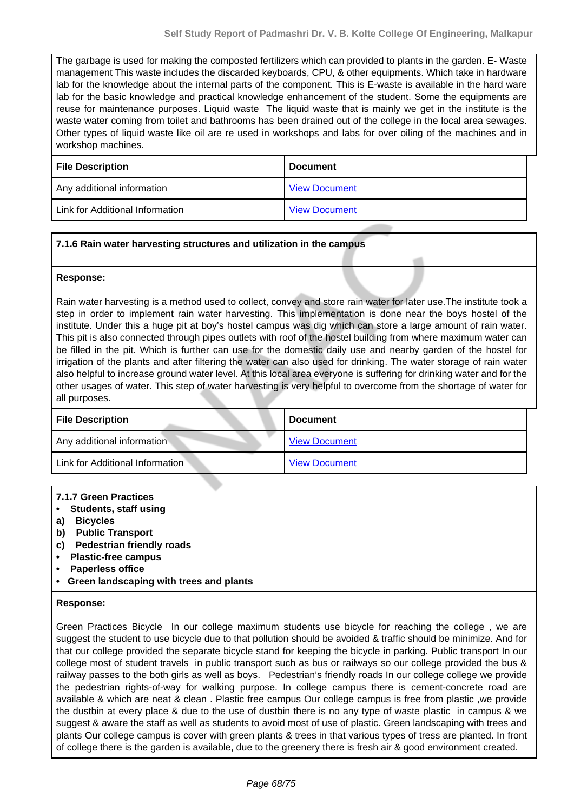The garbage is used for making the composted fertilizers which can provided to plants in the garden. E- Waste management This waste includes the discarded keyboards, CPU, & other equipments. Which take in hardware lab for the knowledge about the internal parts of the component. This is E-waste is available in the hard ware lab for the basic knowledge and practical knowledge enhancement of the student. Some the equipments are reuse for maintenance purposes. Liquid waste The liquid waste that is mainly we get in the institute is the waste water coming from toilet and bathrooms has been drained out of the college in the local area sewages. Other types of liquid waste like oil are re used in workshops and labs for over oiling of the machines and in workshop machines.

| <b>File Description</b>         | <b>Document</b>      |
|---------------------------------|----------------------|
| Any additional information      | <b>View Document</b> |
| Link for Additional Information | <b>View Document</b> |

#### **7.1.6 Rain water harvesting structures and utilization in the campus**

#### **Response:**

Rain water harvesting is a method used to collect, convey and store rain water for later use.The institute took a step in order to implement rain water harvesting. This implementation is done near the boys hostel of the institute. Under this a huge pit at boy's hostel campus was dig which can store a large amount of rain water. This pit is also connected through pipes outlets with roof of the hostel building from where maximum water can be filled in the pit. Which is further can use for the domestic daily use and nearby garden of the hostel for irrigation of the plants and after filtering the water can also used for drinking. The water storage of rain water also helpful to increase ground water level. At this local area everyone is suffering for drinking water and for the other usages of water. This step of water harvesting is very helpful to overcome from the shortage of water for all purposes.

| <b>File Description</b>         | <b>Document</b>      |
|---------------------------------|----------------------|
| Any additional information      | <b>View Document</b> |
| Link for Additional Information | <b>View Document</b> |

- **7.1.7 Green Practices**
- **Students, staff using**
- **a) Bicycles**
- **b) Public Transport**
- **c) Pedestrian friendly roads**
- **Plastic-free campus**
- **Paperless office**
- **Green landscaping with trees and plants**

#### **Response:**

Green Practices Bicycle In our college maximum students use bicycle for reaching the college , we are suggest the student to use bicycle due to that pollution should be avoided & traffic should be minimize. And for that our college provided the separate bicycle stand for keeping the bicycle in parking. Public transport In our college most of student travels in public transport such as bus or railways so our college provided the bus & railway passes to the both girls as well as boys. Pedestrian's friendly roads In our college college we provide the pedestrian rights-of-way for walking purpose. In college campus there is cement-concrete road are available & which are neat & clean . Plastic free campus Our college campus is free from plastic ,we provide the dustbin at every place & due to the use of dustbin there is no any type of waste plastic in campus & we suggest & aware the staff as well as students to avoid most of use of plastic. Green landscaping with trees and plants Our college campus is cover with green plants & trees in that various types of tress are planted. In front of college there is the garden is available, due to the greenery there is fresh air & good environment created.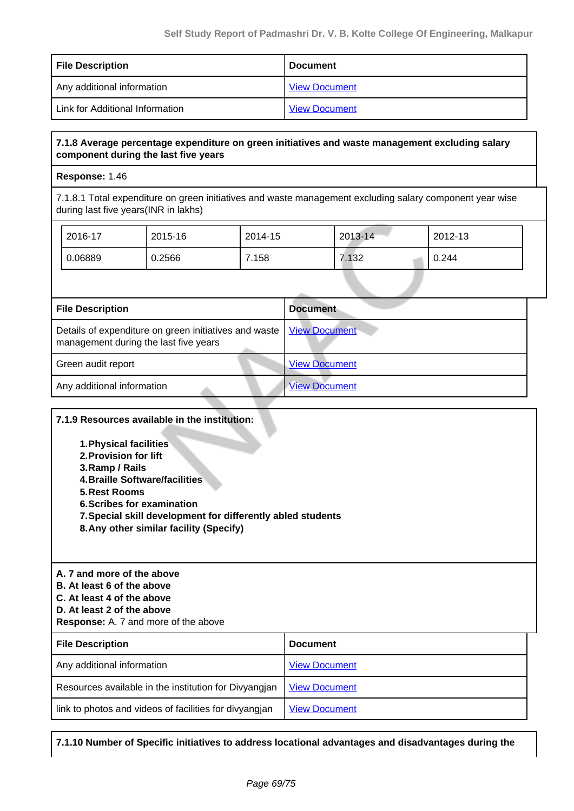| File Description                | <b>Document</b>      |
|---------------------------------|----------------------|
| Any additional information      | <b>View Document</b> |
| Link for Additional Information | <b>View Document</b> |

#### **7.1.8 Average percentage expenditure on green initiatives and waste management excluding salary component during the last five years**

#### **Response:** 1.46

7.1.8.1 Total expenditure on green initiatives and waste management excluding salary component year wise during last five years(INR in lakhs)

| 2016-17 | 2015-16 | 2014-15 | 2013-14 | 2012-13 |
|---------|---------|---------|---------|---------|
| 0.06889 | 0.2566  | 7.158   | 7.132   | 0.244   |

| <b>File Description</b>                                                                        | <b>Document</b>      |
|------------------------------------------------------------------------------------------------|----------------------|
| Details of expenditure on green initiatives and waste<br>management during the last five years | <b>View Document</b> |
| Green audit report                                                                             | <b>View Document</b> |
| Any additional information                                                                     | <b>View Document</b> |

| <b>1. Physical facilities</b><br>2. Provision for lift<br>3. Ramp / Rails<br><b>4. Braille Software/facilities</b><br><b>5. Rest Rooms</b><br><b>6. Scribes for examination</b><br>7. Special skill development for differently abled students<br>8. Any other similar facility (Specify)<br>A. 7 and more of the above |                      |
|-------------------------------------------------------------------------------------------------------------------------------------------------------------------------------------------------------------------------------------------------------------------------------------------------------------------------|----------------------|
| B. At least 6 of the above<br>C. At least 4 of the above                                                                                                                                                                                                                                                                |                      |
| D. At least 2 of the above<br><b>Response:</b> A. 7 and more of the above                                                                                                                                                                                                                                               |                      |
| <b>File Description</b>                                                                                                                                                                                                                                                                                                 | <b>Document</b>      |
| Any additional information                                                                                                                                                                                                                                                                                              | <b>View Document</b> |
| Resources available in the institution for Divyangjan                                                                                                                                                                                                                                                                   | <b>View Document</b> |

**7.1.10 Number of Specific initiatives to address locational advantages and disadvantages during the**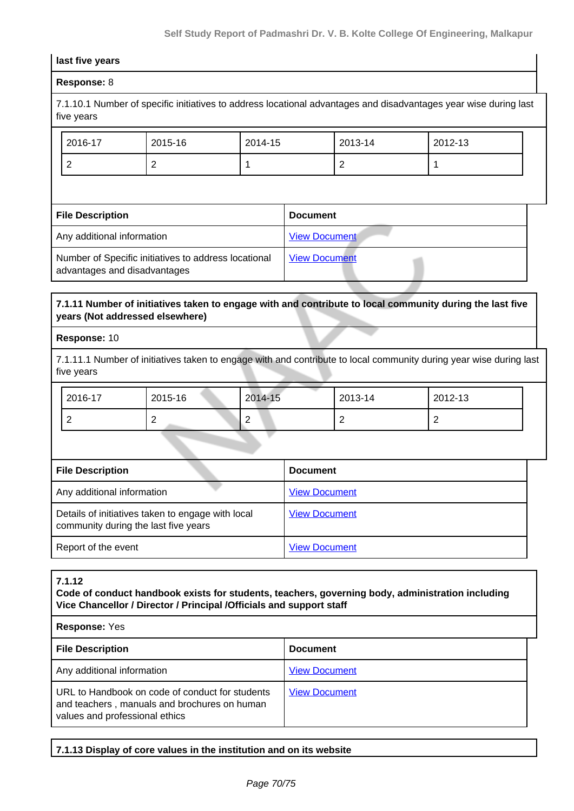# **last five years Response:** 8 7.1.10.1 Number of specific initiatives to address locational advantages and disadvantages year wise during last five years 2016-17 2015-16 2014-15 2013-14 2012-13 2 2 1 2 1 **File Description Document** Any additional information View Document Number of Specific initiatives to address locational advantages and disadvantages View Document **7.1.11 Number of initiatives taken to engage with and contribute to local community during the last five years (Not addressed elsewhere) Response:** 10 7.1.11.1 Number of initiatives taken to engage with and contribute to local community during year wise during last five years 2016-17 2015-16 2014-15 2013-14 2012-13 2  $\begin{array}{|c|c|c|c|c|}\n2 & 2 & 2 & 2\n\end{array}$ **File Description Document** Any additional information View Document Details of initiatives taken to engage with local community during the last five years View Document Report of the event **View Document 7.1.12 Code of conduct handbook exists for students, teachers, governing body, administration including Vice Chancellor / Director / Principal /Officials and support staff Response:** Yes **File Description Document** Any additional information and View Document URL to Handbook on code of conduct for students and teachers , manuals and brochures on human View Document

#### **7.1.13 Display of core values in the institution and on its website**

values and professional ethics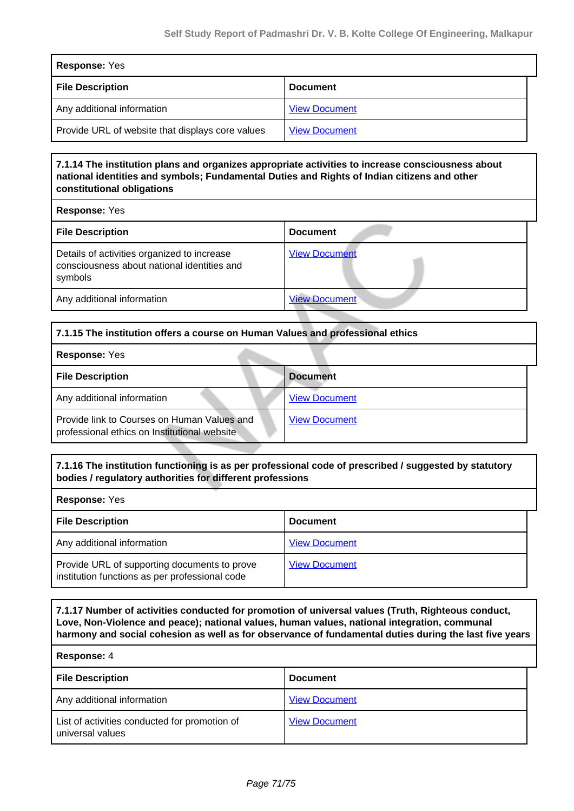| <b>Response: Yes</b>                             |                      |
|--------------------------------------------------|----------------------|
| File Description                                 | <b>Document</b>      |
| Any additional information                       | <b>View Document</b> |
| Provide URL of website that displays core values | <b>View Document</b> |

#### **7.1.14 The institution plans and organizes appropriate activities to increase consciousness about national identities and symbols; Fundamental Duties and Rights of Indian citizens and other constitutional obligations**

| <b>Response: Yes</b>                                                                                  |                      |
|-------------------------------------------------------------------------------------------------------|----------------------|
| <b>File Description</b>                                                                               | <b>Document</b>      |
| Details of activities organized to increase<br>consciousness about national identities and<br>symbols | <b>View Document</b> |
| Any additional information                                                                            | <b>View Document</b> |

## **7.1.15 The institution offers a course on Human Values and professional ethics Response:** Yes **File Description Document** Any additional information View Document Provide link to Courses on Human Values and professional ethics on Institutional website View Document

#### **7.1.16 The institution functioning is as per professional code of prescribed / suggested by statutory bodies / regulatory authorities for different professions**

| <b>Response: Yes</b>                                                                           |                      |
|------------------------------------------------------------------------------------------------|----------------------|
| <b>File Description</b>                                                                        | <b>Document</b>      |
| Any additional information                                                                     | <b>View Document</b> |
| Provide URL of supporting documents to prove<br>institution functions as per professional code | <b>View Document</b> |

 **7.1.17 Number of activities conducted for promotion of universal values (Truth, Righteous conduct, Love, Non-Violence and peace); national values, human values, national integration, communal harmony and social cohesion as well as for observance of fundamental duties during the last five years**

#### **Response:** 4

| <b>File Description</b>                                           | <b>Document</b>      |
|-------------------------------------------------------------------|----------------------|
| Any additional information                                        | <b>View Document</b> |
| List of activities conducted for promotion of<br>universal values | <b>View Document</b> |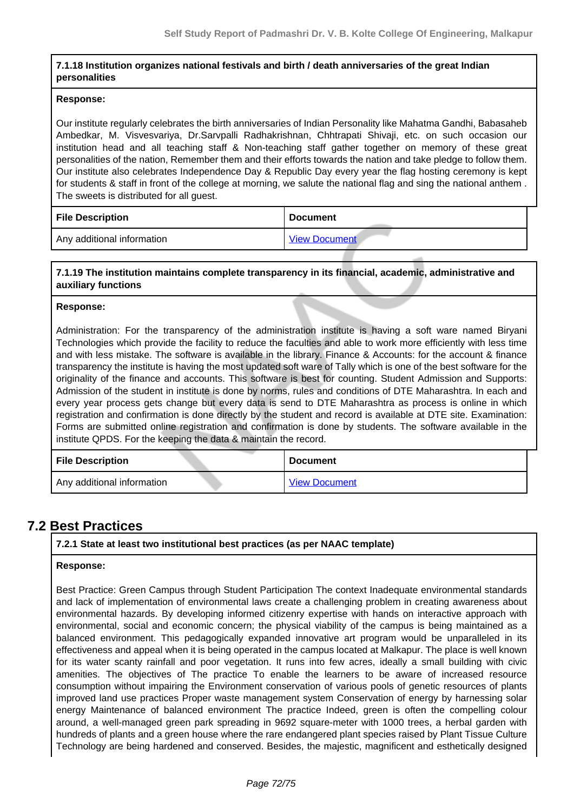#### **7.1.18 Institution organizes national festivals and birth / death anniversaries of the great Indian personalities**

#### **Response:**

Our institute regularly celebrates the birth anniversaries of Indian Personality like Mahatma Gandhi, Babasaheb Ambedkar, M. Visvesvariya, Dr.Sarvpalli Radhakrishnan, Chhtrapati Shivaji, etc. on such occasion our institution head and all teaching staff & Non-teaching staff gather together on memory of these great personalities of the nation, Remember them and their efforts towards the nation and take pledge to follow them. Our institute also celebrates Independence Day & Republic Day every year the flag hosting ceremony is kept for students & staff in front of the college at morning, we salute the national flag and sing the national anthem . The sweets is distributed for all guest.

| <b>File Description</b>    | <b>Document</b>      |
|----------------------------|----------------------|
| Any additional information | <b>View Document</b> |

#### **7.1.19 The institution maintains complete transparency in its financial, academic, administrative and auxiliary functions**

#### **Response:**

Administration: For the transparency of the administration institute is having a soft ware named Biryani Technologies which provide the facility to reduce the faculties and able to work more efficiently with less time and with less mistake. The software is available in the library. Finance & Accounts: for the account & finance transparency the institute is having the most updated soft ware of Tally which is one of the best software for the originality of the finance and accounts. This software is best for counting. Student Admission and Supports: Admission of the student in institute is done by norms, rules and conditions of DTE Maharashtra. In each and every year process gets change but every data is send to DTE Maharashtra as process is online in which registration and confirmation is done directly by the student and record is available at DTE site. Examination: Forms are submitted online registration and confirmation is done by students. The software available in the institute QPDS. For the keeping the data & maintain the record.

| <b>File Description</b>    | <b>Document</b>      |
|----------------------------|----------------------|
| Any additional information | <b>View Document</b> |

### **7.2 Best Practices**

**7.2.1 State at least two institutional best practices (as per NAAC template)**

#### **Response:**

Best Practice: Green Campus through Student Participation The context Inadequate environmental standards and lack of implementation of environmental laws create a challenging problem in creating awareness about environmental hazards. By developing informed citizenry expertise with hands on interactive approach with environmental, social and economic concern; the physical viability of the campus is being maintained as a balanced environment. This pedagogically expanded innovative art program would be unparalleled in its effectiveness and appeal when it is being operated in the campus located at Malkapur. The place is well known for its water scanty rainfall and poor vegetation. It runs into few acres, ideally a small building with civic amenities. The objectives of The practice To enable the learners to be aware of increased resource consumption without impairing the Environment conservation of various pools of genetic resources of plants improved land use practices Proper waste management system Conservation of energy by harnessing solar energy Maintenance of balanced environment The practice Indeed, green is often the compelling colour around, a well-managed green park spreading in 9692 square-meter with 1000 trees, a herbal garden with hundreds of plants and a green house where the rare endangered plant species raised by Plant Tissue Culture Technology are being hardened and conserved. Besides, the majestic, magnificent and esthetically designed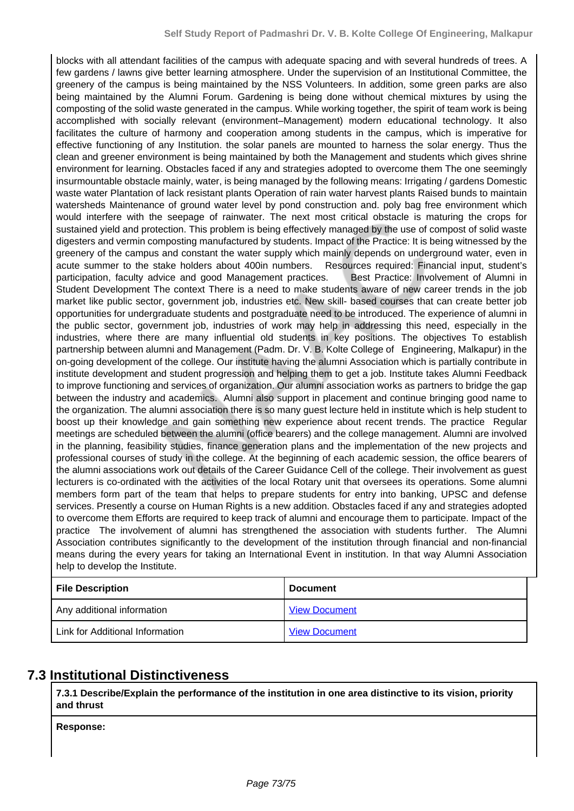blocks with all attendant facilities of the campus with adequate spacing and with several hundreds of trees. A few gardens / lawns give better learning atmosphere. Under the supervision of an Institutional Committee, the greenery of the campus is being maintained by the NSS Volunteers. In addition, some green parks are also being maintained by the Alumni Forum. Gardening is being done without chemical mixtures by using the composting of the solid waste generated in the campus. While working together, the spirit of team work is being accomplished with socially relevant (environment–Management) modern educational technology. It also facilitates the culture of harmony and cooperation among students in the campus, which is imperative for effective functioning of any Institution. the solar panels are mounted to harness the solar energy. Thus the clean and greener environment is being maintained by both the Management and students which gives shrine environment for learning. Obstacles faced if any and strategies adopted to overcome them The one seemingly insurmountable obstacle mainly, water, is being managed by the following means: Irrigating / gardens Domestic waste water Plantation of lack resistant plants Operation of rain water harvest plants Raised bunds to maintain watersheds Maintenance of ground water level by pond construction and. poly bag free environment which would interfere with the seepage of rainwater. The next most critical obstacle is maturing the crops for sustained yield and protection. This problem is being effectively managed by the use of compost of solid waste digesters and vermin composting manufactured by students. Impact of the Practice: It is being witnessed by the greenery of the campus and constant the water supply which mainly depends on underground water, even in acute summer to the stake holders about 400in numbers. Resources required: Financial input, student's participation, faculty advice and good Management practices. Best Practice: Involvement of Alumni in Student Development The context There is a need to make students aware of new career trends in the job market like public sector, government job, industries etc. New skill- based courses that can create better job opportunities for undergraduate students and postgraduate need to be introduced. The experience of alumni in the public sector, government job, industries of work may help in addressing this need, especially in the industries, where there are many influential old students in key positions. The objectives To establish partnership between alumni and Management (Padm. Dr. V. B. Kolte College of Engineering, Malkapur) in the on-going development of the college. Our institute having the alumni Association which is partially contribute in institute development and student progression and helping them to get a job. Institute takes Alumni Feedback to improve functioning and services of organization. Our alumni association works as partners to bridge the gap between the industry and academics. Alumni also support in placement and continue bringing good name to the organization. The alumni association there is so many guest lecture held in institute which is help student to boost up their knowledge and gain something new experience about recent trends. The practice Regular meetings are scheduled between the alumni (office bearers) and the college management. Alumni are involved in the planning, feasibility studies, finance generation plans and the implementation of the new projects and professional courses of study in the college. At the beginning of each academic session, the office bearers of the alumni associations work out details of the Career Guidance Cell of the college. Their involvement as guest lecturers is co-ordinated with the activities of the local Rotary unit that oversees its operations. Some alumni members form part of the team that helps to prepare students for entry into banking, UPSC and defense services. Presently a course on Human Rights is a new addition. Obstacles faced if any and strategies adopted to overcome them Efforts are required to keep track of alumni and encourage them to participate. Impact of the practice The involvement of alumni has strengthened the association with students further. The Alumni Association contributes significantly to the development of the institution through financial and non-financial means during the every years for taking an International Event in institution. In that way Alumni Association help to develop the Institute.

| File Description                | <b>Document</b>      |
|---------------------------------|----------------------|
| Any additional information      | <b>View Document</b> |
| Link for Additional Information | <b>View Document</b> |

## **7.3 Institutional Distinctiveness**

 **7.3.1 Describe/Explain the performance of the institution in one area distinctive to its vision, priority and thrust**

**Response:**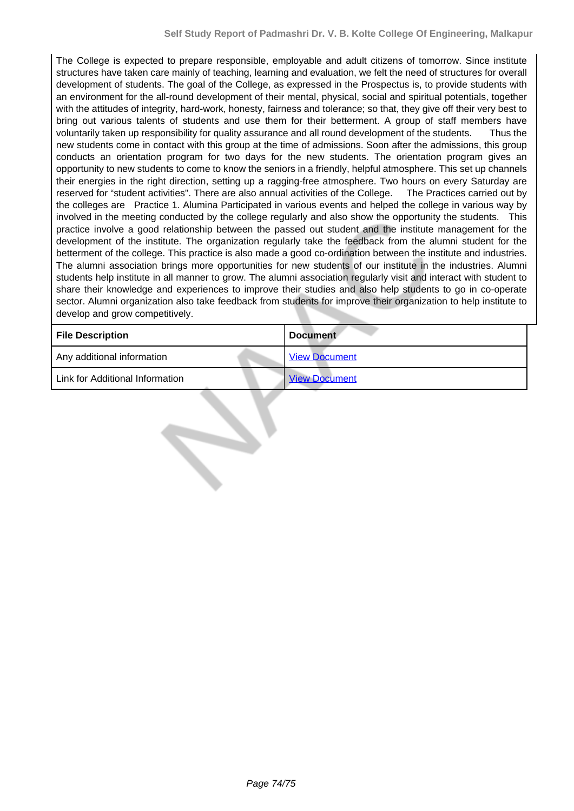The College is expected to prepare responsible, employable and adult citizens of tomorrow. Since institute structures have taken care mainly of teaching, learning and evaluation, we felt the need of structures for overall development of students. The goal of the College, as expressed in the Prospectus is, to provide students with an environment for the all-round development of their mental, physical, social and spiritual potentials, together with the attitudes of integrity, hard-work, honesty, fairness and tolerance; so that, they give off their very best to bring out various talents of students and use them for their betterment. A group of staff members have voluntarily taken up responsibility for quality assurance and all round development of the students. Thus the new students come in contact with this group at the time of admissions. Soon after the admissions, this group conducts an orientation program for two days for the new students. The orientation program gives an opportunity to new students to come to know the seniors in a friendly, helpful atmosphere. This set up channels their energies in the right direction, setting up a ragging-free atmosphere. Two hours on every Saturday are reserved for "student activities". There are also annual activities of the College. The Practices carried out by the colleges are Practice 1. Alumina Participated in various events and helped the college in various way by involved in the meeting conducted by the college regularly and also show the opportunity the students. This practice involve a good relationship between the passed out student and the institute management for the development of the institute. The organization regularly take the feedback from the alumni student for the betterment of the college. This practice is also made a good co-ordination between the institute and industries. The alumni association brings more opportunities for new students of our institute in the industries. Alumni students help institute in all manner to grow. The alumni association regularly visit and interact with student to share their knowledge and experiences to improve their studies and also help students to go in co-operate sector. Alumni organization also take feedback from students for improve their organization to help institute to develop and grow competitively.

| <b>File Description</b>         | <b>Document</b>      |
|---------------------------------|----------------------|
| Any additional information      | <b>View Document</b> |
| Link for Additional Information | <b>View Document</b> |